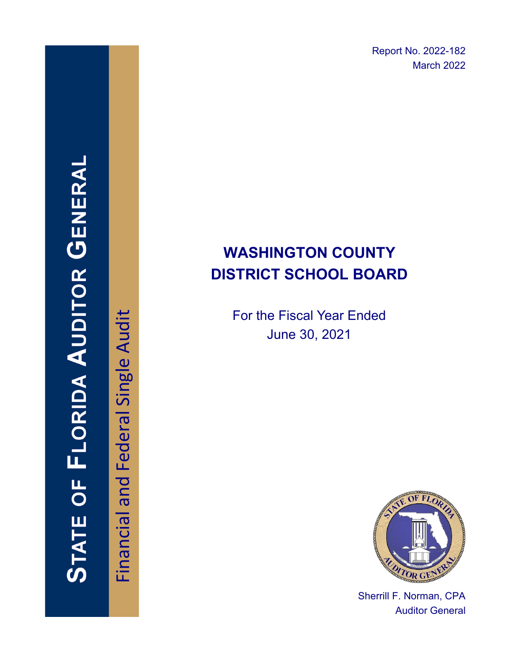Report No. 2022-182 March 2022

# **WASHINGTON COUNTY DISTRICT SCHOOL BOARD**

For the Fiscal Year Ended June 30, 2021



Sherrill F. Norman, CPA Auditor General

Financial and Federal Single Audit Financial and Federal Single Audit

STATE OF FLORIDA AUDITOR GENERAI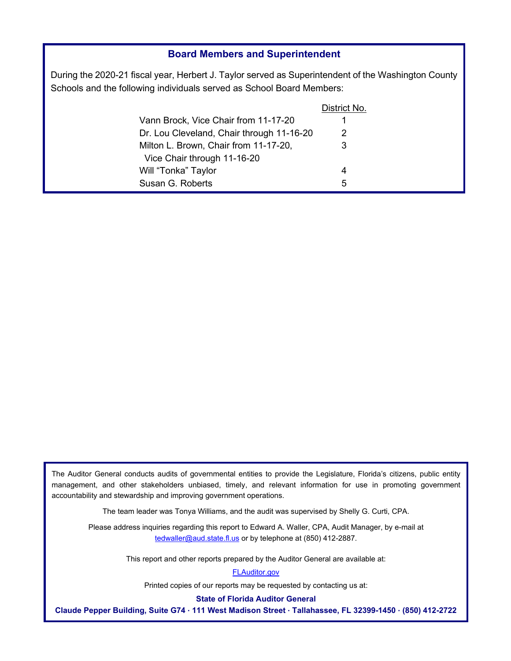#### **Board Members and Superintendent**

During the 2020-21 fiscal year, Herbert J. Taylor served as Superintendent of the Washington County Schools and the following individuals served as School Board Members:

|                                           | District No. |  |
|-------------------------------------------|--------------|--|
| Vann Brock, Vice Chair from 11-17-20      |              |  |
| Dr. Lou Cleveland, Chair through 11-16-20 | 2            |  |
| Milton L. Brown, Chair from 11-17-20,     | 3            |  |
| Vice Chair through 11-16-20               |              |  |
| Will "Tonka" Taylor                       | 4            |  |
| Susan G. Roberts                          | 5            |  |

The Auditor General conducts audits of governmental entities to provide the Legislature, Florida's citizens, public entity management, and other stakeholders unbiased, timely, and relevant information for use in promoting government accountability and stewardship and improving government operations.

The team leader was Tonya Williams, and the audit was supervised by Shelly G. Curti, CPA.

Please address inquiries regarding this report to Edward A. Waller, CPA, Audit Manager, by e-mail at [tedwaller@aud.state.fl.us](mailto:tedwaller@aud.state.fl.us) or by telephone at (850) 412-2887.

This report and other reports prepared by the Auditor General are available at:

[FLAuditor.gov](https://flauditor.gov/)

Printed copies of our reports may be requested by contacting us at:

**State of Florida Auditor General**

**Claude Pepper Building, Suite G74 ∙ 111 West Madison Street ∙ Tallahassee, FL 32399-1450 ∙ (850) 412-2722**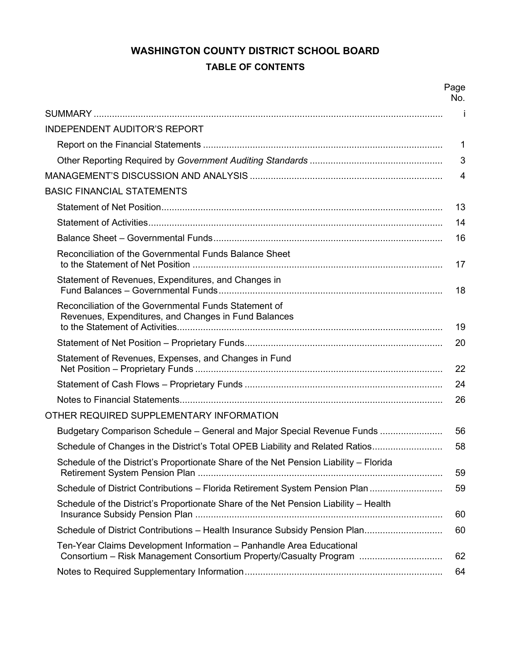# **WASHINGTON COUNTY DISTRICT SCHOOL BOARD TABLE OF CONTENTS**

|                                                                                                                                           | Page<br>No.    |
|-------------------------------------------------------------------------------------------------------------------------------------------|----------------|
|                                                                                                                                           | j.             |
| <b>INDEPENDENT AUDITOR'S REPORT</b>                                                                                                       |                |
|                                                                                                                                           | $\mathbf{1}$   |
|                                                                                                                                           | 3              |
|                                                                                                                                           | $\overline{4}$ |
| <b>BASIC FINANCIAL STATEMENTS</b>                                                                                                         |                |
|                                                                                                                                           | 13             |
|                                                                                                                                           | 14             |
|                                                                                                                                           | 16             |
| Reconciliation of the Governmental Funds Balance Sheet                                                                                    | 17             |
| Statement of Revenues, Expenditures, and Changes in                                                                                       | 18             |
| Reconciliation of the Governmental Funds Statement of<br>Revenues, Expenditures, and Changes in Fund Balances                             | 19             |
|                                                                                                                                           | 20             |
| Statement of Revenues, Expenses, and Changes in Fund                                                                                      | 22             |
|                                                                                                                                           | 24             |
|                                                                                                                                           | 26             |
| OTHER REQUIRED SUPPLEMENTARY INFORMATION                                                                                                  |                |
| Budgetary Comparison Schedule – General and Major Special Revenue Funds                                                                   | 56             |
| Schedule of Changes in the District's Total OPEB Liability and Related Ratios                                                             | 58             |
| Schedule of the District's Proportionate Share of the Net Pension Liability - Florida                                                     | 59             |
| Schedule of District Contributions - Florida Retirement System Pension Plan                                                               | 59             |
| Schedule of the District's Proportionate Share of the Net Pension Liability - Health                                                      | 60             |
| Schedule of District Contributions - Health Insurance Subsidy Pension Plan                                                                | 60             |
| Ten-Year Claims Development Information - Panhandle Area Educational<br>Consortium - Risk Management Consortium Property/Casualty Program | 62             |
|                                                                                                                                           | 64             |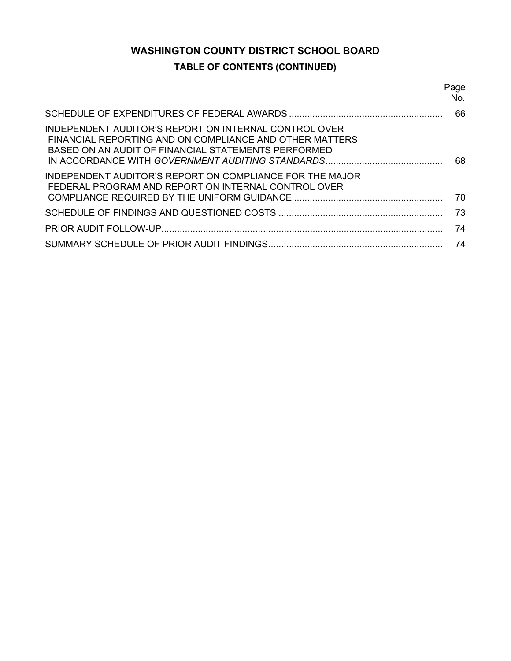## **WASHINGTON COUNTY DISTRICT SCHOOL BOARD**

# **TABLE OF CONTENTS (CONTINUED)**

|                                                                                                                                                                         | Page<br>No. |
|-------------------------------------------------------------------------------------------------------------------------------------------------------------------------|-------------|
|                                                                                                                                                                         | 66          |
| INDEPENDENT AUDITOR'S REPORT ON INTERNAL CONTROL OVER<br>FINANCIAL REPORTING AND ON COMPLIANCE AND OTHER MATTERS<br>BASED ON AN AUDIT OF FINANCIAL STATEMENTS PERFORMED | 68          |
| INDEPENDENT AUDITOR'S REPORT ON COMPLIANCE FOR THE MAJOR<br>FEDERAL PROGRAM AND REPORT ON INTERNAL CONTROL OVER                                                         | 70          |
|                                                                                                                                                                         |             |
|                                                                                                                                                                         | 73          |
|                                                                                                                                                                         | 74          |
|                                                                                                                                                                         | 74          |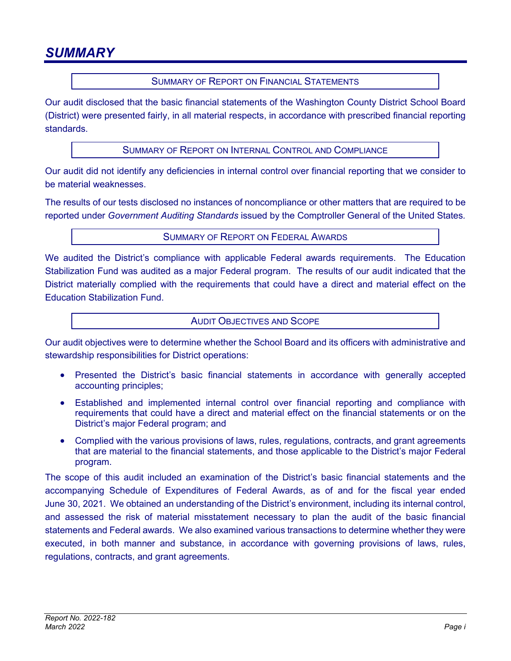#### SUMMARY OF REPORT ON FINANCIAL STATEMENTS

<span id="page-4-0"></span>Our audit disclosed that the basic financial statements of the Washington County District School Board (District) were presented fairly, in all material respects, in accordance with prescribed financial reporting standards.

SUMMARY OF REPORT ON INTERNAL CONTROL AND COMPLIANCE

Our audit did not identify any deficiencies in internal control over financial reporting that we consider to be material weaknesses.

The results of our tests disclosed no instances of noncompliance or other matters that are required to be reported under *Government Auditing Standards* issued by the Comptroller General of the United States*.* 

SUMMARY OF REPORT ON FEDERAL AWARDS

We audited the District's compliance with applicable Federal awards requirements. The Education Stabilization Fund was audited as a major Federal program. The results of our audit indicated that the District materially complied with the requirements that could have a direct and material effect on the Education Stabilization Fund.

#### AUDIT OBJECTIVES AND SCOPE

Our audit objectives were to determine whether the School Board and its officers with administrative and stewardship responsibilities for District operations:

- Presented the District's basic financial statements in accordance with generally accepted accounting principles;
- Established and implemented internal control over financial reporting and compliance with requirements that could have a direct and material effect on the financial statements or on the District's major Federal program; and
- Complied with the various provisions of laws, rules, regulations, contracts, and grant agreements that are material to the financial statements, and those applicable to the District's major Federal program.

The scope of this audit included an examination of the District's basic financial statements and the accompanying Schedule of Expenditures of Federal Awards, as of and for the fiscal year ended June 30, 2021. We obtained an understanding of the District's environment, including its internal control, and assessed the risk of material misstatement necessary to plan the audit of the basic financial statements and Federal awards. We also examined various transactions to determine whether they were executed, in both manner and substance, in accordance with governing provisions of laws, rules, regulations, contracts, and grant agreements.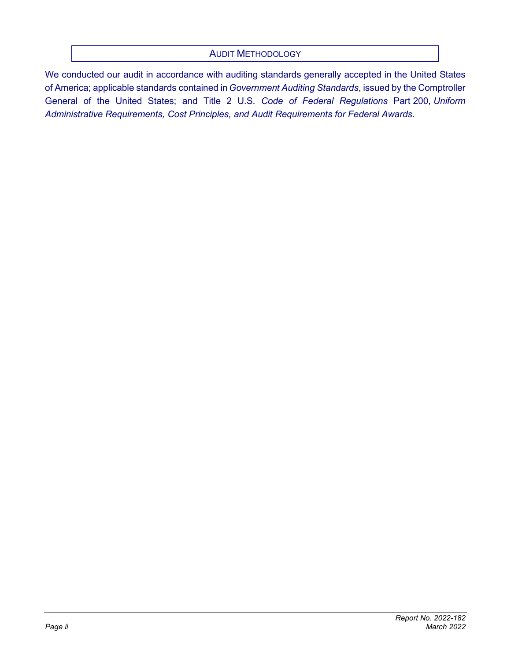#### AUDIT METHODOLOGY

We conducted our audit in accordance with auditing standards generally accepted in the United States of America; applicable standards contained in*Government Auditing Standards*, issued by the Comptroller General of the United States; and Title 2 U.S. *Code of Federal Regulations* Part 200, *Uniform Administrative Requirements, Cost Principles, and Audit Requirements for Federal Awards*.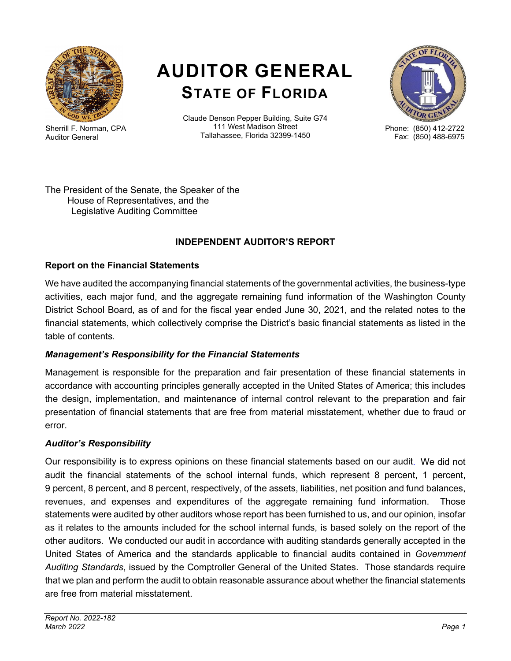<span id="page-6-1"></span>

Sherrill F. Norman, CPA Auditor General

# **AUDITOR GENERAL STATE OF FLORIDA**

Claude Denson Pepper Building, Suite G74 111 West Madison Street Tallahassee, Florida 32399-1450



Phone: (850) 412-2722 Fax: (850) 488-6975

The President of the Senate, the Speaker of the House of Representatives, and the Legislative Auditing Committee

## **INDEPENDENT AUDITOR'S REPORT**

## <span id="page-6-0"></span>**Report on the Financial Statements**

We have audited the accompanying financial statements of the governmental activities, the business-type activities, each major fund, and the aggregate remaining fund information of the Washington County District School Board, as of and for the fiscal year ended June 30, 2021, and the related notes to the financial statements, which collectively comprise the District's basic financial statements as listed in the table of contents.

## *Management's Responsibility for the Financial Statements*

Management is responsible for the preparation and fair presentation of these financial statements in accordance with accounting principles generally accepted in the United States of America; this includes the design, implementation, and maintenance of internal control relevant to the preparation and fair presentation of financial statements that are free from material misstatement, whether due to fraud or error.

#### *Auditor's Responsibility*

Our responsibility is to express opinions on these financial statements based on our audit. We did not audit the financial statements of the school internal funds, which represent 8 percent, 1 percent, 9 percent, 8 percent, and 8 percent, respectively, of the assets, liabilities, net position and fund balances, revenues, and expenses and expenditures of the aggregate remaining fund information. Those statements were audited by other auditors whose report has been furnished to us, and our opinion, insofar as it relates to the amounts included for the school internal funds, is based solely on the report of the other auditors. We conducted our audit in accordance with auditing standards generally accepted in the United States of America and the standards applicable to financial audits contained in *Government Auditing Standards*, issued by the Comptroller General of the United States. Those standards require that we plan and perform the audit to obtain reasonable assurance about whether the financial statements are free from material misstatement.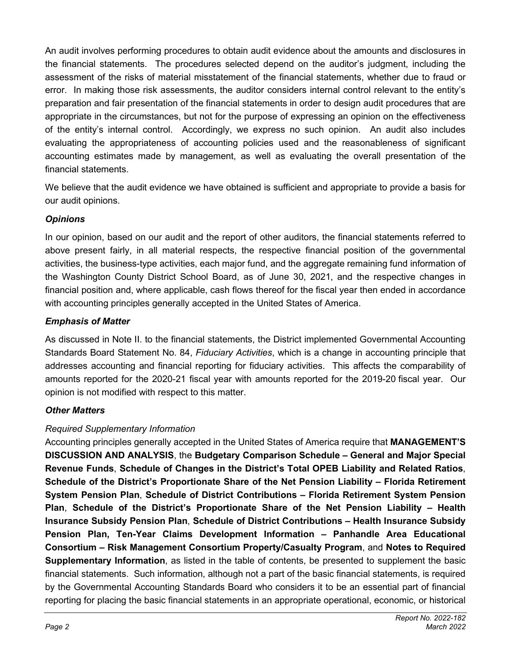An audit involves performing procedures to obtain audit evidence about the amounts and disclosures in the financial statements. The procedures selected depend on the auditor's judgment, including the assessment of the risks of material misstatement of the financial statements, whether due to fraud or error. In making those risk assessments, the auditor considers internal control relevant to the entity's preparation and fair presentation of the financial statements in order to design audit procedures that are appropriate in the circumstances, but not for the purpose of expressing an opinion on the effectiveness of the entity's internal control. Accordingly, we express no such opinion. An audit also includes evaluating the appropriateness of accounting policies used and the reasonableness of significant accounting estimates made by management, as well as evaluating the overall presentation of the financial statements.

We believe that the audit evidence we have obtained is sufficient and appropriate to provide a basis for our audit opinions.

## *Opinions*

In our opinion, based on our audit and the report of other auditors, the financial statements referred to above present fairly, in all material respects, the respective financial position of the governmental activities, the business-type activities, each major fund, and the aggregate remaining fund information of the Washington County District School Board, as of June 30, 2021, and the respective changes in financial position and, where applicable, cash flows thereof for the fiscal year then ended in accordance with accounting principles generally accepted in the United States of America.

## *Emphasis of Matter*

As discussed in Note II. to the financial statements, the District implemented Governmental Accounting Standards Board Statement No. 84, *Fiduciary Activities*, which is a change in accounting principle that addresses accounting and financial reporting for fiduciary activities. This affects the comparability of amounts reported for the 2020-21 fiscal year with amounts reported for the 2019-20 fiscal year. Our opinion is not modified with respect to this matter.

## *Other Matters*

## *Required Supplementary Information*

Accounting principles generally accepted in the United States of America require that **MANAGEMENT'S DISCUSSION AND ANALYSIS**, the **Budgetary Comparison Schedule – General and Major Special Revenue Funds**, **Schedule of Changes in the District's Total OPEB Liability and Related Ratios**, **Schedule of the District's Proportionate Share of the Net Pension Liability – Florida Retirement System Pension Plan**, **Schedule of District Contributions – Florida Retirement System Pension Plan**, **Schedule of the District's Proportionate Share of the Net Pension Liability – Health Insurance Subsidy Pension Plan**, **Schedule of District Contributions – Health Insurance Subsidy Pension Plan, Ten-Year Claims Development Information – Panhandle Area Educational Consortium – Risk Management Consortium Property/Casualty Program**, and **Notes to Required Supplementary Information**, as listed in the table of contents, be presented to supplement the basic financial statements. Such information, although not a part of the basic financial statements, is required by the Governmental Accounting Standards Board who considers it to be an essential part of financial reporting for placing the basic financial statements in an appropriate operational, economic, or historical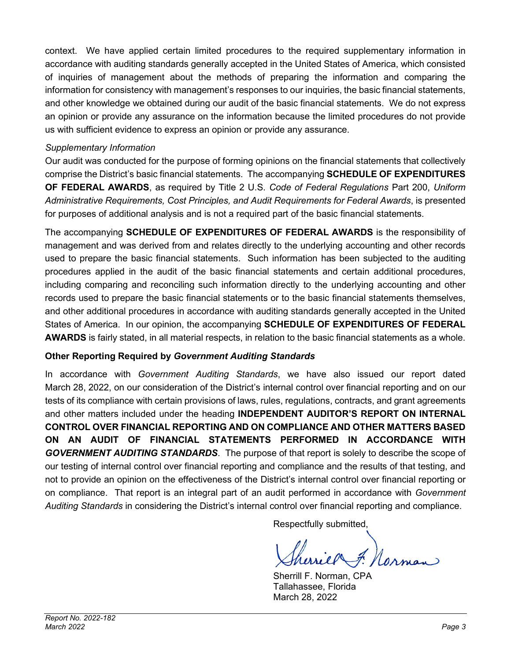<span id="page-8-1"></span>context. We have applied certain limited procedures to the required supplementary information in accordance with auditing standards generally accepted in the United States of America, which consisted of inquiries of management about the methods of preparing the information and comparing the information for consistency with management's responses to our inquiries, the basic financial statements, and other knowledge we obtained during our audit of the basic financial statements. We do not express an opinion or provide any assurance on the information because the limited procedures do not provide us with sufficient evidence to express an opinion or provide any assurance.

#### *Supplementary Information*

Our audit was conducted for the purpose of forming opinions on the financial statements that collectively comprise the District's basic financial statements. The accompanying **SCHEDULE OF EXPENDITURES OF FEDERAL AWARDS**, as required by Title 2 U.S. *Code of Federal Regulations* Part 200, *Uniform Administrative Requirements, Cost Principles, and Audit Requirements for Federal Awards*, is presented for purposes of additional analysis and is not a required part of the basic financial statements.

The accompanying **SCHEDULE OF EXPENDITURES OF FEDERAL AWARDS** is the responsibility of management and was derived from and relates directly to the underlying accounting and other records used to prepare the basic financial statements. Such information has been subjected to the auditing procedures applied in the audit of the basic financial statements and certain additional procedures, including comparing and reconciling such information directly to the underlying accounting and other records used to prepare the basic financial statements or to the basic financial statements themselves, and other additional procedures in accordance with auditing standards generally accepted in the United States of America. In our opinion, the accompanying **SCHEDULE OF EXPENDITURES OF FEDERAL AWARDS** is fairly stated, in all material respects, in relation to the basic financial statements as a whole.

#### <span id="page-8-0"></span>**Other Reporting Required by** *Government Auditing Standards*

In accordance with *Government Auditing Standards*, we have also issued our report dated March 28, 2022, on our consideration of the District's internal control over financial reporting and on our tests of its compliance with certain provisions of laws, rules, regulations, contracts, and grant agreements and other matters included under the heading **INDEPENDENT AUDITOR'S REPORT ON INTERNAL CONTROL OVER FINANCIAL REPORTING AND ON COMPLIANCE AND OTHER MATTERS BASED ON AN AUDIT OF FINANCIAL STATEMENTS PERFORMED IN ACCORDANCE WITH**  *GOVERNMENT AUDITING STANDARDS*. The purpose of that report is solely to describe the scope of our testing of internal control over financial reporting and compliance and the results of that testing, and not to provide an opinion on the effectiveness of the District's internal control over financial reporting or on compliance. That report is an integral part of an audit performed in accordance with *Government Auditing Standards* in considering the District's internal control over financial reporting and compliance.

Respectfully submitted,

Sherrill F. Norman, CPA Tallahassee, Florida March 28, 2022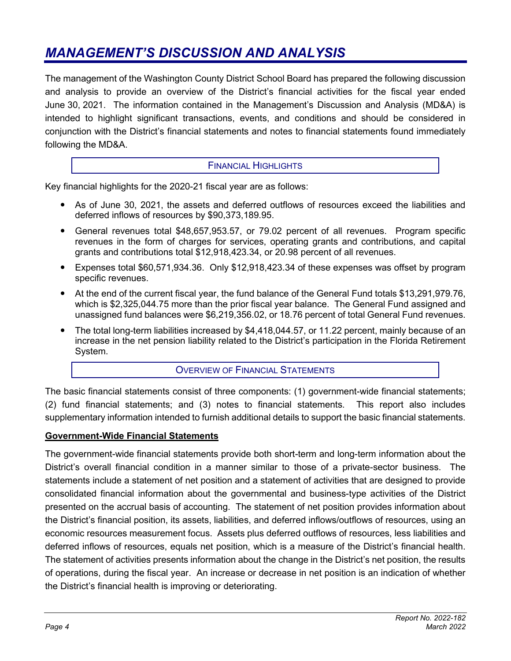# <span id="page-9-1"></span><span id="page-9-0"></span>*MANAGEMENT'S DISCUSSION AND ANALYSIS*

The management of the Washington County District School Board has prepared the following discussion and analysis to provide an overview of the District's financial activities for the fiscal year ended June 30, 2021. The information contained in the Management's Discussion and Analysis (MD&A) is intended to highlight significant transactions, events, and conditions and should be considered in conjunction with the District's financial statements and notes to financial statements found immediately following the MD&A.

#### FINANCIAL HIGHLIGHTS

Key financial highlights for the 2020-21 fiscal year are as follows:

- As of June 30, 2021, the assets and deferred outflows of resources exceed the liabilities and deferred inflows of resources by \$90,373,189.95.
- General revenues total \$48,657,953.57, or 79.02 percent of all revenues. Program specific revenues in the form of charges for services, operating grants and contributions, and capital grants and contributions total \$12,918,423.34, or 20.98 percent of all revenues.
- Expenses total \$60,571,934.36. Only \$12,918,423.34 of these expenses was offset by program specific revenues.
- At the end of the current fiscal year, the fund balance of the General Fund totals \$13,291,979.76, which is \$2,325,044.75 more than the prior fiscal year balance. The General Fund assigned and unassigned fund balances were \$6,219,356.02, or 18.76 percent of total General Fund revenues.
- The total long-term liabilities increased by \$4,418,044.57, or 11.22 percent, mainly because of an increase in the net pension liability related to the District's participation in the Florida Retirement System.

#### OVERVIEW OF FINANCIAL STATEMENTS

The basic financial statements consist of three components: (1) government-wide financial statements; (2) fund financial statements; and (3) notes to financial statements. This report also includes supplementary information intended to furnish additional details to support the basic financial statements.

#### **Government-Wide Financial Statements**

The government-wide financial statements provide both short-term and long-term information about the District's overall financial condition in a manner similar to those of a private-sector business. The statements include a statement of net position and a statement of activities that are designed to provide consolidated financial information about the governmental and business-type activities of the District presented on the accrual basis of accounting. The statement of net position provides information about the District's financial position, its assets, liabilities, and deferred inflows/outflows of resources, using an economic resources measurement focus. Assets plus deferred outflows of resources, less liabilities and deferred inflows of resources, equals net position, which is a measure of the District's financial health. The statement of activities presents information about the change in the District's net position, the results of operations, during the fiscal year. An increase or decrease in net position is an indication of whether the District's financial health is improving or deteriorating.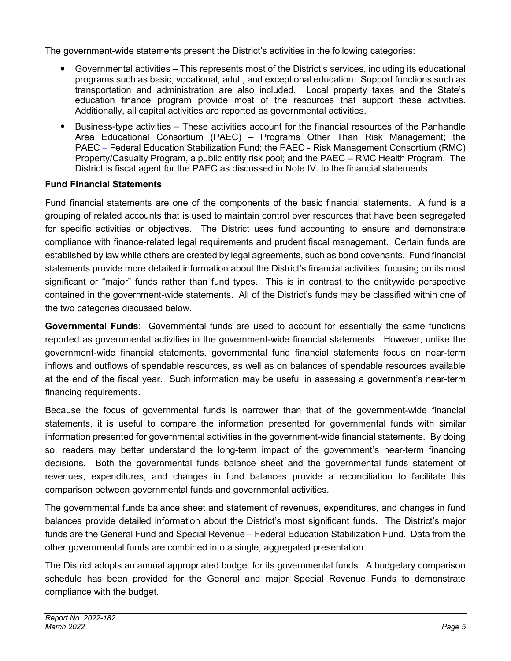The government-wide statements present the District's activities in the following categories:

- Governmental activities This represents most of the District's services, including its educational programs such as basic, vocational, adult, and exceptional education. Support functions such as transportation and administration are also included. Local property taxes and the State's education finance program provide most of the resources that support these activities. Additionally, all capital activities are reported as governmental activities.
- Business-type activities These activities account for the financial resources of the Panhandle Area Educational Consortium (PAEC) – Programs Other Than Risk Management; the PAEC – Federal Education Stabilization Fund; the PAEC - Risk Management Consortium (RMC) Property/Casualty Program, a public entity risk pool; and the PAEC – RMC Health Program. The District is fiscal agent for the PAEC as discussed in Note IV. to the financial statements.

## **Fund Financial Statements**

Fund financial statements are one of the components of the basic financial statements. A fund is a grouping of related accounts that is used to maintain control over resources that have been segregated for specific activities or objectives. The District uses fund accounting to ensure and demonstrate compliance with finance-related legal requirements and prudent fiscal management. Certain funds are established by law while others are created by legal agreements, such as bond covenants. Fund financial statements provide more detailed information about the District's financial activities, focusing on its most significant or "major" funds rather than fund types. This is in contrast to the entitywide perspective contained in the government-wide statements. All of the District's funds may be classified within one of the two categories discussed below.

**Governmental Funds**: Governmental funds are used to account for essentially the same functions reported as governmental activities in the government-wide financial statements. However, unlike the government-wide financial statements, governmental fund financial statements focus on near-term inflows and outflows of spendable resources, as well as on balances of spendable resources available at the end of the fiscal year. Such information may be useful in assessing a government's near-term financing requirements.

Because the focus of governmental funds is narrower than that of the government-wide financial statements, it is useful to compare the information presented for governmental funds with similar information presented for governmental activities in the government-wide financial statements. By doing so, readers may better understand the long-term impact of the government's near-term financing decisions. Both the governmental funds balance sheet and the governmental funds statement of revenues, expenditures, and changes in fund balances provide a reconciliation to facilitate this comparison between governmental funds and governmental activities.

The governmental funds balance sheet and statement of revenues, expenditures, and changes in fund balances provide detailed information about the District's most significant funds. The District's major funds are the General Fund and Special Revenue – Federal Education Stabilization Fund. Data from the other governmental funds are combined into a single, aggregated presentation.

The District adopts an annual appropriated budget for its governmental funds. A budgetary comparison schedule has been provided for the General and major Special Revenue Funds to demonstrate compliance with the budget.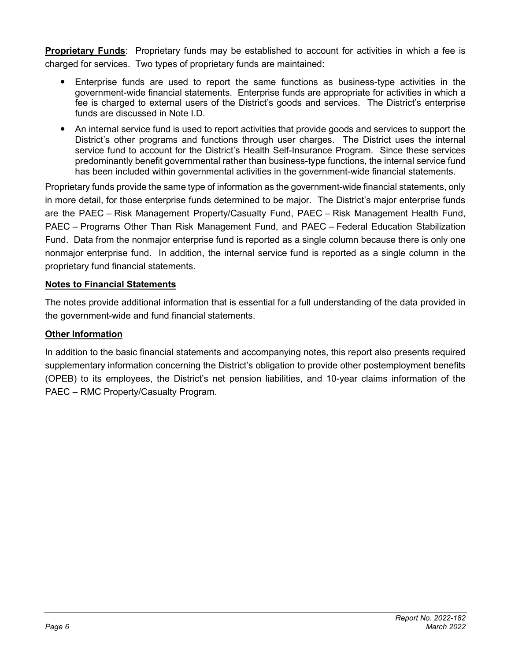**Proprietary Funds**: Proprietary funds may be established to account for activities in which a fee is charged for services. Two types of proprietary funds are maintained:

- Enterprise funds are used to report the same functions as business-type activities in the government-wide financial statements. Enterprise funds are appropriate for activities in which a fee is charged to external users of the District's goods and services. The District's enterprise funds are discussed in Note I.D.
- An internal service fund is used to report activities that provide goods and services to support the District's other programs and functions through user charges. The District uses the internal service fund to account for the District's Health Self-Insurance Program. Since these services predominantly benefit governmental rather than business-type functions, the internal service fund has been included within governmental activities in the government-wide financial statements.

Proprietary funds provide the same type of information as the government-wide financial statements, only in more detail, for those enterprise funds determined to be major. The District's major enterprise funds are the PAEC – Risk Management Property/Casualty Fund, PAEC – Risk Management Health Fund, PAEC – Programs Other Than Risk Management Fund, and PAEC – Federal Education Stabilization Fund. Data from the nonmajor enterprise fund is reported as a single column because there is only one nonmajor enterprise fund. In addition, the internal service fund is reported as a single column in the proprietary fund financial statements.

#### **Notes to Financial Statements**

The notes provide additional information that is essential for a full understanding of the data provided in the government-wide and fund financial statements.

## **Other Information**

In addition to the basic financial statements and accompanying notes, this report also presents required supplementary information concerning the District's obligation to provide other postemployment benefits (OPEB) to its employees, the District's net pension liabilities, and 10-year claims information of the PAEC – RMC Property/Casualty Program.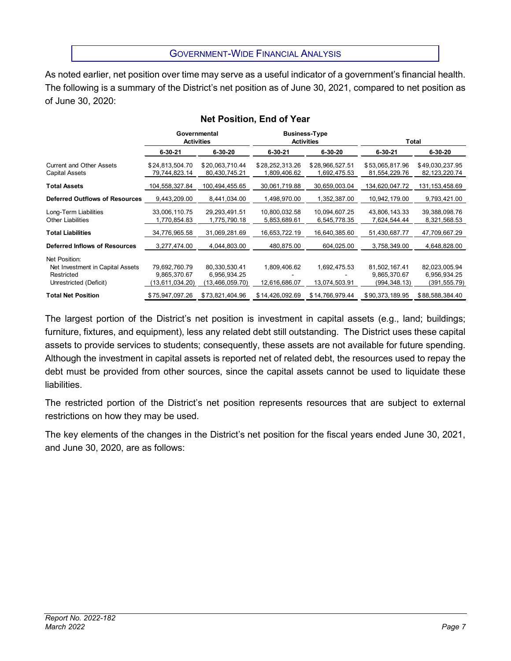#### GOVERNMENT-WIDE FINANCIAL ANALYSIS

As noted earlier, net position over time may serve as a useful indicator of a government's financial health. The following is a summary of the District's net position as of June 30, 2021, compared to net position as of June 30, 2020:

|                                                                                           | Governmental<br><b>Activities</b>                |                                                  |                                 | <b>Business-Type</b><br><b>Activities</b> |                                               | Total                                         |
|-------------------------------------------------------------------------------------------|--------------------------------------------------|--------------------------------------------------|---------------------------------|-------------------------------------------|-----------------------------------------------|-----------------------------------------------|
|                                                                                           | $6 - 30 - 21$                                    | 6-30-20                                          | 6-30-21                         | $6 - 30 - 20$                             | 6-30-21                                       | $6 - 30 - 20$                                 |
| <b>Current and Other Assets</b><br><b>Capital Assets</b>                                  | \$24,813,504.70<br>79,744,823.14                 | \$20,063,710.44<br>80,430,745.21                 | \$28,252,313.26<br>1,809,406.62 | \$28,966,527.51<br>1,692,475.53           | \$53,065,817.96<br>81,554,229.76              | \$49,030,237.95<br>82, 123, 220. 74           |
| <b>Total Assets</b>                                                                       | 104,558,327.84                                   | 100,494,455.65                                   | 30,061,719.88                   | 30,659,003.04                             | 134,620,047.72                                | 131, 153, 458.69                              |
| <b>Deferred Outflows of Resources</b>                                                     | 9,443,209.00                                     | 8,441,034.00                                     | 1,498,970.00                    | 1,352,387.00                              | 10,942,179.00                                 | 9,793,421.00                                  |
| Long-Term Liabilities<br><b>Other Liabilities</b>                                         | 33,006,110.75<br>1,770,854.83                    | 29,293,491.51<br>1,775,790.18                    | 10,800,032.58<br>5,853,689.61   | 10,094,607.25<br>6,545,778.35             | 43,806,143.33<br>7,624,544.44                 | 39,388,098.76<br>8,321,568.53                 |
| <b>Total Liabilities</b>                                                                  | 34,776,965.58                                    | 31,069,281.69                                    | 16,653,722.19                   | 16,640,385.60                             | 51,430,687.77                                 | 47,709,667.29                                 |
| Deferred Inflows of Resources                                                             | 3,277,474.00                                     | 4,044,803.00                                     | 480,875.00                      | 604,025.00                                | 3,758,349.00                                  | 4,648,828.00                                  |
| Net Position:<br>Net Investment in Capital Assets<br>Restricted<br>Unrestricted (Deficit) | 79,692,760.79<br>9,865,370.67<br>(13,611,034.20) | 80,330,530.41<br>6,956,934.25<br>(13,466,059.70) | 1,809,406.62<br>12,616,686.07   | 1,692,475.53<br>13,074,503.91             | 81,502,167.41<br>9,865,370.67<br>(994,348.13) | 82,023,005.94<br>6,956,934.25<br>(391,555.79) |
| <b>Total Net Position</b>                                                                 | \$75,947,097.26                                  | \$73,821,404.96                                  | \$14,426,092.69                 | \$14,766,979.44                           | \$90,373,189.95                               | \$88,588,384.40                               |

#### **Net Position, End of Year**

The largest portion of the District's net position is investment in capital assets (e.g., land; buildings; furniture, fixtures, and equipment), less any related debt still outstanding. The District uses these capital assets to provide services to students; consequently, these assets are not available for future spending. Although the investment in capital assets is reported net of related debt, the resources used to repay the debt must be provided from other sources, since the capital assets cannot be used to liquidate these liabilities.

The restricted portion of the District's net position represents resources that are subject to external restrictions on how they may be used.

The key elements of the changes in the District's net position for the fiscal years ended June 30, 2021, and June 30, 2020, are as follows: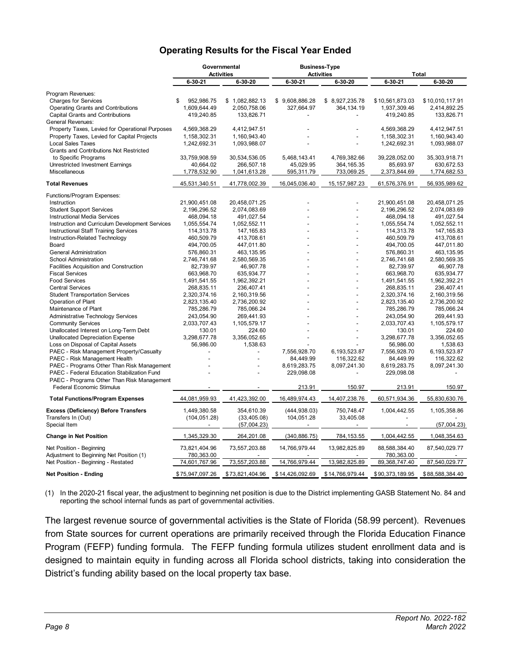#### **Operating Results for the Fiscal Year Ended**

|                                                  |                  | Governmental<br><b>Business-Type</b><br><b>Activities</b><br><b>Activities</b> |                 |                  |                 | Total           |
|--------------------------------------------------|------------------|--------------------------------------------------------------------------------|-----------------|------------------|-----------------|-----------------|
|                                                  | 6-30-21          | 6-30-20                                                                        | 6-30-21         | 6-30-20          | $6 - 30 - 21$   | 6-30-20         |
|                                                  |                  |                                                                                |                 |                  |                 |                 |
| Program Revenues:<br><b>Charges for Services</b> | 952.986.75<br>\$ | \$1,082,882.13                                                                 | \$9,608,886.28  | \$ 8,927,235.78  | \$10,561,873.03 | \$10.010.117.91 |
| Operating Grants and Contributions               | 1,609,644.49     | 2,050,758.06                                                                   | 327,664.97      | 364,134.19       | 1,937,309.46    | 2,414,892.25    |
| <b>Capital Grants and Contributions</b>          | 419,240.85       | 133,826.71                                                                     |                 |                  | 419,240.85      | 133,826.71      |
| General Revenues:                                |                  |                                                                                |                 |                  |                 |                 |
| Property Taxes, Levied for Operational Purposes  | 4,569,368.29     | 4,412,947.51                                                                   |                 |                  | 4,569,368.29    | 4,412,947.51    |
| Property Taxes, Levied for Capital Projects      | 1,158,302.31     | 1,160,943.40                                                                   |                 |                  | 1,158,302.31    | 1,160,943.40    |
| <b>Local Sales Taxes</b>                         | 1,242,692.31     | 1,093,988.07                                                                   |                 |                  | 1,242,692.31    | 1,093,988.07    |
| Grants and Contributions Not Restricted          |                  |                                                                                |                 |                  |                 |                 |
| to Specific Programs                             | 33,759,908.59    | 30,534,536.05                                                                  | 5,468,143.41    | 4,769,382.66     | 39,228,052.00   | 35,303,918.71   |
| Unrestricted Investment Earnings                 | 40,664.02        | 266,507.18                                                                     | 45,029.95       | 364, 165.35      | 85,693.97       | 630,672.53      |
| Miscellaneous                                    | 1,778,532.90     | 1,041,613.28                                                                   | 595,311.79      | 733,069.25       | 2,373,844.69    | 1,774,682.53    |
|                                                  |                  |                                                                                |                 |                  |                 |                 |
| <b>Total Revenues</b>                            | 45,531,340.51    | 41,778,002.39                                                                  | 16,045,036.40   | 15, 157, 987. 23 | 61,576,376.91   | 56,935,989.62   |
| Functions/Program Expenses:                      |                  |                                                                                |                 |                  |                 |                 |
| Instruction                                      | 21,900,451.08    | 20,458,071.25                                                                  |                 |                  | 21,900,451.08   | 20,458,071.25   |
| <b>Student Support Services</b>                  | 2,196,296.52     | 2,074,083.69                                                                   |                 |                  | 2,196,296.52    | 2,074,083.69    |
| <b>Instructional Media Services</b>              | 468,094.18       | 491,027.54                                                                     |                 |                  | 468,094.18      | 491,027.54      |
| Instruction and Curriculum Development Services  | 1,055,554.74     | 1,052,552.11                                                                   |                 |                  | 1,055,554.74    | 1,052,552.11    |
| <b>Instructional Staff Training Services</b>     | 114,313.78       | 147, 165.83                                                                    |                 |                  | 114,313.78      | 147, 165.83     |
| Instruction-Related Technology                   | 460,509.79       | 413,708.61                                                                     |                 |                  | 460,509.79      | 413,708.61      |
| Board                                            | 494,700.05       | 447,011.80                                                                     |                 |                  | 494,700.05      | 447,011.80      |
| <b>General Administration</b>                    | 576,860.31       | 463,135.95                                                                     |                 |                  | 576,860.31      | 463,135.95      |
| School Administration                            | 2,746,741.68     | 2,580,569.35                                                                   |                 |                  | 2,746,741.68    | 2,580,569.35    |
| <b>Facilities Acquisition and Construction</b>   | 82,739.97        | 46,907.78                                                                      |                 |                  | 82,739.97       | 46,907.78       |
| <b>Fiscal Services</b>                           | 663,968.70       | 635,934.77                                                                     |                 |                  | 663,968.70      | 635,934.77      |
| <b>Food Services</b>                             | 1,491,541.55     | 1,962,392.21                                                                   |                 |                  | 1,491,541.55    | 1,962,392.21    |
| <b>Central Services</b>                          | 268,835.11       | 236,407.41                                                                     |                 |                  | 268,835.11      | 236,407.41      |
| <b>Student Transportation Services</b>           | 2,320,374.16     | 2,160,319.56                                                                   |                 |                  | 2,320,374.16    | 2,160,319.56    |
| Operation of Plant                               | 2,823,135.40     | 2,736,200.92                                                                   |                 |                  | 2,823,135.40    | 2,736,200.92    |
| Maintenance of Plant                             | 785,286.79       | 785,066.24                                                                     |                 |                  | 785,286.79      | 785,066.24      |
| <b>Administrative Technology Services</b>        | 243,054.90       | 269,441.93                                                                     |                 |                  | 243,054.90      | 269,441.93      |
| <b>Community Services</b>                        | 2,033,707.43     | 1,105,579.17                                                                   |                 |                  | 2,033,707.43    | 1,105,579.17    |
| Unallocated Interest on Long-Term Debt           | 130.01           | 224.60                                                                         |                 |                  | 130.01          | 224.60          |
| <b>Unallocated Depreciation Expense</b>          | 3,298,677.78     | 3,356,052.65                                                                   |                 |                  | 3,298,677.78    | 3,356,052.65    |
| Loss on Disposal of Capital Assets               | 56,986.00        | 1,538.63                                                                       |                 |                  | 56,986.00       | 1,538.63        |
| PAEC - Risk Management Property/Casualty         |                  |                                                                                | 7,556,928.70    | 6,193,523.87     | 7,556,928.70    | 6,193,523.87    |
| PAEC - Risk Management Health                    |                  |                                                                                | 84,449.99       | 116,322.62       | 84,449.99       | 116,322.62      |
| PAEC - Programs Other Than Risk Management       |                  |                                                                                | 8,619,283.75    | 8,097,241.30     | 8,619,283.75    | 8,097,241.30    |
| PAEC - Federal Education Stabilization Fund      |                  |                                                                                | 229,098.08      |                  | 229,098.08      |                 |
| PAEC - Programs Other Than Risk Management       |                  |                                                                                |                 |                  |                 |                 |
| <b>Federal Economic Stimulus</b>                 |                  |                                                                                | 213.91          | 150.97           | 213.91          | 150.97          |
| <b>Total Functions/Program Expenses</b>          | 44,081,959.93    | 41,423,392.00                                                                  | 16,489,974.43   | 14,407,238.76    | 60,571,934.36   | 55,830,630.76   |
| <b>Excess (Deficiency) Before Transfers</b>      | 1,449,380.58     | 354,610.39                                                                     | (444, 938.03)   | 750,748.47       | 1,004,442.55    | 1,105,358.86    |
| Transfers In (Out)                               | (104, 051.28)    | (33, 405.08)                                                                   | 104,051.28      | 33,405.08        |                 |                 |
| Special Item                                     |                  | (57,004.23)                                                                    |                 |                  |                 | (57,004.23)     |
| <b>Change in Net Position</b>                    | 1,345,329.30     | 264,201.08                                                                     | (340, 886.75)   | 784,153.55       | 1,004,442.55    | 1,048,354.63    |
| Net Position - Beginning                         | 73,821,404.96    | 73,557,203.88                                                                  | 14,766,979.44   | 13,982,825.89    | 88,588,384.40   | 87,540,029.77   |
| Adjustment to Beginning Net Position (1)         | 780,363.00       |                                                                                |                 |                  | 780,363.00      |                 |
| Net Position - Beginning - Restated              | 74,601,767.96    | 73,557,203.88                                                                  | 14,766,979.44   | 13,982,825.89    | 89,368,747.40   | 87,540,029.77   |
| <b>Net Position - Ending</b>                     | \$75,947,097.26  | \$73,821,404.96                                                                | \$14,426,092.69 | \$14,766,979.44  | \$90,373,189.95 | \$88,588,384.40 |

(1) In the 2020-21 fiscal year, the adjustment to beginning net position is due to the District implementing GASB Statement No. 84 and reporting the school internal funds as part of governmental activities.

The largest revenue source of governmental activities is the State of Florida (58.99 percent). Revenues from State sources for current operations are primarily received through the Florida Education Finance Program (FEFP) funding formula. The FEFP funding formula utilizes student enrollment data and is designed to maintain equity in funding across all Florida school districts, taking into consideration the District's funding ability based on the local property tax base.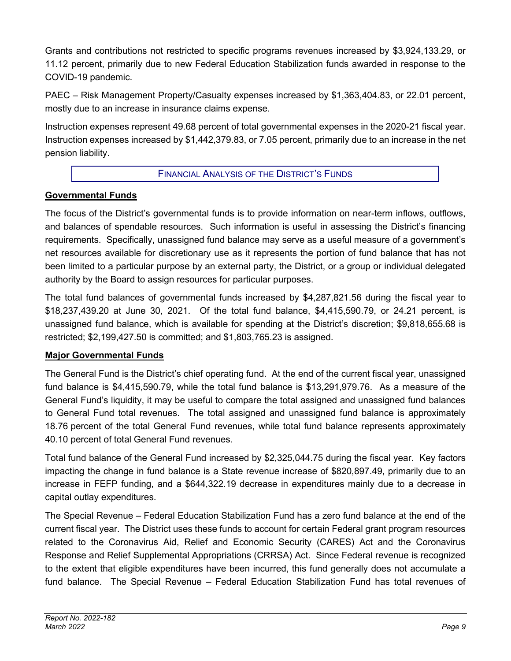Grants and contributions not restricted to specific programs revenues increased by \$3,924,133.29, or 11.12 percent, primarily due to new Federal Education Stabilization funds awarded in response to the COVID-19 pandemic.

PAEC – Risk Management Property/Casualty expenses increased by \$1,363,404.83, or 22.01 percent, mostly due to an increase in insurance claims expense.

Instruction expenses represent 49.68 percent of total governmental expenses in the 2020-21 fiscal year. Instruction expenses increased by \$1,442,379.83, or 7.05 percent, primarily due to an increase in the net pension liability.

## FINANCIAL ANALYSIS OF THE DISTRICT'S FUNDS

## **Governmental Funds**

The focus of the District's governmental funds is to provide information on near-term inflows, outflows, and balances of spendable resources. Such information is useful in assessing the District's financing requirements. Specifically, unassigned fund balance may serve as a useful measure of a government's net resources available for discretionary use as it represents the portion of fund balance that has not been limited to a particular purpose by an external party, the District, or a group or individual delegated authority by the Board to assign resources for particular purposes.

The total fund balances of governmental funds increased by \$4,287,821.56 during the fiscal year to \$18,237,439.20 at June 30, 2021. Of the total fund balance, \$4,415,590.79, or 24.21 percent, is unassigned fund balance, which is available for spending at the District's discretion; \$9,818,655.68 is restricted; \$2,199,427.50 is committed; and \$1,803,765.23 is assigned.

## **Major Governmental Funds**

The General Fund is the District's chief operating fund. At the end of the current fiscal year, unassigned fund balance is \$4,415,590.79, while the total fund balance is \$13,291,979.76. As a measure of the General Fund's liquidity, it may be useful to compare the total assigned and unassigned fund balances to General Fund total revenues. The total assigned and unassigned fund balance is approximately 18.76 percent of the total General Fund revenues, while total fund balance represents approximately 40.10 percent of total General Fund revenues.

Total fund balance of the General Fund increased by \$2,325,044.75 during the fiscal year. Key factors impacting the change in fund balance is a State revenue increase of \$820,897.49, primarily due to an increase in FEFP funding, and a \$644,322.19 decrease in expenditures mainly due to a decrease in capital outlay expenditures.

The Special Revenue – Federal Education Stabilization Fund has a zero fund balance at the end of the current fiscal year. The District uses these funds to account for certain Federal grant program resources related to the Coronavirus Aid, Relief and Economic Security (CARES) Act and the Coronavirus Response and Relief Supplemental Appropriations (CRRSA) Act. Since Federal revenue is recognized to the extent that eligible expenditures have been incurred, this fund generally does not accumulate a fund balance. The Special Revenue – Federal Education Stabilization Fund has total revenues of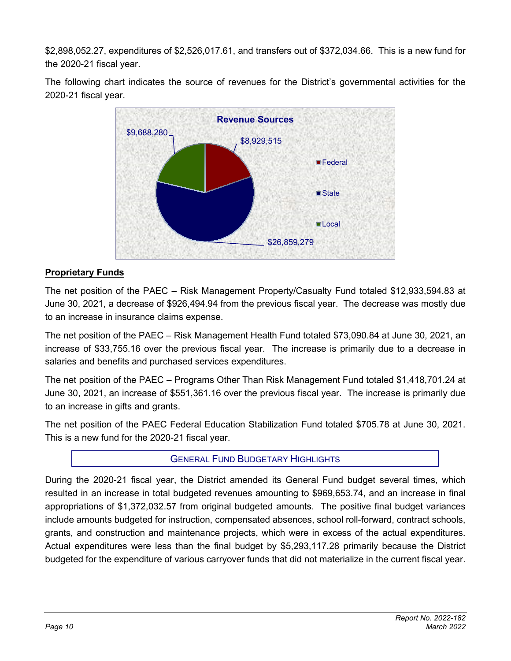\$2,898,052.27, expenditures of \$2,526,017.61, and transfers out of \$372,034.66. This is a new fund for the 2020-21 fiscal year.

The following chart indicates the source of revenues for the District's governmental activities for the 2020-21 fiscal year.



#### **Proprietary Funds**

The net position of the PAEC – Risk Management Property/Casualty Fund totaled \$12,933,594.83 at June 30, 2021, a decrease of \$926,494.94 from the previous fiscal year. The decrease was mostly due to an increase in insurance claims expense.

The net position of the PAEC – Risk Management Health Fund totaled \$73,090.84 at June 30, 2021, an increase of \$33,755.16 over the previous fiscal year. The increase is primarily due to a decrease in salaries and benefits and purchased services expenditures.

The net position of the PAEC – Programs Other Than Risk Management Fund totaled \$1,418,701.24 at June 30, 2021, an increase of \$551,361.16 over the previous fiscal year. The increase is primarily due to an increase in gifts and grants.

The net position of the PAEC Federal Education Stabilization Fund totaled \$705.78 at June 30, 2021. This is a new fund for the 2020-21 fiscal year.

**GENERAL FUND BUDGETARY HIGHLIGHTS** 

During the 2020-21 fiscal year, the District amended its General Fund budget several times, which resulted in an increase in total budgeted revenues amounting to \$969,653.74, and an increase in final appropriations of \$1,372,032.57 from original budgeted amounts. The positive final budget variances include amounts budgeted for instruction, compensated absences, school roll-forward, contract schools, grants, and construction and maintenance projects, which were in excess of the actual expenditures. Actual expenditures were less than the final budget by \$5,293,117.28 primarily because the District budgeted for the expenditure of various carryover funds that did not materialize in the current fiscal year.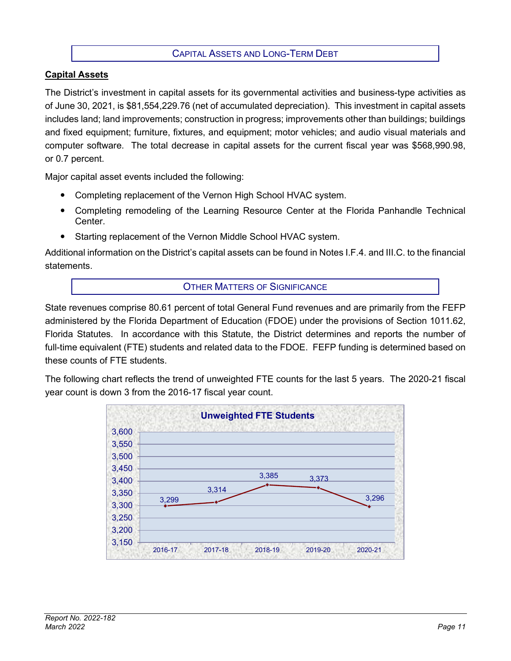#### CAPITAL ASSETS AND LONG-TERM DEBT

#### **Capital Assets**

The District's investment in capital assets for its governmental activities and business-type activities as of June 30, 2021, is \$81,554,229.76 (net of accumulated depreciation). This investment in capital assets includes land; land improvements; construction in progress; improvements other than buildings; buildings and fixed equipment; furniture, fixtures, and equipment; motor vehicles; and audio visual materials and computer software. The total decrease in capital assets for the current fiscal year was \$568,990.98, or 0.7 percent.

Major capital asset events included the following:

- Completing replacement of the Vernon High School HVAC system.
- Completing remodeling of the Learning Resource Center at the Florida Panhandle Technical Center.
- Starting replacement of the Vernon Middle School HVAC system.

Additional information on the District's capital assets can be found in Notes I.F.4. and III.C. to the financial statements.

## OTHER MATTERS OF SIGNIFICANCE

State revenues comprise 80.61 percent of total General Fund revenues and are primarily from the FEFP administered by the Florida Department of Education (FDOE) under the provisions of Section 1011.62, Florida Statutes. In accordance with this Statute, the District determines and reports the number of full-time equivalent (FTE) students and related data to the FDOE. FEFP funding is determined based on these counts of FTE students.

The following chart reflects the trend of unweighted FTE counts for the last 5 years. The 2020-21 fiscal year count is down 3 from the 2016-17 fiscal year count.

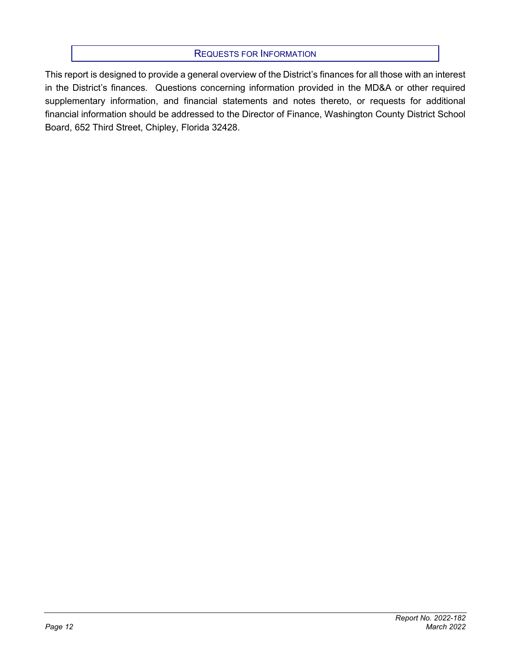#### REQUESTS FOR INFORMATION

This report is designed to provide a general overview of the District's finances for all those with an interest in the District's finances. Questions concerning information provided in the MD&A or other required supplementary information, and financial statements and notes thereto, or requests for additional financial information should be addressed to the Director of Finance, Washington County District School Board, 652 Third Street, Chipley, Florida 32428.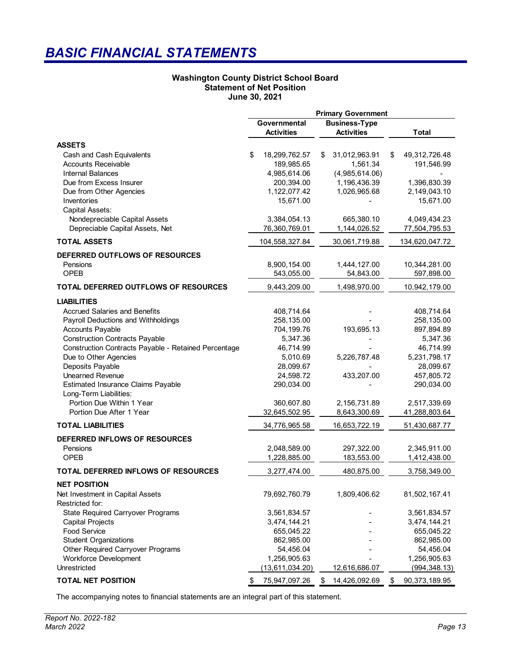# <span id="page-18-1"></span>*BASIC FINANCIAL STATEMENTS*

#### **Washington County District School Board Statement of Net Position June 30, 2021**

<span id="page-18-0"></span>

|                                                      | <b>Primary Government</b> |                   |    |                   |    |                  |  |
|------------------------------------------------------|---------------------------|-------------------|----|-------------------|----|------------------|--|
|                                                      |                           | Governmental      |    |                   |    |                  |  |
|                                                      |                           | <b>Activities</b> |    | <b>Activities</b> |    | <b>Total</b>     |  |
| <b>ASSETS</b>                                        |                           |                   |    |                   |    |                  |  |
| Cash and Cash Equivalents                            | \$                        | 18,299,762.57     | \$ | 31,012,963.91     | S  | 49,312,726.48    |  |
| <b>Accounts Receivable</b>                           |                           | 189,985.65        |    | 1,561.34          |    | 191,546.99       |  |
| <b>Internal Balances</b>                             |                           | 4,985,614.06      |    | (4,985,614.06)    |    |                  |  |
| Due from Excess Insurer                              |                           | 200,394.00        |    | 1,196,436.39      |    | 1,396,830.39     |  |
| Due from Other Agencies                              |                           | 1,122,077.42      |    | 1,026,965.68      |    | 2,149,043.10     |  |
| Inventories                                          |                           | 15,671.00         |    |                   |    | 15,671.00        |  |
| Capital Assets:                                      |                           |                   |    |                   |    |                  |  |
| Nondepreciable Capital Assets                        |                           | 3,384,054.13      |    | 665,380.10        |    | 4,049,434.23     |  |
| Depreciable Capital Assets, Net                      |                           | 76,360,769.01     |    | 1,144,026.52      |    | 77,504,795.53    |  |
| <b>TOTAL ASSETS</b>                                  |                           | 104,558,327.84    |    | 30,061,719.88     |    | 134,620,047.72   |  |
| DEFERRED OUTFLOWS OF RESOURCES                       |                           |                   |    |                   |    |                  |  |
| Pensions                                             |                           | 8,900,154.00      |    | 1,444,127.00      |    | 10,344,281.00    |  |
| OPEB                                                 |                           | 543,055.00        |    | 54,843.00         |    | 597,898.00       |  |
| TOTAL DEFERRED OUTFLOWS OF RESOURCES                 |                           | 9,443,209.00      |    | 1,498,970.00      |    | 10,942,179.00    |  |
|                                                      |                           |                   |    |                   |    |                  |  |
| <b>LIABILITIES</b>                                   |                           |                   |    |                   |    |                  |  |
| <b>Accrued Salaries and Benefits</b>                 |                           | 408,714.64        |    |                   |    | 408,714.64       |  |
| Payroll Deductions and Withholdings                  |                           | 258,135.00        |    |                   |    | 258,135.00       |  |
| <b>Accounts Payable</b>                              |                           | 704,199.76        |    | 193,695.13        |    | 897,894.89       |  |
| <b>Construction Contracts Payable</b>                |                           | 5,347.36          |    |                   |    | 5,347.36         |  |
| Construction Contracts Payable - Retained Percentage |                           | 46,714.99         |    |                   |    | 46,714.99        |  |
| Due to Other Agencies                                |                           | 5,010.69          |    | 5,226,787.48      |    | 5,231,798.17     |  |
| Deposits Payable                                     |                           | 28,099.67         |    |                   |    | 28,099.67        |  |
| <b>Unearned Revenue</b>                              |                           | 24,598.72         |    | 433,207.00        |    | 457,805.72       |  |
| Estimated Insurance Claims Payable                   |                           | 290,034.00        |    |                   |    | 290,034.00       |  |
| Long-Term Liabilities:                               |                           |                   |    |                   |    |                  |  |
| Portion Due Within 1 Year                            |                           | 360,607.80        |    | 2,156,731.89      |    | 2,517,339.69     |  |
| Portion Due After 1 Year                             |                           | 32,645,502.95     |    | 8,643,300.69      |    | 41,288,803.64    |  |
| <b>TOTAL LIABILITIES</b>                             |                           | 34,776,965.58     |    | 16,653,722.19     |    | 51,430,687.77    |  |
| DEFERRED INFLOWS OF RESOURCES                        |                           |                   |    |                   |    |                  |  |
| Pensions                                             |                           | 2,048,589.00      |    | 297,322.00        |    | 2,345,911.00     |  |
| OPEB                                                 |                           | 1,228,885.00      |    | 183,553.00        |    | 1,412,438.00     |  |
| <b>TOTAL DEFERRED INFLOWS OF RESOURCES</b>           |                           | 3,277,474.00      |    | 480,875.00        |    | 3,758,349.00     |  |
| <b>NET POSITION</b>                                  |                           |                   |    |                   |    |                  |  |
| Net Investment in Capital Assets                     |                           | 79,692,760.79     |    | 1,809,406.62      |    | 81,502,167.41    |  |
| Restricted for:                                      |                           |                   |    |                   |    |                  |  |
| State Required Carryover Programs                    |                           | 3,561,834.57      |    |                   |    | 3,561,834.57     |  |
| <b>Capital Projects</b>                              |                           | 3,474,144.21      |    |                   |    | 3,474,144.21     |  |
| <b>Food Service</b>                                  |                           | 655,045.22        |    |                   |    | 655,045.22       |  |
| <b>Student Organizations</b>                         |                           | 862,985.00        |    |                   |    | 862,985.00       |  |
| Other Required Carryover Programs                    |                           | 54,456.04         |    |                   |    | 54,456.04        |  |
| Workforce Development                                |                           | 1,256,905.63      |    |                   |    | 1,256,905.63     |  |
| Unrestricted                                         |                           | (13,611,034.20)   |    | 12,616,686.07     |    | (994, 348.13)    |  |
| <b>TOTAL NET POSITION</b>                            | \$                        | 75,947,097.26     | \$ | 14,426,092.69     | \$ | 90, 373, 189. 95 |  |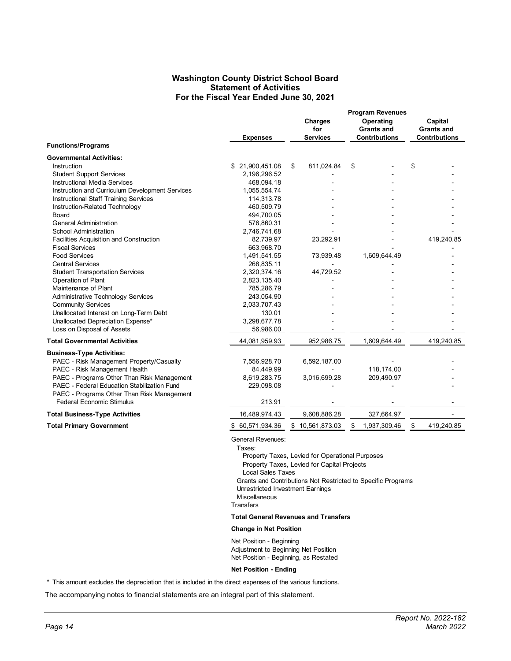#### **Washington County District School Board Statement of Activities For the Fiscal Year Ended June 30, 2021**

<span id="page-19-1"></span><span id="page-19-0"></span>

|                                                 |                                                                                                                                                                                                                                                                                                                                                      |                                                                                                | <b>Program Revenues</b>        |                              |
|-------------------------------------------------|------------------------------------------------------------------------------------------------------------------------------------------------------------------------------------------------------------------------------------------------------------------------------------------------------------------------------------------------------|------------------------------------------------------------------------------------------------|--------------------------------|------------------------------|
|                                                 |                                                                                                                                                                                                                                                                                                                                                      | <b>Charges</b><br>for                                                                          | Operating<br><b>Grants and</b> | Capital<br><b>Grants and</b> |
| <b>Functions/Programs</b>                       | <b>Expenses</b>                                                                                                                                                                                                                                                                                                                                      | <b>Services</b>                                                                                | <b>Contributions</b>           | <b>Contributions</b>         |
| <b>Governmental Activities:</b>                 |                                                                                                                                                                                                                                                                                                                                                      |                                                                                                |                                |                              |
| Instruction                                     | \$ 21,900,451.08                                                                                                                                                                                                                                                                                                                                     | \$<br>811,024.84                                                                               | \$                             | \$                           |
| <b>Student Support Services</b>                 | 2,196,296.52                                                                                                                                                                                                                                                                                                                                         |                                                                                                |                                |                              |
| <b>Instructional Media Services</b>             | 468,094.18                                                                                                                                                                                                                                                                                                                                           |                                                                                                |                                |                              |
| Instruction and Curriculum Development Services | 1,055,554.74                                                                                                                                                                                                                                                                                                                                         |                                                                                                |                                |                              |
| Instructional Staff Training Services           | 114,313.78                                                                                                                                                                                                                                                                                                                                           |                                                                                                |                                |                              |
| Instruction-Related Technology                  | 460,509.79                                                                                                                                                                                                                                                                                                                                           |                                                                                                |                                |                              |
| Board                                           | 494,700.05                                                                                                                                                                                                                                                                                                                                           |                                                                                                |                                |                              |
| <b>General Administration</b>                   | 576,860.31                                                                                                                                                                                                                                                                                                                                           |                                                                                                |                                |                              |
| School Administration                           | 2,746,741.68                                                                                                                                                                                                                                                                                                                                         |                                                                                                |                                |                              |
| Facilities Acquisition and Construction         | 82,739.97                                                                                                                                                                                                                                                                                                                                            | 23,292.91                                                                                      |                                | 419,240.85                   |
| <b>Fiscal Services</b>                          | 663,968.70                                                                                                                                                                                                                                                                                                                                           |                                                                                                |                                |                              |
| <b>Food Services</b>                            |                                                                                                                                                                                                                                                                                                                                                      |                                                                                                |                                |                              |
|                                                 | 1,491,541.55                                                                                                                                                                                                                                                                                                                                         | 73,939.48                                                                                      | 1,609,644.49                   |                              |
| <b>Central Services</b>                         | 268,835.11                                                                                                                                                                                                                                                                                                                                           |                                                                                                |                                |                              |
| <b>Student Transportation Services</b>          | 2,320,374.16                                                                                                                                                                                                                                                                                                                                         | 44,729.52                                                                                      |                                |                              |
| Operation of Plant                              | 2,823,135.40                                                                                                                                                                                                                                                                                                                                         |                                                                                                |                                |                              |
| Maintenance of Plant                            | 785,286.79                                                                                                                                                                                                                                                                                                                                           |                                                                                                |                                |                              |
| <b>Administrative Technology Services</b>       | 243,054.90                                                                                                                                                                                                                                                                                                                                           |                                                                                                |                                |                              |
| <b>Community Services</b>                       | 2,033,707.43                                                                                                                                                                                                                                                                                                                                         |                                                                                                |                                |                              |
| Unallocated Interest on Long-Term Debt          | 130.01                                                                                                                                                                                                                                                                                                                                               |                                                                                                |                                |                              |
| Unallocated Depreciation Expense*               | 3,298,677.78                                                                                                                                                                                                                                                                                                                                         |                                                                                                |                                |                              |
| Loss on Disposal of Assets                      | 56,986.00                                                                                                                                                                                                                                                                                                                                            |                                                                                                |                                |                              |
| <b>Total Governmental Activities</b>            | 44,081,959.93                                                                                                                                                                                                                                                                                                                                        | 952,986.75                                                                                     | 1,609,644.49                   | 419,240.85                   |
| <b>Business-Type Activities:</b>                |                                                                                                                                                                                                                                                                                                                                                      |                                                                                                |                                |                              |
| PAEC - Risk Management Property/Casualty        | 7,556,928.70                                                                                                                                                                                                                                                                                                                                         | 6,592,187.00                                                                                   |                                |                              |
| PAEC - Risk Management Health                   | 84,449.99                                                                                                                                                                                                                                                                                                                                            |                                                                                                | 118,174.00                     |                              |
| PAEC - Programs Other Than Risk Management      | 8,619,283.75                                                                                                                                                                                                                                                                                                                                         | 3,016,699.28                                                                                   | 209,490.97                     |                              |
| PAEC - Federal Education Stabilization Fund     | 229,098.08                                                                                                                                                                                                                                                                                                                                           |                                                                                                |                                |                              |
| PAEC - Programs Other Than Risk Management      |                                                                                                                                                                                                                                                                                                                                                      |                                                                                                |                                |                              |
| <b>Federal Economic Stimulus</b>                | 213.91                                                                                                                                                                                                                                                                                                                                               |                                                                                                |                                |                              |
| <b>Total Business-Type Activities</b>           | 16,489,974.43                                                                                                                                                                                                                                                                                                                                        | 9,608,886.28                                                                                   | 327,664.97                     |                              |
| <b>Total Primary Government</b>                 | 60,571,934.36<br>\$                                                                                                                                                                                                                                                                                                                                  | \$10,561,873.03                                                                                | \$<br>1,937,309.46             | \$<br>419,240.85             |
|                                                 | General Revenues:<br>Taxes:<br><b>Local Sales Taxes</b><br>Grants and Contributions Not Restricted to Specific Programs<br>Unrestricted Investment Earnings<br>Miscellaneous<br><b>Transfers</b><br><b>Total General Revenues and Transfers</b><br><b>Change in Net Position</b><br>Net Position - Beginning<br>Adjustment to Beginning Net Position | Property Taxes, Levied for Operational Purposes<br>Property Taxes, Levied for Capital Projects |                                |                              |
|                                                 | Net Position - Beginning, as Restated                                                                                                                                                                                                                                                                                                                |                                                                                                |                                |                              |

#### **Net Position - Ending**

\* This amount excludes the depreciation that is included in the direct expenses of the various functions.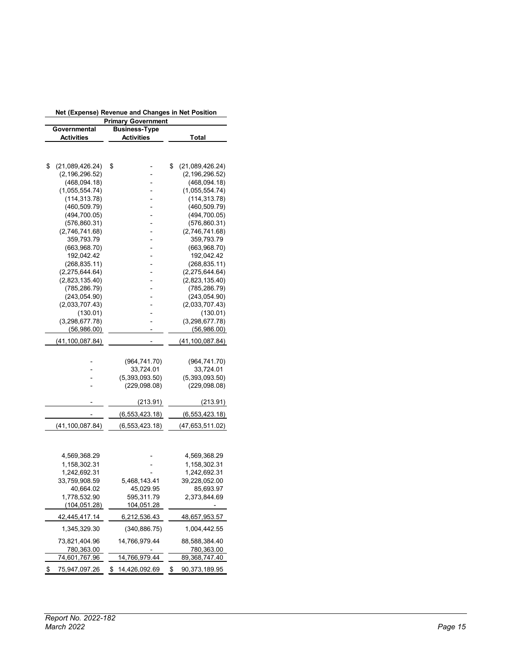|                       | Net (Expense) Revenue and Changes in Net Position<br><b>Primary Government</b> |                        |
|-----------------------|--------------------------------------------------------------------------------|------------------------|
| Governmental          | <b>Business-Type</b>                                                           |                        |
| <b>Activities</b>     | <b>Activities</b>                                                              | Total                  |
|                       |                                                                                |                        |
|                       |                                                                                |                        |
| \$<br>(21,089,426.24) |                                                                                | \$<br>(21,089,426.24)  |
|                       | \$                                                                             |                        |
| (2, 196, 296.52)      |                                                                                | (2, 196, 296.52)       |
| (468,094.18)          |                                                                                | (468,094.18)           |
| (1,055,554.74)        |                                                                                | (1,055,554.74)         |
| (114, 313.78)         |                                                                                | (114, 313.78)          |
| (460, 509.79)         |                                                                                | (460, 509.79)          |
| (494, 700.05)         |                                                                                | (494, 700.05)          |
| (576, 860.31)         |                                                                                | (576, 860.31)          |
| (2,746,741.68)        |                                                                                | (2,746,741.68)         |
| 359,793.79            |                                                                                | 359,793.79             |
| (663,968.70)          |                                                                                | (663,968.70)           |
| 192,042.42            |                                                                                | 192,042.42             |
| (268, 835.11)         |                                                                                | (268, 835.11)          |
| (2,275,644.64)        |                                                                                | (2, 275, 644.64)       |
|                       |                                                                                |                        |
| (2,823,135.40)        |                                                                                | (2,823,135.40)         |
| (785, 286.79)         |                                                                                | (785, 286.79)          |
| (243, 054.90)         |                                                                                | (243, 054.90)          |
| (2,033,707.43)        |                                                                                | (2,033,707.43)         |
| (130.01)              |                                                                                | (130.01)               |
| (3,298,677.78)        |                                                                                | (3,298,677.78)         |
| (56,986.00)           |                                                                                | (56,986.00)            |
|                       |                                                                                |                        |
| (41, 100, 087.84)     |                                                                                | (41, 100, 087.84)      |
|                       |                                                                                |                        |
|                       | (964, 741.70)                                                                  | (964, 741.70)          |
|                       | 33,724.01                                                                      | 33,724.01              |
|                       | (5,393,093.50)                                                                 | (5,393,093.50)         |
|                       | (229,098.08)                                                                   | (229,098.08)           |
|                       |                                                                                |                        |
|                       | (213.91)                                                                       | (213.91)               |
|                       | (6, 553, 423.18)                                                               | (6, 553, 423.18)       |
| (41, 100, 087.84)     | (6, 553, 423.18)                                                               | (47, 653, 511.02)      |
|                       |                                                                                |                        |
|                       |                                                                                |                        |
| 4,569,368.29          |                                                                                | 4,569,368.29           |
| 1,158,302.31          |                                                                                | 1,158,302.31           |
| 1,242,692.31          |                                                                                | 1,242,692.31           |
| 33,759,908.59         | 5,468,143.41                                                                   | 39,228,052.00          |
| 40,664.02             | 45,029.95                                                                      | 85,693.97              |
| 1,778,532.90          | 595,311.79                                                                     | 2,373,844.69           |
| (104, 051.28)         | 104,051.28                                                                     |                        |
| 42,445,417.14         | 6,212,536.43                                                                   | 48,657,953.57          |
| 1,345,329.30          | (340, 886.75)                                                                  | 1,004,442.55           |
| 73,821,404.96         | 14,766,979.44                                                                  | 88,588,384.40          |
| 780,363.00            |                                                                                | 780,363.00             |
| 74,601,767.96         | 14,766,979.44                                                                  | 89, 368, 747. 40       |
| \$<br>75,947,097.26   | \$14,426,092.69                                                                | \$<br>90, 373, 189. 95 |
|                       |                                                                                |                        |
|                       |                                                                                |                        |
|                       |                                                                                |                        |
|                       |                                                                                |                        |
|                       |                                                                                |                        |
| Report No. 2022-182   |                                                                                |                        |
| March 2022            |                                                                                |                        |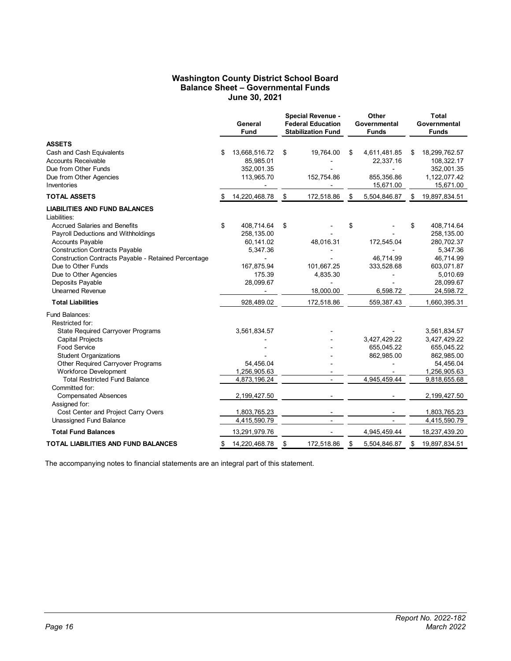#### **Washington County District School Board Balance Sheet – Governmental Funds June 30, 2021**

<span id="page-21-1"></span><span id="page-21-0"></span>

|                                                                                                                                                                                                         | General<br><b>Fund</b>                                       | <b>Special Revenue -</b><br><b>Federal Education</b><br><b>Stabilization Fund</b> | Other<br>Governmental<br><b>Funds</b>                                        |    | <b>Total</b><br>Governmental<br><b>Funds</b>                           |
|---------------------------------------------------------------------------------------------------------------------------------------------------------------------------------------------------------|--------------------------------------------------------------|-----------------------------------------------------------------------------------|------------------------------------------------------------------------------|----|------------------------------------------------------------------------|
| <b>ASSETS</b><br>Cash and Cash Equivalents<br><b>Accounts Receivable</b><br>Due from Other Funds<br>Due from Other Agencies<br>Inventories                                                              | \$<br>13,668,516.72<br>85,985.01<br>352,001.35<br>113,965.70 | \$<br>19,764.00<br>152,754.86                                                     | \$<br>4,611,481.85<br>22,337.16<br>$\blacksquare$<br>855,356.86<br>15,671.00 | \$ | 18,299,762.57<br>108,322.17<br>352,001.35<br>1,122,077.42<br>15,671.00 |
| <b>TOTAL ASSETS</b>                                                                                                                                                                                     | 14,220,468.78                                                | \$<br>172,518.86                                                                  | \$<br>5,504,846.87                                                           | \$ | 19,897,834.51                                                          |
| <b>LIABILITIES AND FUND BALANCES</b><br>Liabilities:                                                                                                                                                    |                                                              |                                                                                   |                                                                              |    |                                                                        |
| <b>Accrued Salaries and Benefits</b><br>Payroll Deductions and Withholdings<br><b>Accounts Payable</b><br><b>Construction Contracts Payable</b><br>Construction Contracts Payable - Retained Percentage | \$<br>408,714.64<br>258,135.00<br>60,141.02<br>5,347.36      | \$<br>48,016.31                                                                   | \$<br>172,545.04<br>46,714.99                                                | \$ | 408,714.64<br>258,135.00<br>280,702.37<br>5,347.36<br>46,714.99        |
| Due to Other Funds<br>Due to Other Agencies<br>Deposits Payable<br><b>Unearned Revenue</b>                                                                                                              | 167,875.94<br>175.39<br>28,099.67                            | 101,667.25<br>4,835.30<br>18,000.00                                               | 333,528.68<br>6,598.72                                                       |    | 603,071.87<br>5,010.69<br>28,099.67<br>24,598.72                       |
| <b>Total Liabilities</b>                                                                                                                                                                                | 928,489.02                                                   | 172,518.86                                                                        | 559,387.43                                                                   |    | 1,660,395.31                                                           |
| Fund Balances:<br>Restricted for:                                                                                                                                                                       |                                                              |                                                                                   |                                                                              |    |                                                                        |
| <b>State Required Carryover Programs</b><br><b>Capital Projects</b><br><b>Food Service</b>                                                                                                              | 3,561,834.57                                                 |                                                                                   | 3,427,429.22<br>655,045.22                                                   |    | 3,561,834.57<br>3,427,429.22<br>655,045.22                             |
| <b>Student Organizations</b><br>Other Required Carryover Programs<br><b>Workforce Development</b>                                                                                                       | 54,456.04<br>1,256,905.63                                    |                                                                                   | 862,985.00                                                                   |    | 862,985.00<br>54,456.04<br>1,256,905.63                                |
| <b>Total Restricted Fund Balance</b><br>Committed for:<br><b>Compensated Absences</b><br>Assigned for:                                                                                                  | 4,873,196.24<br>2,199,427.50                                 |                                                                                   | 4.945.459.44                                                                 |    | 9,818,655.68<br>2,199,427.50                                           |
| Cost Center and Project Carry Overs<br><b>Unassigned Fund Balance</b>                                                                                                                                   | 1,803,765.23<br>4,415,590.79                                 |                                                                                   |                                                                              |    | 1,803,765.23<br>4,415,590.79                                           |
| <b>Total Fund Balances</b>                                                                                                                                                                              | 13,291,979.76                                                |                                                                                   | 4,945,459.44                                                                 |    | 18,237,439.20                                                          |
| <b>TOTAL LIABILITIES AND FUND BALANCES</b>                                                                                                                                                              | \$<br>14,220,468.78                                          | \$<br>172,518.86                                                                  | \$<br>5,504,846.87                                                           | \$ | 19,897,834.51                                                          |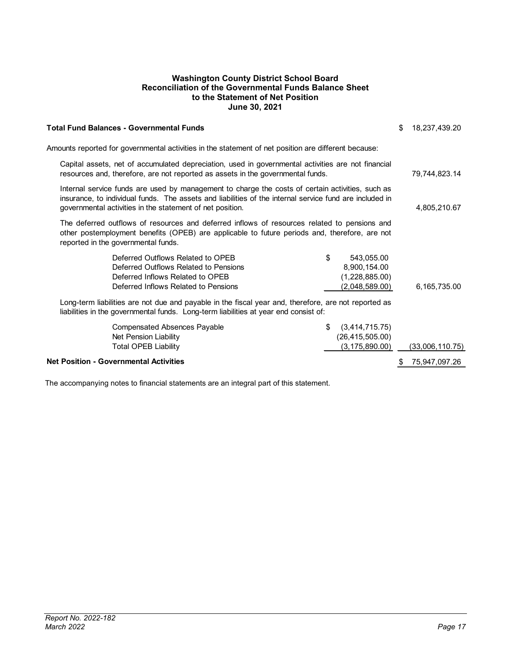#### **Washington County District School Board Reconciliation of the Governmental Funds Balance Sheet to the Statement of Net Position June 30, 2021**

<span id="page-22-1"></span><span id="page-22-0"></span>

| Total Fund Balances - Governmental Funds                                                             | \$                                                                                                                                                                                                                                                                       | 18,237,439.20 |                 |  |  |  |  |  |
|------------------------------------------------------------------------------------------------------|--------------------------------------------------------------------------------------------------------------------------------------------------------------------------------------------------------------------------------------------------------------------------|---------------|-----------------|--|--|--|--|--|
| Amounts reported for governmental activities in the statement of net position are different because: |                                                                                                                                                                                                                                                                          |               |                 |  |  |  |  |  |
|                                                                                                      | Capital assets, net of accumulated depreciation, used in governmental activities are not financial<br>resources and, therefore, are not reported as assets in the governmental funds.                                                                                    |               | 79,744,823.14   |  |  |  |  |  |
|                                                                                                      | Internal service funds are used by management to charge the costs of certain activities, such as<br>insurance, to individual funds. The assets and liabilities of the internal service fund are included in<br>governmental activities in the statement of net position. |               |                 |  |  |  |  |  |
|                                                                                                      | The deferred outflows of resources and deferred inflows of resources related to pensions and<br>other postemployment benefits (OPEB) are applicable to future periods and, therefore, are not<br>reported in the governmental funds.                                     |               |                 |  |  |  |  |  |
|                                                                                                      | Deferred Outflows Related to OPEB<br>\$<br>543,055.00<br>8,900,154.00<br>Deferred Outflows Related to Pensions<br>Deferred Inflows Related to OPFB<br>(1,228,885.00)<br>(2,048,589.00)<br>Deferred Inflows Related to Pensions                                           |               | 6,165,735.00    |  |  |  |  |  |
|                                                                                                      | Long-term liabilities are not due and payable in the fiscal year and, therefore, are not reported as<br>liabilities in the governmental funds. Long-term liabilities at year end consist of:                                                                             |               |                 |  |  |  |  |  |
|                                                                                                      | <b>Compensated Absences Payable</b><br>(3,414,715.75)<br>\$<br>(26, 415, 505.00)<br>Net Pension Liability<br><b>Total OPEB Liability</b><br>(3, 175, 890.00)                                                                                                             |               | (33,006,110.75) |  |  |  |  |  |
|                                                                                                      | <b>Net Position - Governmental Activities</b>                                                                                                                                                                                                                            |               | 75,947,097.26   |  |  |  |  |  |
|                                                                                                      |                                                                                                                                                                                                                                                                          |               |                 |  |  |  |  |  |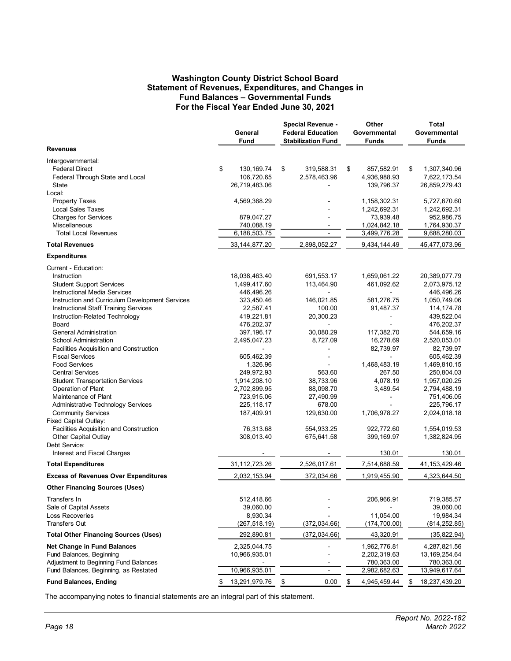#### **Washington County District School Board Statement of Revenues, Expenditures, and Changes in Fund Balances – Governmental Funds For the Fiscal Year Ended June 30, 2021**

<span id="page-23-1"></span><span id="page-23-0"></span>

|                                                                        |    | General<br>Fund             |    | <b>Special Revenue -</b><br><b>Federal Education</b><br><b>Stabilization Fund</b> |    | Other<br>Governmental<br><b>Funds</b> |    | <b>Total</b><br>Governmental<br><b>Funds</b> |  |
|------------------------------------------------------------------------|----|-----------------------------|----|-----------------------------------------------------------------------------------|----|---------------------------------------|----|----------------------------------------------|--|
| <b>Revenues</b>                                                        |    |                             |    |                                                                                   |    |                                       |    |                                              |  |
| Intergovernmental:<br><b>Federal Direct</b>                            | \$ | 130, 169. 74                | \$ | 319,588.31                                                                        | \$ | 857,582.91                            | \$ | 1,307,340.96                                 |  |
| Federal Through State and Local<br>State                               |    | 106,720.65<br>26,719,483.06 |    | 2,578,463.96                                                                      |    | 4,936,988.93<br>139,796.37            |    | 7,622,173.54<br>26,859,279.43                |  |
| Local:                                                                 |    |                             |    |                                                                                   |    |                                       |    |                                              |  |
| <b>Property Taxes</b>                                                  |    | 4,569,368.29                |    |                                                                                   |    | 1,158,302.31                          |    | 5,727,670.60                                 |  |
| <b>Local Sales Taxes</b>                                               |    |                             |    |                                                                                   |    | 1,242,692.31                          |    | 1,242,692.31                                 |  |
| <b>Charges for Services</b>                                            |    | 879,047.27                  |    |                                                                                   |    | 73,939.48                             |    | 952,986.75                                   |  |
| Miscellaneous                                                          |    | 740,088.19                  |    |                                                                                   |    | 1,024,842.18                          |    | 1,764,930.37                                 |  |
| <b>Total Local Revenues</b>                                            |    | 6,188,503.75                |    |                                                                                   |    | 3,499,776.28                          |    | 9,688,280.03                                 |  |
| <b>Total Revenues</b>                                                  |    | 33, 144, 877. 20            |    | 2,898,052.27                                                                      |    | 9,434,144.49                          |    | 45,477,073.96                                |  |
| <b>Expenditures</b>                                                    |    |                             |    |                                                                                   |    |                                       |    |                                              |  |
| Current - Education:                                                   |    |                             |    |                                                                                   |    |                                       |    |                                              |  |
| Instruction                                                            |    | 18,038,463.40               |    | 691,553.17                                                                        |    | 1,659,061.22                          |    | 20,389,077.79                                |  |
| <b>Student Support Services</b><br><b>Instructional Media Services</b> |    | 1,499,417.60<br>446,496.26  |    | 113,464.90                                                                        |    | 461,092.62                            |    | 2,073,975.12<br>446,496.26                   |  |
| Instruction and Curriculum Development Services                        |    | 323,450.46                  |    | 146,021.85                                                                        |    | 581,276.75                            |    | 1,050,749.06                                 |  |
| <b>Instructional Staff Training Services</b>                           |    | 22,587.41                   |    | 100.00                                                                            |    | 91,487.37                             |    | 114, 174. 78                                 |  |
| Instruction-Related Technology                                         |    | 419,221.81                  |    | 20,300.23                                                                         |    |                                       |    | 439,522.04                                   |  |
| Board                                                                  |    | 476,202.37                  |    |                                                                                   |    |                                       |    | 476,202.37                                   |  |
| <b>General Administration</b>                                          |    | 397,196.17                  |    | 30,080.29                                                                         |    | 117,382.70                            |    | 544,659.16                                   |  |
| School Administration                                                  |    | 2,495,047.23                |    | 8,727.09                                                                          |    | 16,278.69                             |    | 2,520,053.01                                 |  |
| Facilities Acquisition and Construction                                |    |                             |    |                                                                                   |    | 82,739.97                             |    | 82,739.97                                    |  |
| <b>Fiscal Services</b>                                                 |    | 605,462.39                  |    |                                                                                   |    |                                       |    | 605,462.39                                   |  |
| <b>Food Services</b>                                                   |    | 1,326.96                    |    |                                                                                   |    | 1,468,483.19                          |    | 1,469,810.15                                 |  |
| <b>Central Services</b>                                                |    | 249,972.93                  |    | 563.60                                                                            |    | 267.50                                |    | 250,804.03                                   |  |
| <b>Student Transportation Services</b>                                 |    | 1,914,208.10                |    | 38,733.96                                                                         |    | 4,078.19                              |    | 1,957,020.25                                 |  |
| <b>Operation of Plant</b>                                              |    | 2,702,899.95                |    | 88,098.70                                                                         |    | 3,489.54                              |    | 2,794,488.19                                 |  |
| Maintenance of Plant                                                   |    | 723,915.06                  |    | 27,490.99                                                                         |    |                                       |    | 751,406.05                                   |  |
| Administrative Technology Services                                     |    | 225,118.17                  |    | 678.00                                                                            |    |                                       |    | 225,796.17                                   |  |
| <b>Community Services</b>                                              |    | 187,409.91                  |    | 129,630.00                                                                        |    | 1,706,978.27                          |    | 2,024,018.18                                 |  |
| Fixed Capital Outlay:<br>Facilities Acquisition and Construction       |    | 76,313.68                   |    | 554,933.25                                                                        |    | 922,772.60                            |    | 1,554,019.53                                 |  |
| Other Capital Outlay                                                   |    | 308,013.40                  |    | 675,641.58                                                                        |    | 399,169.97                            |    | 1,382,824.95                                 |  |
| Debt Service:                                                          |    |                             |    |                                                                                   |    |                                       |    |                                              |  |
| Interest and Fiscal Charges                                            |    |                             |    |                                                                                   |    | 130.01                                |    | 130.01                                       |  |
| <b>Total Expenditures</b>                                              |    | 31, 112, 723. 26            |    | 2,526,017.61                                                                      |    | 7,514,688.59                          |    | 41, 153, 429. 46                             |  |
| <b>Excess of Revenues Over Expenditures</b>                            |    | 2,032,153.94                |    | 372,034.66                                                                        |    | 1,919,455.90                          |    | 4,323,644.50                                 |  |
| <b>Other Financing Sources (Uses)</b>                                  |    |                             |    |                                                                                   |    |                                       |    |                                              |  |
| Transfers In                                                           |    | 512,418.66                  |    |                                                                                   |    | 206,966.91                            |    | 719,385.57                                   |  |
| Sale of Capital Assets                                                 |    | 39,060.00                   |    |                                                                                   |    |                                       |    | 39,060.00                                    |  |
| Loss Recoveries                                                        |    | 8,930.34                    |    |                                                                                   |    | 11,054.00                             |    | 19,984.34                                    |  |
| <b>Transfers Out</b>                                                   |    | (267, 518.19)               |    | (372,034.66)                                                                      |    | (174, 700.00)                         |    | (814, 252.85)                                |  |
| <b>Total Other Financing Sources (Uses)</b>                            |    | 292,890.81                  |    | (372,034.66)                                                                      |    | 43,320.91                             |    | (35, 822.94)                                 |  |
| <b>Net Change in Fund Balances</b>                                     |    | 2,325,044.75                |    |                                                                                   |    | 1,962,776.81                          |    | 4,287,821.56                                 |  |
| Fund Balances, Beginning                                               |    | 10,966,935.01               |    |                                                                                   |    | 2,202,319.63                          |    | 13, 169, 254.64                              |  |
| Adjustment to Beginning Fund Balances                                  |    |                             |    |                                                                                   |    | 780,363.00                            |    | 780,363.00                                   |  |
| Fund Balances, Beginning, as Restated                                  |    | 10,966,935.01               |    |                                                                                   |    | 2,982,682.63                          |    | 13,949,617.64                                |  |
| <b>Fund Balances, Ending</b>                                           | \$ | 13,291,979.76               | \$ | 0.00                                                                              | \$ | 4,945,459.44                          | \$ | 18,237,439.20                                |  |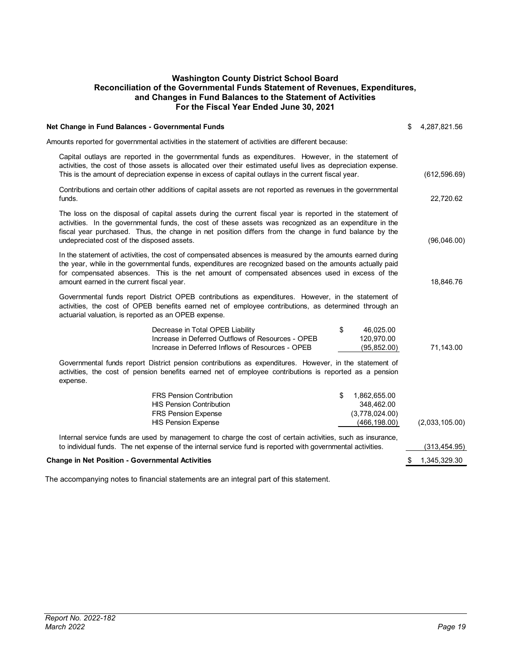#### <span id="page-24-1"></span>**Washington County District School Board Reconciliation of the Governmental Funds Statement of Revenues, Expenditures, and Changes in Fund Balances to the Statement of Activities For the Fiscal Year Ended June 30, 2021**

<span id="page-24-0"></span>

| Net Change in Fund Balances - Governmental Funds                                                                                                                                                                                                                                                                                                                             | \$ | 4,287,821.56   |  |  |  |
|------------------------------------------------------------------------------------------------------------------------------------------------------------------------------------------------------------------------------------------------------------------------------------------------------------------------------------------------------------------------------|----|----------------|--|--|--|
| Amounts reported for governmental activities in the statement of activities are different because:                                                                                                                                                                                                                                                                           |    |                |  |  |  |
| Capital outlays are reported in the governmental funds as expenditures. However, in the statement of<br>activities, the cost of those assets is allocated over their estimated useful lives as depreciation expense.<br>This is the amount of depreciation expense in excess of capital outlays in the current fiscal year.                                                  |    | (612, 596.69)  |  |  |  |
| Contributions and certain other additions of capital assets are not reported as revenues in the governmental<br>funds.                                                                                                                                                                                                                                                       |    | 22,720.62      |  |  |  |
| The loss on the disposal of capital assets during the current fiscal year is reported in the statement of<br>activities. In the governmental funds, the cost of these assets was recognized as an expenditure in the<br>fiscal year purchased. Thus, the change in net position differs from the change in fund balance by the<br>undepreciated cost of the disposed assets. |    | (96,046.00)    |  |  |  |
| In the statement of activities, the cost of compensated absences is measured by the amounts earned during<br>the year, while in the governmental funds, expenditures are recognized based on the amounts actually paid<br>for compensated absences. This is the net amount of compensated absences used in excess of the<br>amount earned in the current fiscal year.        |    |                |  |  |  |
| Governmental funds report District OPEB contributions as expenditures. However, in the statement of<br>activities, the cost of OPEB benefits earned net of employee contributions, as determined through an<br>actuarial valuation, is reported as an OPEB expense.                                                                                                          |    |                |  |  |  |
| \$<br>46,025.00<br>Decrease in Total OPEB Liability<br>Increase in Deferred Outflows of Resources - OPEB<br>120,970.00<br>Increase in Deferred Inflows of Resources - OPEB<br>(95, 852.00)                                                                                                                                                                                   |    | 71,143.00      |  |  |  |
| Governmental funds report District pension contributions as expenditures. However, in the statement of<br>activities, the cost of pension benefits earned net of employee contributions is reported as a pension<br>expense.                                                                                                                                                 |    |                |  |  |  |
| <b>FRS Pension Contribution</b><br>\$<br>1,862,655.00<br><b>HIS Pension Contribution</b><br>348,462.00<br>(3,778,024.00)<br><b>FRS Pension Expense</b>                                                                                                                                                                                                                       |    |                |  |  |  |
| <b>HIS Pension Expense</b><br>(466, 198.00)                                                                                                                                                                                                                                                                                                                                  |    | (2,033,105.00) |  |  |  |
| Internal service funds are used by management to charge the cost of certain activities, such as insurance,<br>to individual funds. The net expense of the internal service fund is reported with governmental activities.                                                                                                                                                    |    | (313, 454.95)  |  |  |  |
| <b>Change in Net Position - Governmental Activities</b>                                                                                                                                                                                                                                                                                                                      | \$ | 1,345,329.30   |  |  |  |
|                                                                                                                                                                                                                                                                                                                                                                              |    |                |  |  |  |
|                                                                                                                                                                                                                                                                                                                                                                              |    |                |  |  |  |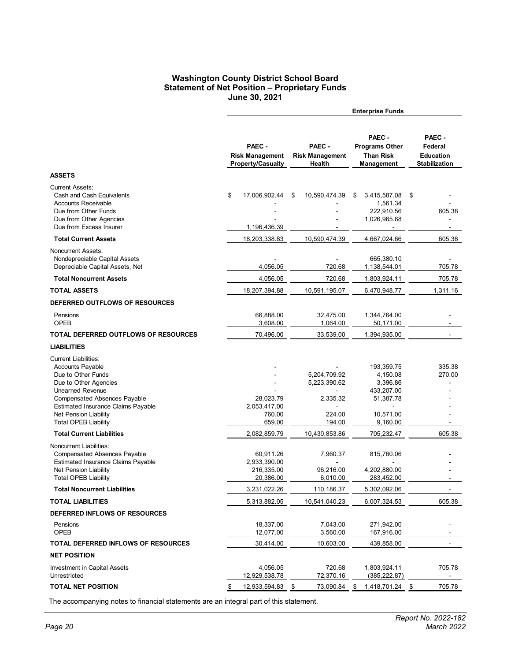#### **Washington County District School Board Statement of Net Position – Proprietary Funds June 30, 2021**

<span id="page-25-1"></span><span id="page-25-0"></span>

|                                                                                                                                                                                                                                                                       |                                                              | <b>Enterprise Funds</b>                                      |                                                                                        |                                                               |  |
|-----------------------------------------------------------------------------------------------------------------------------------------------------------------------------------------------------------------------------------------------------------------------|--------------------------------------------------------------|--------------------------------------------------------------|----------------------------------------------------------------------------------------|---------------------------------------------------------------|--|
|                                                                                                                                                                                                                                                                       | PAEC -<br><b>Risk Management</b><br><b>Property/Casualty</b> | PAEC -<br><b>Risk Management</b><br>Health                   | PAEC -<br><b>Programs Other</b><br><b>Than Risk</b><br>Management                      | PAEC -<br>Federal<br><b>Education</b><br><b>Stabilization</b> |  |
| <b>ASSETS</b>                                                                                                                                                                                                                                                         |                                                              |                                                              |                                                                                        |                                                               |  |
| <b>Current Assets:</b><br>Cash and Cash Equivalents<br><b>Accounts Receivable</b><br>Due from Other Funds<br>Due from Other Agencies<br>Due from Excess Insurer                                                                                                       | 17,006,902.44<br>\$<br>1,196,436.39                          | 10,590,474.39<br>\$                                          | 3,415,587.08<br>\$<br>1,561.34<br>222,910.56<br>1,026,965.68                           | \$<br>605.38                                                  |  |
| <b>Total Current Assets</b>                                                                                                                                                                                                                                           | 18,203,338.83                                                | 10,590,474.39                                                | 4,667,024.66                                                                           | 605.38                                                        |  |
| <b>Noncurrent Assets:</b><br>Nondepreciable Capital Assets<br>Depreciable Capital Assets, Net                                                                                                                                                                         | 4,056.05                                                     | 720.68                                                       | 665,380.10<br>1,138,544.01                                                             | 705.78                                                        |  |
| <b>Total Noncurrent Assets</b>                                                                                                                                                                                                                                        | 4,056.05                                                     | 720.68                                                       | 1,803,924.11                                                                           | 705.78                                                        |  |
| <b>TOTAL ASSETS</b>                                                                                                                                                                                                                                                   | 18,207,394.88                                                | 10,591,195.07                                                | 6,470,948.77                                                                           | 1,311.16                                                      |  |
| DEFERRED OUTFLOWS OF RESOURCES                                                                                                                                                                                                                                        |                                                              |                                                              |                                                                                        |                                                               |  |
| Pensions<br>OPEB                                                                                                                                                                                                                                                      | 66,888.00<br>3,608.00                                        | 32,475.00<br>1,064.00                                        | 1,344,764.00<br>50,171.00                                                              | $\overline{\phantom{a}}$                                      |  |
| TOTAL DEFERRED OUTFLOWS OF RESOURCES                                                                                                                                                                                                                                  | 70,496.00                                                    | 33,539.00                                                    | 1,394,935.00                                                                           |                                                               |  |
| <b>LIABILITIES</b>                                                                                                                                                                                                                                                    |                                                              |                                                              |                                                                                        |                                                               |  |
| <b>Current Liabilities:</b><br><b>Accounts Payable</b><br>Due to Other Funds<br>Due to Other Agencies<br>Unearned Revenue<br><b>Compensated Absences Payable</b><br><b>Estimated Insurance Claims Payable</b><br>Net Pension Liability<br><b>Total OPEB Liability</b> | 28,023.79<br>2,053,417.00<br>760.00<br>659.00                | 5,204,709.92<br>5,223,390.62<br>2,335.32<br>224.00<br>194.00 | 193,359.75<br>4,150.08<br>3,396.86<br>433,207.00<br>51,387.78<br>10,571.00<br>9,160.00 | 335.38<br>270.00                                              |  |
| <b>Total Current Liabilities</b>                                                                                                                                                                                                                                      | 2,082,859.79                                                 | 10,430,853.86                                                | 705,232.47                                                                             | 605.38                                                        |  |
| Noncurrent Liabilities:<br><b>Compensated Absences Payable</b><br><b>Estimated Insurance Claims Payable</b><br>Net Pension Liability<br><b>Total OPEB Liability</b>                                                                                                   | 60,911.26<br>2,933,390.00<br>216,335.00<br>20,386.00         | 7,960.37<br>96,216.00<br>6,010.00                            | 815,760.06<br>4,202,880.00<br>283,452.00                                               |                                                               |  |
| <b>Total Noncurrent Liabilities</b>                                                                                                                                                                                                                                   | 3,231,022.26                                                 | 110,186.37                                                   | 5,302,092.06                                                                           |                                                               |  |
| <b>TOTAL LIABILITIES</b>                                                                                                                                                                                                                                              | 5,313,882.05                                                 | 10,541,040.23                                                | 6,007,324.53                                                                           | 605.38                                                        |  |
| DEFERRED INFLOWS OF RESOURCES                                                                                                                                                                                                                                         |                                                              |                                                              |                                                                                        |                                                               |  |
| Pensions<br>OPEB                                                                                                                                                                                                                                                      | 18,337.00<br>12,077.00                                       | 7,043.00<br>3,560.00                                         | 271,942.00<br>167,916.00                                                               |                                                               |  |
| TOTAL DEFERRED INFLOWS OF RESOURCES                                                                                                                                                                                                                                   | 30,414.00                                                    | 10,603.00                                                    | 439,858.00                                                                             |                                                               |  |
| <b>NET POSITION</b>                                                                                                                                                                                                                                                   |                                                              |                                                              |                                                                                        |                                                               |  |
| <b>Investment in Capital Assets</b><br>Unrestricted                                                                                                                                                                                                                   | 4,056.05<br>12,929,538.78                                    | 720.68<br>72,370.16                                          | 1,803,924.11<br>(385, 222.87)                                                          | 705.78<br>٠                                                   |  |
| <b>TOTAL NET POSITION</b>                                                                                                                                                                                                                                             | 12,933,594.83 \$<br>\$                                       | 73,090.84                                                    | 1,418,701.24 \$<br>\$                                                                  | 705.78                                                        |  |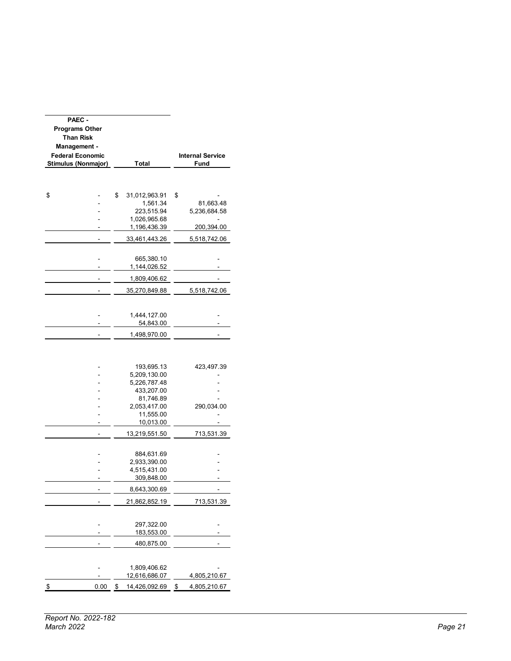| PAEC -<br><b>Programs Other</b><br><b>Than Risk</b><br><b>Management -</b><br><b>Federal Economic</b><br>Stimulus (Nonmajor) |               | Total                        | <b>Internal Service</b><br>Fund |
|------------------------------------------------------------------------------------------------------------------------------|---------------|------------------------------|---------------------------------|
|                                                                                                                              |               |                              |                                 |
|                                                                                                                              |               |                              |                                 |
| \$                                                                                                                           | \$            | 31,012,963.91                | \$                              |
|                                                                                                                              |               | 1,561.34<br>223,515.94       | 81,663.48<br>5,236,684.58       |
|                                                                                                                              |               | 1,026,965.68                 |                                 |
|                                                                                                                              |               | 1,196,436.39                 | 200,394.00                      |
|                                                                                                                              |               | 33,461,443.26                | 5,518,742.06                    |
|                                                                                                                              |               |                              |                                 |
|                                                                                                                              |               | 665,380.10                   |                                 |
|                                                                                                                              |               | 1,144,026.52                 |                                 |
|                                                                                                                              |               | 1,809,406.62                 |                                 |
|                                                                                                                              |               | 35,270,849.88                | 5,518,742.06                    |
|                                                                                                                              |               |                              |                                 |
|                                                                                                                              |               | 1,444,127.00                 |                                 |
|                                                                                                                              |               | 54,843.00                    |                                 |
|                                                                                                                              |               | 1,498,970.00                 |                                 |
|                                                                                                                              |               |                              |                                 |
|                                                                                                                              |               |                              |                                 |
|                                                                                                                              |               | 193,695.13                   | 423,497.39                      |
|                                                                                                                              |               | 5,209,130.00                 |                                 |
|                                                                                                                              |               | 5,226,787.48                 |                                 |
|                                                                                                                              |               | 433,207.00<br>81,746.89      |                                 |
|                                                                                                                              |               | 2,053,417.00                 | 290,034.00                      |
|                                                                                                                              |               | 11,555.00                    |                                 |
|                                                                                                                              |               | 10,013.00                    |                                 |
|                                                                                                                              |               | 13,219,551.50                | 713,531.39                      |
|                                                                                                                              |               |                              |                                 |
|                                                                                                                              |               | 884,631.69                   |                                 |
|                                                                                                                              |               | 2,933,390.00<br>4,515,431.00 |                                 |
|                                                                                                                              |               | 309,848.00                   |                                 |
|                                                                                                                              |               | 8,643,300.69                 |                                 |
|                                                                                                                              |               | 21,862,852.19                | 713,531.39                      |
|                                                                                                                              |               |                              |                                 |
|                                                                                                                              |               |                              |                                 |
|                                                                                                                              |               | 297,322.00<br>183,553.00     |                                 |
|                                                                                                                              |               | 480,875.00                   |                                 |
|                                                                                                                              |               |                              |                                 |
|                                                                                                                              |               |                              |                                 |
|                                                                                                                              |               | 1,809,406.62                 |                                 |
|                                                                                                                              |               | 12,616,686.07                | 4,805,210.67                    |
| 0.00<br>\$                                                                                                                   | $\frac{1}{2}$ | 14,426,092.69                | \$<br>4,805,210.67              |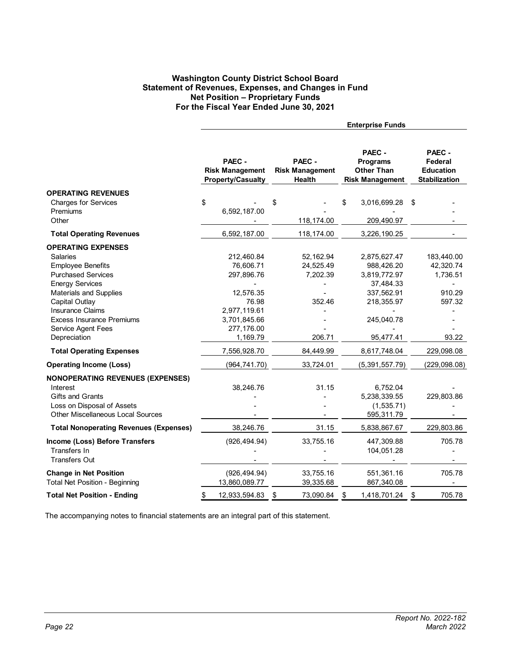#### **Washington County District School Board Statement of Revenues, Expenses, and Changes in Fund Net Position – Proprietary Funds For the Fiscal Year Ended June 30, 2021**

**Enterprise Funds**

<span id="page-27-1"></span><span id="page-27-0"></span>

| PAEC -<br>PAEC -<br>PAEC -<br>PAEC -<br><b>Programs</b><br>Federal<br><b>Risk Management</b><br><b>Other Than</b><br><b>Risk Management</b><br><b>Education</b><br><b>Property/Casualty</b><br><b>Health</b><br><b>Risk Management</b><br><b>Stabilization</b><br><b>OPERATING REVENUES</b><br>\$<br>\$<br>3,016,699.28<br><b>Charges for Services</b><br>\$<br>\$<br>6,592,187.00<br>Premiums<br>Other<br>118,174.00<br>209,490.97<br>6,592,187.00<br>118,174.00<br>3,226,190.25<br><b>Total Operating Revenues</b><br><b>OPERATING EXPENSES</b><br>212,460.84<br>52,162.94<br>2,875,627.47<br>183,440.00<br><b>Salaries</b><br>76,606.71<br>24,525.49<br><b>Employee Benefits</b><br>988,426.20<br>42,320.74<br><b>Purchased Services</b><br>7,202.39<br>297,896.76<br>3,819,772.97<br>1,736.51<br><b>Energy Services</b><br>37,484.33<br>910.29<br><b>Materials and Supplies</b><br>12,576.35<br>337,562.91<br>Capital Outlay<br>76.98<br>352.46<br>218,355.97<br>597.32<br><b>Insurance Claims</b><br>2,977,119.61<br><b>Excess Insurance Premiums</b><br>245,040.78<br>3,701,845.66<br>Service Agent Fees<br>277,176.00<br>Depreciation<br>1,169.79<br>206.71<br>95,477.41<br>93.22<br><b>Total Operating Expenses</b><br>7,556,928.70<br>84,449.99<br>8,617,748.04<br>229,098.08<br><b>Operating Income (Loss)</b><br>(964, 741.70)<br>33,724.01<br>(5,391,557.79)<br>(229, 098.08)<br><b>NONOPERATING REVENUES (EXPENSES)</b><br>38,246.76<br>31.15<br>6,752.04<br>Interest<br><b>Gifts and Grants</b><br>5,238,339.55<br>229,803.86<br>Loss on Disposal of Assets<br>(1,535.71)<br>Other Miscellaneous Local Sources<br>595,311.79<br>38,246.76<br>31.15<br>5,838,867.67<br>229,803.86<br><b>Total Nonoperating Revenues (Expenses)</b><br>(926, 494.94)<br>705.78<br>Income (Loss) Before Transfers<br>33,755.16<br>447,309.88<br>Transfers In<br>104,051.28<br><b>Transfers Out</b><br>(926, 494.94)<br>33,755.16<br>551,361.16<br>705.78<br><b>Change in Net Position</b><br>39,335.68<br><b>Total Net Position - Beginning</b><br>13,860,089.77<br>867,340.08<br>705.78<br>12,933,594.83<br>73,090.84<br>1,418,701.24<br><b>Total Net Position - Ending</b><br>\$<br>\$<br>\$<br>\$ |  |  |  |  |  |
|-------------------------------------------------------------------------------------------------------------------------------------------------------------------------------------------------------------------------------------------------------------------------------------------------------------------------------------------------------------------------------------------------------------------------------------------------------------------------------------------------------------------------------------------------------------------------------------------------------------------------------------------------------------------------------------------------------------------------------------------------------------------------------------------------------------------------------------------------------------------------------------------------------------------------------------------------------------------------------------------------------------------------------------------------------------------------------------------------------------------------------------------------------------------------------------------------------------------------------------------------------------------------------------------------------------------------------------------------------------------------------------------------------------------------------------------------------------------------------------------------------------------------------------------------------------------------------------------------------------------------------------------------------------------------------------------------------------------------------------------------------------------------------------------------------------------------------------------------------------------------------------------------------------------------------------------------------------------------------------------------------------------------------------------------------------------------------------------------------------------------------------------------------------------------------------------------|--|--|--|--|--|
|                                                                                                                                                                                                                                                                                                                                                                                                                                                                                                                                                                                                                                                                                                                                                                                                                                                                                                                                                                                                                                                                                                                                                                                                                                                                                                                                                                                                                                                                                                                                                                                                                                                                                                                                                                                                                                                                                                                                                                                                                                                                                                                                                                                                 |  |  |  |  |  |
|                                                                                                                                                                                                                                                                                                                                                                                                                                                                                                                                                                                                                                                                                                                                                                                                                                                                                                                                                                                                                                                                                                                                                                                                                                                                                                                                                                                                                                                                                                                                                                                                                                                                                                                                                                                                                                                                                                                                                                                                                                                                                                                                                                                                 |  |  |  |  |  |
|                                                                                                                                                                                                                                                                                                                                                                                                                                                                                                                                                                                                                                                                                                                                                                                                                                                                                                                                                                                                                                                                                                                                                                                                                                                                                                                                                                                                                                                                                                                                                                                                                                                                                                                                                                                                                                                                                                                                                                                                                                                                                                                                                                                                 |  |  |  |  |  |
|                                                                                                                                                                                                                                                                                                                                                                                                                                                                                                                                                                                                                                                                                                                                                                                                                                                                                                                                                                                                                                                                                                                                                                                                                                                                                                                                                                                                                                                                                                                                                                                                                                                                                                                                                                                                                                                                                                                                                                                                                                                                                                                                                                                                 |  |  |  |  |  |
|                                                                                                                                                                                                                                                                                                                                                                                                                                                                                                                                                                                                                                                                                                                                                                                                                                                                                                                                                                                                                                                                                                                                                                                                                                                                                                                                                                                                                                                                                                                                                                                                                                                                                                                                                                                                                                                                                                                                                                                                                                                                                                                                                                                                 |  |  |  |  |  |
|                                                                                                                                                                                                                                                                                                                                                                                                                                                                                                                                                                                                                                                                                                                                                                                                                                                                                                                                                                                                                                                                                                                                                                                                                                                                                                                                                                                                                                                                                                                                                                                                                                                                                                                                                                                                                                                                                                                                                                                                                                                                                                                                                                                                 |  |  |  |  |  |
|                                                                                                                                                                                                                                                                                                                                                                                                                                                                                                                                                                                                                                                                                                                                                                                                                                                                                                                                                                                                                                                                                                                                                                                                                                                                                                                                                                                                                                                                                                                                                                                                                                                                                                                                                                                                                                                                                                                                                                                                                                                                                                                                                                                                 |  |  |  |  |  |
|                                                                                                                                                                                                                                                                                                                                                                                                                                                                                                                                                                                                                                                                                                                                                                                                                                                                                                                                                                                                                                                                                                                                                                                                                                                                                                                                                                                                                                                                                                                                                                                                                                                                                                                                                                                                                                                                                                                                                                                                                                                                                                                                                                                                 |  |  |  |  |  |
|                                                                                                                                                                                                                                                                                                                                                                                                                                                                                                                                                                                                                                                                                                                                                                                                                                                                                                                                                                                                                                                                                                                                                                                                                                                                                                                                                                                                                                                                                                                                                                                                                                                                                                                                                                                                                                                                                                                                                                                                                                                                                                                                                                                                 |  |  |  |  |  |
|                                                                                                                                                                                                                                                                                                                                                                                                                                                                                                                                                                                                                                                                                                                                                                                                                                                                                                                                                                                                                                                                                                                                                                                                                                                                                                                                                                                                                                                                                                                                                                                                                                                                                                                                                                                                                                                                                                                                                                                                                                                                                                                                                                                                 |  |  |  |  |  |
|                                                                                                                                                                                                                                                                                                                                                                                                                                                                                                                                                                                                                                                                                                                                                                                                                                                                                                                                                                                                                                                                                                                                                                                                                                                                                                                                                                                                                                                                                                                                                                                                                                                                                                                                                                                                                                                                                                                                                                                                                                                                                                                                                                                                 |  |  |  |  |  |
|                                                                                                                                                                                                                                                                                                                                                                                                                                                                                                                                                                                                                                                                                                                                                                                                                                                                                                                                                                                                                                                                                                                                                                                                                                                                                                                                                                                                                                                                                                                                                                                                                                                                                                                                                                                                                                                                                                                                                                                                                                                                                                                                                                                                 |  |  |  |  |  |
|                                                                                                                                                                                                                                                                                                                                                                                                                                                                                                                                                                                                                                                                                                                                                                                                                                                                                                                                                                                                                                                                                                                                                                                                                                                                                                                                                                                                                                                                                                                                                                                                                                                                                                                                                                                                                                                                                                                                                                                                                                                                                                                                                                                                 |  |  |  |  |  |
|                                                                                                                                                                                                                                                                                                                                                                                                                                                                                                                                                                                                                                                                                                                                                                                                                                                                                                                                                                                                                                                                                                                                                                                                                                                                                                                                                                                                                                                                                                                                                                                                                                                                                                                                                                                                                                                                                                                                                                                                                                                                                                                                                                                                 |  |  |  |  |  |
|                                                                                                                                                                                                                                                                                                                                                                                                                                                                                                                                                                                                                                                                                                                                                                                                                                                                                                                                                                                                                                                                                                                                                                                                                                                                                                                                                                                                                                                                                                                                                                                                                                                                                                                                                                                                                                                                                                                                                                                                                                                                                                                                                                                                 |  |  |  |  |  |
|                                                                                                                                                                                                                                                                                                                                                                                                                                                                                                                                                                                                                                                                                                                                                                                                                                                                                                                                                                                                                                                                                                                                                                                                                                                                                                                                                                                                                                                                                                                                                                                                                                                                                                                                                                                                                                                                                                                                                                                                                                                                                                                                                                                                 |  |  |  |  |  |
|                                                                                                                                                                                                                                                                                                                                                                                                                                                                                                                                                                                                                                                                                                                                                                                                                                                                                                                                                                                                                                                                                                                                                                                                                                                                                                                                                                                                                                                                                                                                                                                                                                                                                                                                                                                                                                                                                                                                                                                                                                                                                                                                                                                                 |  |  |  |  |  |
|                                                                                                                                                                                                                                                                                                                                                                                                                                                                                                                                                                                                                                                                                                                                                                                                                                                                                                                                                                                                                                                                                                                                                                                                                                                                                                                                                                                                                                                                                                                                                                                                                                                                                                                                                                                                                                                                                                                                                                                                                                                                                                                                                                                                 |  |  |  |  |  |
|                                                                                                                                                                                                                                                                                                                                                                                                                                                                                                                                                                                                                                                                                                                                                                                                                                                                                                                                                                                                                                                                                                                                                                                                                                                                                                                                                                                                                                                                                                                                                                                                                                                                                                                                                                                                                                                                                                                                                                                                                                                                                                                                                                                                 |  |  |  |  |  |
|                                                                                                                                                                                                                                                                                                                                                                                                                                                                                                                                                                                                                                                                                                                                                                                                                                                                                                                                                                                                                                                                                                                                                                                                                                                                                                                                                                                                                                                                                                                                                                                                                                                                                                                                                                                                                                                                                                                                                                                                                                                                                                                                                                                                 |  |  |  |  |  |
|                                                                                                                                                                                                                                                                                                                                                                                                                                                                                                                                                                                                                                                                                                                                                                                                                                                                                                                                                                                                                                                                                                                                                                                                                                                                                                                                                                                                                                                                                                                                                                                                                                                                                                                                                                                                                                                                                                                                                                                                                                                                                                                                                                                                 |  |  |  |  |  |
|                                                                                                                                                                                                                                                                                                                                                                                                                                                                                                                                                                                                                                                                                                                                                                                                                                                                                                                                                                                                                                                                                                                                                                                                                                                                                                                                                                                                                                                                                                                                                                                                                                                                                                                                                                                                                                                                                                                                                                                                                                                                                                                                                                                                 |  |  |  |  |  |
|                                                                                                                                                                                                                                                                                                                                                                                                                                                                                                                                                                                                                                                                                                                                                                                                                                                                                                                                                                                                                                                                                                                                                                                                                                                                                                                                                                                                                                                                                                                                                                                                                                                                                                                                                                                                                                                                                                                                                                                                                                                                                                                                                                                                 |  |  |  |  |  |
|                                                                                                                                                                                                                                                                                                                                                                                                                                                                                                                                                                                                                                                                                                                                                                                                                                                                                                                                                                                                                                                                                                                                                                                                                                                                                                                                                                                                                                                                                                                                                                                                                                                                                                                                                                                                                                                                                                                                                                                                                                                                                                                                                                                                 |  |  |  |  |  |
|                                                                                                                                                                                                                                                                                                                                                                                                                                                                                                                                                                                                                                                                                                                                                                                                                                                                                                                                                                                                                                                                                                                                                                                                                                                                                                                                                                                                                                                                                                                                                                                                                                                                                                                                                                                                                                                                                                                                                                                                                                                                                                                                                                                                 |  |  |  |  |  |
|                                                                                                                                                                                                                                                                                                                                                                                                                                                                                                                                                                                                                                                                                                                                                                                                                                                                                                                                                                                                                                                                                                                                                                                                                                                                                                                                                                                                                                                                                                                                                                                                                                                                                                                                                                                                                                                                                                                                                                                                                                                                                                                                                                                                 |  |  |  |  |  |
|                                                                                                                                                                                                                                                                                                                                                                                                                                                                                                                                                                                                                                                                                                                                                                                                                                                                                                                                                                                                                                                                                                                                                                                                                                                                                                                                                                                                                                                                                                                                                                                                                                                                                                                                                                                                                                                                                                                                                                                                                                                                                                                                                                                                 |  |  |  |  |  |
|                                                                                                                                                                                                                                                                                                                                                                                                                                                                                                                                                                                                                                                                                                                                                                                                                                                                                                                                                                                                                                                                                                                                                                                                                                                                                                                                                                                                                                                                                                                                                                                                                                                                                                                                                                                                                                                                                                                                                                                                                                                                                                                                                                                                 |  |  |  |  |  |
|                                                                                                                                                                                                                                                                                                                                                                                                                                                                                                                                                                                                                                                                                                                                                                                                                                                                                                                                                                                                                                                                                                                                                                                                                                                                                                                                                                                                                                                                                                                                                                                                                                                                                                                                                                                                                                                                                                                                                                                                                                                                                                                                                                                                 |  |  |  |  |  |
|                                                                                                                                                                                                                                                                                                                                                                                                                                                                                                                                                                                                                                                                                                                                                                                                                                                                                                                                                                                                                                                                                                                                                                                                                                                                                                                                                                                                                                                                                                                                                                                                                                                                                                                                                                                                                                                                                                                                                                                                                                                                                                                                                                                                 |  |  |  |  |  |
|                                                                                                                                                                                                                                                                                                                                                                                                                                                                                                                                                                                                                                                                                                                                                                                                                                                                                                                                                                                                                                                                                                                                                                                                                                                                                                                                                                                                                                                                                                                                                                                                                                                                                                                                                                                                                                                                                                                                                                                                                                                                                                                                                                                                 |  |  |  |  |  |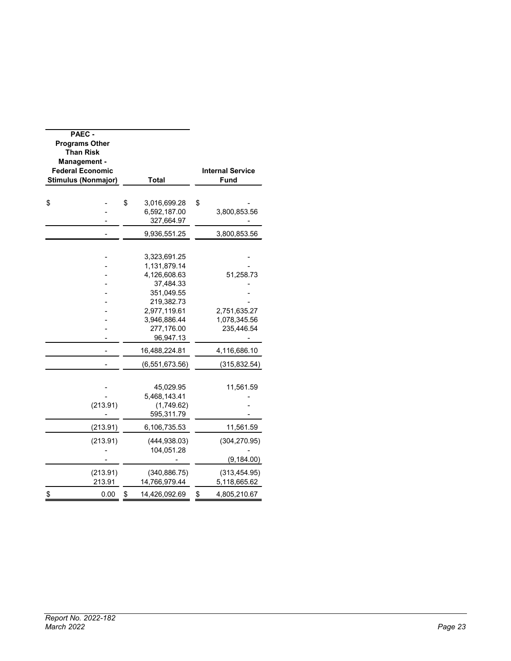| <b>PAEC -</b><br><b>Programs Other</b><br><b>Than Risk</b><br>Management - |                                                                                                                                                  |                                                         |
|----------------------------------------------------------------------------|--------------------------------------------------------------------------------------------------------------------------------------------------|---------------------------------------------------------|
| <b>Federal Economic</b><br><b>Stimulus (Nonmajor)</b>                      | Total                                                                                                                                            | <b>Internal Service</b><br>Fund                         |
|                                                                            |                                                                                                                                                  |                                                         |
| \$                                                                         | \$<br>3,016,699.28<br>6,592,187.00<br>327,664.97                                                                                                 | \$<br>3,800,853.56                                      |
|                                                                            | 9,936,551.25                                                                                                                                     | 3,800,853.56                                            |
|                                                                            | 3,323,691.25<br>1,131,879.14<br>4,126,608.63<br>37,484.33<br>351,049.55<br>219,382.73<br>2,977,119.61<br>3,946,886.44<br>277,176.00<br>96,947.13 | 51,258.73<br>2,751,635.27<br>1,078,345.56<br>235,446.54 |
|                                                                            | 16,488,224.81                                                                                                                                    | 4,116,686.10                                            |
|                                                                            | (6,551,673.56)                                                                                                                                   | (315, 832.54)                                           |
| (213.91)                                                                   | 45,029.95<br>5,468,143.41<br>(1,749.62)<br>595,311.79                                                                                            | 11,561.59                                               |
| (213.91)                                                                   | 6,106,735.53                                                                                                                                     | 11,561.59                                               |
| (213.91)                                                                   | (444, 938.03)<br>104,051.28                                                                                                                      | (304, 270.95)<br>(9, 184.00)                            |
| (213.91)<br>213.91                                                         | (340, 886.75)<br>14,766,979.44                                                                                                                   | (313, 454.95)<br>5,118,665.62                           |
| \$<br>0.00                                                                 | \$<br>14,426,092.69                                                                                                                              | \$<br>4,805,210.67                                      |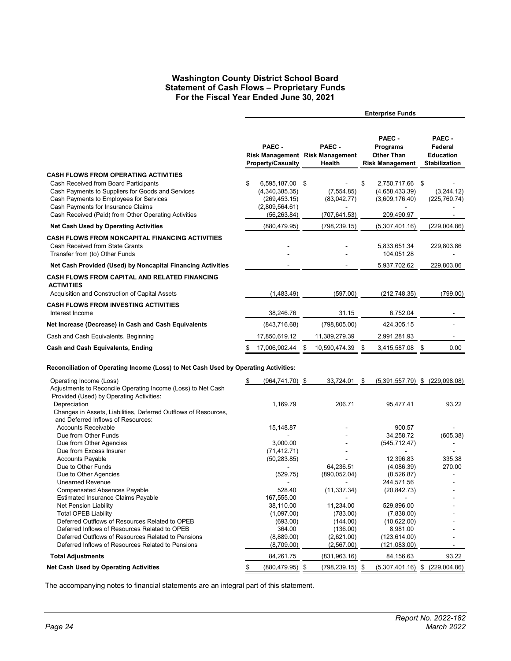#### **Washington County District School Board Statement of Cash Flows – Proprietary Funds For the Fiscal Year Ended June 30, 2021**

<span id="page-29-1"></span><span id="page-29-0"></span>

|                                                                                                                                                                                                                                                                                    |    |                                                                                      |                                            | <b>Enterprise Funds</b>                                                  |                                                               |
|------------------------------------------------------------------------------------------------------------------------------------------------------------------------------------------------------------------------------------------------------------------------------------|----|--------------------------------------------------------------------------------------|--------------------------------------------|--------------------------------------------------------------------------|---------------------------------------------------------------|
|                                                                                                                                                                                                                                                                                    |    | PAEC -<br>Risk Management Risk Management<br><b>Property/Casualty</b>                | PAEC -<br>Health                           | PAEC -<br><b>Programs</b><br><b>Other Than</b><br><b>Risk Management</b> | PAEC -<br>Federal<br><b>Education</b><br><b>Stabilization</b> |
| <b>CASH FLOWS FROM OPERATING ACTIVITIES</b><br>Cash Received from Board Participants<br>Cash Payments to Suppliers for Goods and Services<br>Cash Payments to Employees for Services<br>Cash Payments for Insurance Claims<br>Cash Received (Paid) from Other Operating Activities | \$ | 6,595,187.00 \$<br>(4,340,385.35)<br>(269, 453.15)<br>(2,809,564.61)<br>(56, 263.84) | (7, 554.85)<br>(83,042.77)<br>(707,641.53) | \$<br>2,750,717.66<br>(4,658,433.39)<br>(3,609,176.40)<br>209,490.97     | \$<br>(3,244.12)<br>(225,760.74)                              |
| <b>Net Cash Used by Operating Activities</b>                                                                                                                                                                                                                                       |    | (880,479.95)                                                                         | (798, 239.15)                              | (5,307,401.16)                                                           | (229,004.86)                                                  |
| CASH FLOWS FROM NONCAPITAL FINANCING ACTIVITIES<br>Cash Received from State Grants<br>Transfer from (to) Other Funds                                                                                                                                                               |    |                                                                                      |                                            | 5,833,651.34<br>104,051.28                                               | 229,803.86                                                    |
| Net Cash Provided (Used) by Noncapital Financing Activities                                                                                                                                                                                                                        |    |                                                                                      | $\blacksquare$                             | 5,937,702.62                                                             | 229,803.86                                                    |
| CASH FLOWS FROM CAPITAL AND RELATED FINANCING<br><b>ACTIVITIES</b><br>Acquisition and Construction of Capital Assets                                                                                                                                                               |    | (1,483.49)                                                                           | (597.00)                                   | (212, 748.35)                                                            | (799.00)                                                      |
| <b>CASH FLOWS FROM INVESTING ACTIVITIES</b><br>Interest Income                                                                                                                                                                                                                     |    | 38,246.76                                                                            | 31.15                                      | 6,752.04                                                                 |                                                               |
| Net Increase (Decrease) in Cash and Cash Equivalents                                                                                                                                                                                                                               |    | (843,716.68)                                                                         | (798, 805.00)                              | 424,305.15                                                               |                                                               |
| Cash and Cash Equivalents, Beginning                                                                                                                                                                                                                                               |    | 17,850,619.12                                                                        | 11,389,279.39                              | 2,991,281.93                                                             |                                                               |
|                                                                                                                                                                                                                                                                                    |    |                                                                                      |                                            |                                                                          |                                                               |
| <b>Cash and Cash Equivalents, Ending</b>                                                                                                                                                                                                                                           | \$ | 17,006,902.44                                                                        | \$<br>10,590,474.39                        | \$<br>3,415,587.08                                                       | \$<br>0.00                                                    |
| Reconciliation of Operating Income (Loss) to Net Cash Used by Operating Activities:                                                                                                                                                                                                |    |                                                                                      |                                            |                                                                          |                                                               |
| Operating Income (Loss)<br>Adjustments to Reconcile Operating Income (Loss) to Net Cash<br>Provided (Used) by Operating Activities:<br>Depreciation<br>Changes in Assets, Liabilities, Deferred Outflows of Resources,                                                             | S  | $(964, 741.70)$ \$<br>1,169.79                                                       | 33,724.01 \$<br>206.71                     | $(5,391,557.79)$ \$ $(229,098.08)$<br>95,477.41                          | 93.22                                                         |
| and Deferred Inflows of Resources:<br><b>Accounts Receivable</b>                                                                                                                                                                                                                   |    | 15,148.87                                                                            |                                            | 900.57                                                                   |                                                               |
| Due from Other Funds                                                                                                                                                                                                                                                               |    |                                                                                      |                                            | 34,258.72                                                                | (605.38)                                                      |
| Due from Other Agencies                                                                                                                                                                                                                                                            |    | 3,000.00                                                                             |                                            | (545, 712.47)                                                            |                                                               |
| Due from Excess Insurer                                                                                                                                                                                                                                                            |    | (71, 412.71)                                                                         |                                            |                                                                          |                                                               |
| <b>Accounts Payable</b>                                                                                                                                                                                                                                                            |    | (50, 283.85)                                                                         |                                            | 12,396.83                                                                | 335.38                                                        |
| Due to Other Funds<br>Due to Other Agencies                                                                                                                                                                                                                                        |    | (529.75)                                                                             | 64,236.51<br>(890, 052.04)                 | (4,086.39)<br>(8,526.87)                                                 | 270.00<br>÷                                                   |
| <b>Unearned Revenue</b>                                                                                                                                                                                                                                                            |    |                                                                                      |                                            | 244,571.56                                                               |                                                               |
| <b>Compensated Absences Payable</b>                                                                                                                                                                                                                                                |    | 528.40                                                                               | (11, 337.34)                               | (20, 842.73)                                                             |                                                               |
| <b>Estimated Insurance Claims Payable</b>                                                                                                                                                                                                                                          |    | 167,555.00                                                                           |                                            |                                                                          |                                                               |
| <b>Net Pension Liability</b>                                                                                                                                                                                                                                                       |    | 38,110.00                                                                            | 11,234.00                                  | 529,896.00                                                               |                                                               |
| <b>Total OPEB Liability</b>                                                                                                                                                                                                                                                        |    | (1,097.00)                                                                           | (783.00)                                   | (7,838.00)                                                               |                                                               |
| Deferred Outflows of Resources Related to OPEB<br>Deferred Inflows of Resources Related to OPEB                                                                                                                                                                                    |    | (693.00)<br>364.00                                                                   | (144.00)<br>(136.00)                       | (10,622.00)<br>8,981.00                                                  |                                                               |
| Deferred Outflows of Resources Related to Pensions                                                                                                                                                                                                                                 |    | (8,889.00)                                                                           | (2,621.00)                                 | (123, 614.00)                                                            |                                                               |
| Deferred Inflows of Resources Related to Pensions                                                                                                                                                                                                                                  |    | (8,709.00)                                                                           | (2,567.00)                                 | (121, 083.00)                                                            |                                                               |
| <b>Total Adjustments</b>                                                                                                                                                                                                                                                           |    | 84,261.75                                                                            | (831, 963.16)                              | 84,156.63                                                                | 93.22                                                         |
| <b>Net Cash Used by Operating Activities</b>                                                                                                                                                                                                                                       | \$ | $(880, 479.95)$ \$                                                                   | $(798, 239.15)$ \$                         | $(5,307,401.16)$ \$ $(229,004.86)$                                       |                                                               |
|                                                                                                                                                                                                                                                                                    |    |                                                                                      |                                            |                                                                          |                                                               |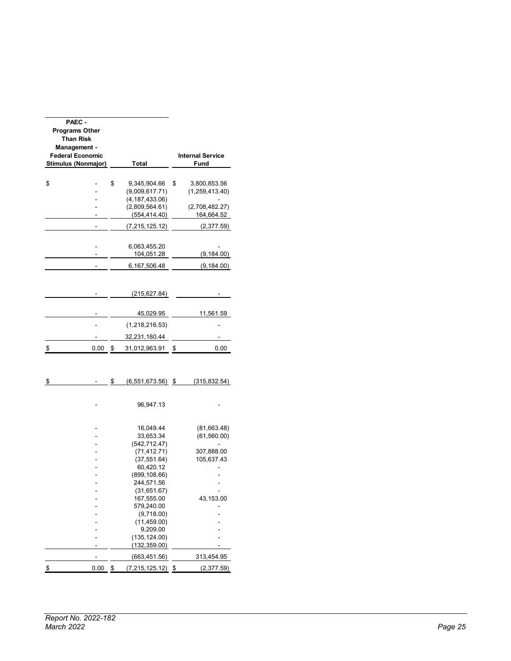| PAEC -<br><b>Programs Other</b><br><b>Than Risk</b><br>Management - |                                 |                              |
|---------------------------------------------------------------------|---------------------------------|------------------------------|
| <b>Federal Economic</b>                                             |                                 | <b>Internal Service</b>      |
| <b>Stimulus (Nonmajor)</b>                                          | Total                           | Fund                         |
| \$                                                                  | \$<br>9,345,904.66              | \$<br>3,800,853.56           |
|                                                                     | (9,009,617.71)                  | (1,259,413.40)               |
|                                                                     | (4, 187, 433.06)                | $\blacksquare$               |
| L,                                                                  | (2,809,564.61)<br>(554, 414.40) | (2,708,482.27)<br>164,664.52 |
|                                                                     | (7, 215, 125.12)                | (2, 377.59)                  |
|                                                                     |                                 |                              |
|                                                                     | 6,063,455.20                    |                              |
|                                                                     | 104,051.28                      | (9, 184.00)                  |
|                                                                     | 6,167,506.48                    | (9, 184.00)                  |
|                                                                     |                                 |                              |
|                                                                     |                                 |                              |
|                                                                     | (215, 627.84)                   |                              |
|                                                                     |                                 |                              |
|                                                                     | 45,029.95                       | 11,561.59                    |
|                                                                     | (1,218,216.53)                  |                              |
|                                                                     | 32,231,180.44                   |                              |
| $$\mathbb{S}$$<br>0.00%                                             | 31,012,963.91 \$                | 0.00                         |
|                                                                     |                                 |                              |
|                                                                     |                                 |                              |
| $\frac{1}{2}$                                                       | \$<br>$(6,551,673.56)$ \$       | (315, 832.54)                |
|                                                                     |                                 |                              |
|                                                                     |                                 |                              |
|                                                                     | 96,947.13                       |                              |
|                                                                     |                                 |                              |
|                                                                     | 16,049.44                       | (81, 663.48)                 |
|                                                                     | 33,653.34                       | (61, 560.00)                 |
|                                                                     | (542, 712.47)<br>(71, 412.71)   | 307,888.00                   |
|                                                                     | (37, 551.64)                    | 105,637.43                   |
|                                                                     | 60,420.12                       | $\blacksquare$               |
|                                                                     | (899, 108.66)                   |                              |
|                                                                     | 244,571.56                      |                              |
|                                                                     | (31,651.67)                     |                              |
|                                                                     | 167,555.00                      | 43,153.00                    |
|                                                                     | 579,240.00                      |                              |
|                                                                     | (9,718.00)                      |                              |
|                                                                     | (11, 459.00)<br>9,209.00        |                              |
|                                                                     | (135, 124.00)                   |                              |
|                                                                     | (132, 359.00)                   |                              |
|                                                                     | (663, 451.56)                   | 313,454.95                   |
| $0.00$ \$<br>$\frac{1}{2}$                                          | $(7,215,125.12)$ \$             | (2, 377.59)                  |
|                                                                     |                                 |                              |
|                                                                     |                                 |                              |
|                                                                     |                                 |                              |
|                                                                     |                                 |                              |
|                                                                     |                                 |                              |
| Report No. 2022-182                                                 |                                 |                              |
| March 2022                                                          |                                 |                              |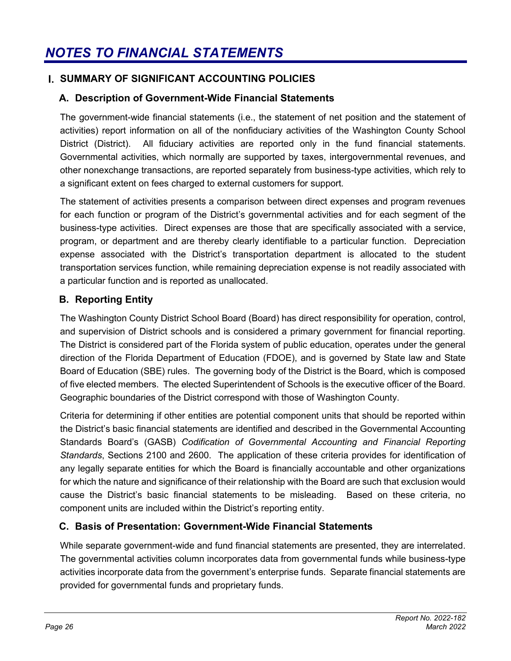## <span id="page-31-1"></span><span id="page-31-0"></span>**SUMMARY OF SIGNIFICANT ACCOUNTING POLICIES**

## **A. Description of Government-Wide Financial Statements**

The government-wide financial statements (i.e., the statement of net position and the statement of activities) report information on all of the nonfiduciary activities of the Washington County School District (District). All fiduciary activities are reported only in the fund financial statements. Governmental activities, which normally are supported by taxes, intergovernmental revenues, and other nonexchange transactions, are reported separately from business-type activities, which rely to a significant extent on fees charged to external customers for support.

The statement of activities presents a comparison between direct expenses and program revenues for each function or program of the District's governmental activities and for each segment of the business-type activities. Direct expenses are those that are specifically associated with a service, program, or department and are thereby clearly identifiable to a particular function. Depreciation expense associated with the District's transportation department is allocated to the student transportation services function, while remaining depreciation expense is not readily associated with a particular function and is reported as unallocated.

## **B. Reporting Entity**

The Washington County District School Board (Board) has direct responsibility for operation, control, and supervision of District schools and is considered a primary government for financial reporting. The District is considered part of the Florida system of public education, operates under the general direction of the Florida Department of Education (FDOE), and is governed by State law and State Board of Education (SBE) rules. The governing body of the District is the Board, which is composed of five elected members. The elected Superintendent of Schools is the executive officer of the Board. Geographic boundaries of the District correspond with those of Washington County.

Criteria for determining if other entities are potential component units that should be reported within the District's basic financial statements are identified and described in the Governmental Accounting Standards Board's (GASB) *Codification of Governmental Accounting and Financial Reporting Standards*, Sections 2100 and 2600. The application of these criteria provides for identification of any legally separate entities for which the Board is financially accountable and other organizations for which the nature and significance of their relationship with the Board are such that exclusion would cause the District's basic financial statements to be misleading. Based on these criteria, no component units are included within the District's reporting entity.

## **C. Basis of Presentation: Government-Wide Financial Statements**

While separate government-wide and fund financial statements are presented, they are interrelated. The governmental activities column incorporates data from governmental funds while business-type activities incorporate data from the government's enterprise funds. Separate financial statements are provided for governmental funds and proprietary funds.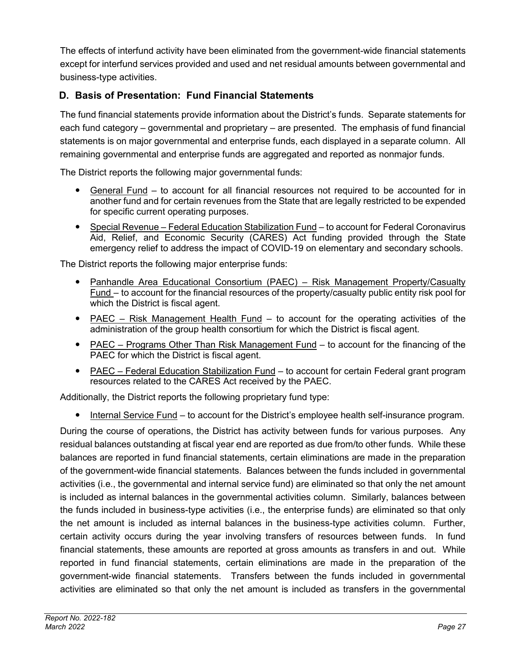The effects of interfund activity have been eliminated from the government-wide financial statements except for interfund services provided and used and net residual amounts between governmental and business-type activities.

# **D. Basis of Presentation: Fund Financial Statements**

The fund financial statements provide information about the District's funds. Separate statements for each fund category – governmental and proprietary – are presented. The emphasis of fund financial statements is on major governmental and enterprise funds, each displayed in a separate column. All remaining governmental and enterprise funds are aggregated and reported as nonmajor funds.

The District reports the following major governmental funds:

- General Fund to account for all financial resources not required to be accounted for in another fund and for certain revenues from the State that are legally restricted to be expended for specific current operating purposes.
- Special Revenue Federal Education Stabilization Fund to account for Federal Coronavirus Aid, Relief, and Economic Security (CARES) Act funding provided through the State emergency relief to address the impact of COVID-19 on elementary and secondary schools.

The District reports the following major enterprise funds:

- Panhandle Area Educational Consortium (PAEC) Risk Management Property/Casualty Fund – to account for the financial resources of the property/casualty public entity risk pool for which the District is fiscal agent.
- PAEC Risk Management Health Fund to account for the operating activities of the administration of the group health consortium for which the District is fiscal agent.
- PAEC Programs Other Than Risk Management Fund to account for the financing of the PAEC for which the District is fiscal agent.
- PAEC Federal Education Stabilization Fund to account for certain Federal grant program resources related to the CARES Act received by the PAEC.

Additionally, the District reports the following proprietary fund type:

• Internal Service Fund – to account for the District's employee health self-insurance program.

During the course of operations, the District has activity between funds for various purposes. Any residual balances outstanding at fiscal year end are reported as due from/to other funds. While these balances are reported in fund financial statements, certain eliminations are made in the preparation of the government-wide financial statements. Balances between the funds included in governmental activities (i.e., the governmental and internal service fund) are eliminated so that only the net amount is included as internal balances in the governmental activities column. Similarly, balances between the funds included in business-type activities (i.e., the enterprise funds) are eliminated so that only the net amount is included as internal balances in the business-type activities column. Further, certain activity occurs during the year involving transfers of resources between funds. In fund financial statements, these amounts are reported at gross amounts as transfers in and out. While reported in fund financial statements, certain eliminations are made in the preparation of the government-wide financial statements. Transfers between the funds included in governmental activities are eliminated so that only the net amount is included as transfers in the governmental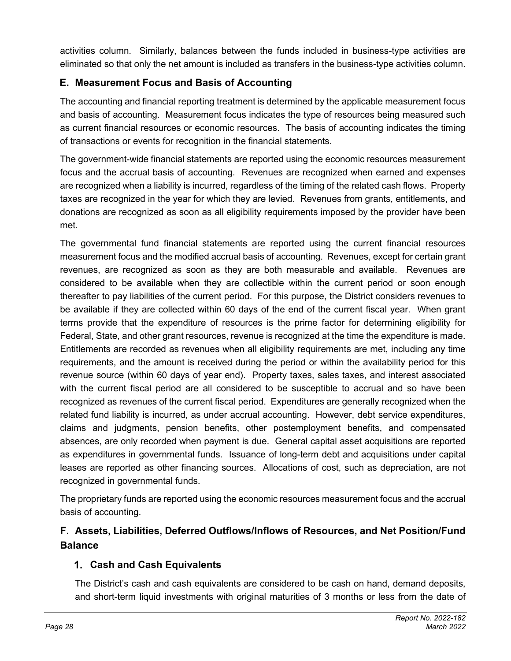activities column. Similarly, balances between the funds included in business-type activities are eliminated so that only the net amount is included as transfers in the business-type activities column.

# **E. Measurement Focus and Basis of Accounting**

The accounting and financial reporting treatment is determined by the applicable measurement focus and basis of accounting. Measurement focus indicates the type of resources being measured such as current financial resources or economic resources. The basis of accounting indicates the timing of transactions or events for recognition in the financial statements.

The government-wide financial statements are reported using the economic resources measurement focus and the accrual basis of accounting. Revenues are recognized when earned and expenses are recognized when a liability is incurred, regardless of the timing of the related cash flows. Property taxes are recognized in the year for which they are levied. Revenues from grants, entitlements, and donations are recognized as soon as all eligibility requirements imposed by the provider have been met.

The governmental fund financial statements are reported using the current financial resources measurement focus and the modified accrual basis of accounting. Revenues, except for certain grant revenues, are recognized as soon as they are both measurable and available. Revenues are considered to be available when they are collectible within the current period or soon enough thereafter to pay liabilities of the current period. For this purpose, the District considers revenues to be available if they are collected within 60 days of the end of the current fiscal year. When grant terms provide that the expenditure of resources is the prime factor for determining eligibility for Federal, State, and other grant resources, revenue is recognized at the time the expenditure is made. Entitlements are recorded as revenues when all eligibility requirements are met, including any time requirements, and the amount is received during the period or within the availability period for this revenue source (within 60 days of year end). Property taxes, sales taxes, and interest associated with the current fiscal period are all considered to be susceptible to accrual and so have been recognized as revenues of the current fiscal period. Expenditures are generally recognized when the related fund liability is incurred, as under accrual accounting. However, debt service expenditures, claims and judgments, pension benefits, other postemployment benefits, and compensated absences, are only recorded when payment is due. General capital asset acquisitions are reported as expenditures in governmental funds. Issuance of long-term debt and acquisitions under capital leases are reported as other financing sources. Allocations of cost, such as depreciation, are not recognized in governmental funds.

The proprietary funds are reported using the economic resources measurement focus and the accrual basis of accounting.

# **F. Assets, Liabilities, Deferred Outflows/Inflows of Resources, and Net Position/Fund Balance**

## **Cash and Cash Equivalents**

The District's cash and cash equivalents are considered to be cash on hand, demand deposits, and short-term liquid investments with original maturities of 3 months or less from the date of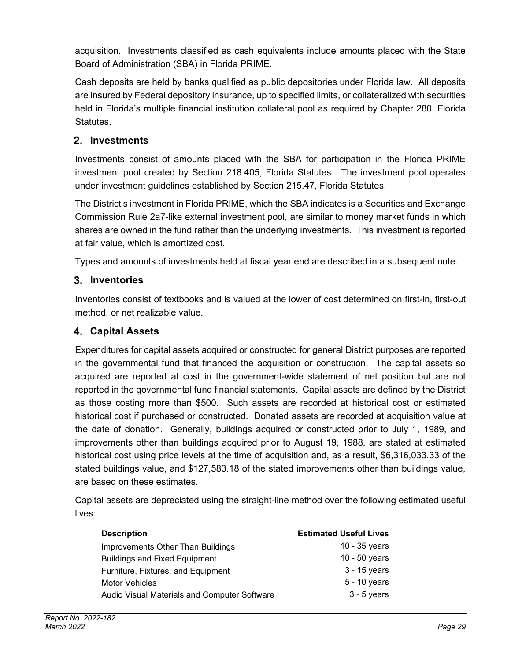acquisition. Investments classified as cash equivalents include amounts placed with the State Board of Administration (SBA) in Florida PRIME.

Cash deposits are held by banks qualified as public depositories under Florida law. All deposits are insured by Federal depository insurance, up to specified limits, or collateralized with securities held in Florida's multiple financial institution collateral pool as required by Chapter 280, Florida **Statutes** 

# **Investments**

Investments consist of amounts placed with the SBA for participation in the Florida PRIME investment pool created by Section 218.405, Florida Statutes. The investment pool operates under investment guidelines established by Section 215.47, Florida Statutes.

The District's investment in Florida PRIME, which the SBA indicates is a Securities and Exchange Commission Rule 2a7-like external investment pool, are similar to money market funds in which shares are owned in the fund rather than the underlying investments. This investment is reported at fair value, which is amortized cost.

Types and amounts of investments held at fiscal year end are described in a subsequent note.

## **Inventories**

Inventories consist of textbooks and is valued at the lower of cost determined on first-in, first-out method, or net realizable value.

# **Capital Assets**

Expenditures for capital assets acquired or constructed for general District purposes are reported in the governmental fund that financed the acquisition or construction. The capital assets so acquired are reported at cost in the government-wide statement of net position but are not reported in the governmental fund financial statements. Capital assets are defined by the District as those costing more than \$500. Such assets are recorded at historical cost or estimated historical cost if purchased or constructed. Donated assets are recorded at acquisition value at the date of donation. Generally, buildings acquired or constructed prior to July 1, 1989, and improvements other than buildings acquired prior to August 19, 1988, are stated at estimated historical cost using price levels at the time of acquisition and, as a result, \$6,316,033.33 of the stated buildings value, and \$127,583.18 of the stated improvements other than buildings value, are based on these estimates.

Capital assets are depreciated using the straight-line method over the following estimated useful lives:

| <b>Description</b>                           | <b>Estimated Useful Lives</b> |
|----------------------------------------------|-------------------------------|
| Improvements Other Than Buildings            | 10 - 35 years                 |
| <b>Buildings and Fixed Equipment</b>         | 10 - 50 years                 |
| Furniture, Fixtures, and Equipment           | 3 - 15 years                  |
| Motor Vehicles                               | $5 - 10$ years                |
| Audio Visual Materials and Computer Software | $3 - 5$ years                 |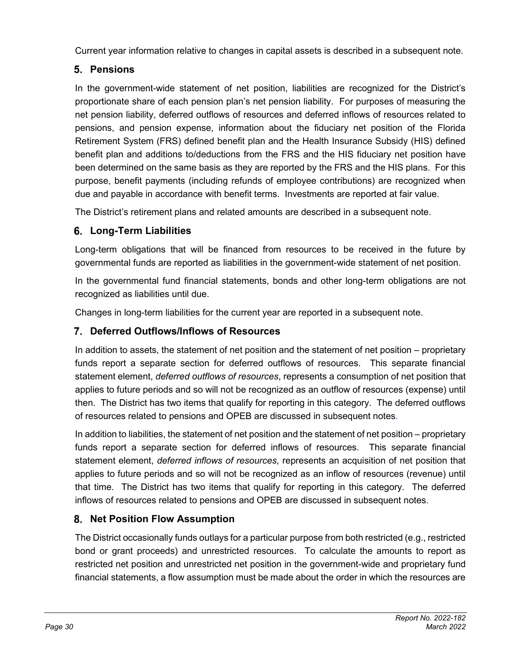Current year information relative to changes in capital assets is described in a subsequent note.

# **Pensions**

In the government-wide statement of net position, liabilities are recognized for the District's proportionate share of each pension plan's net pension liability. For purposes of measuring the net pension liability, deferred outflows of resources and deferred inflows of resources related to pensions, and pension expense, information about the fiduciary net position of the Florida Retirement System (FRS) defined benefit plan and the Health Insurance Subsidy (HIS) defined benefit plan and additions to/deductions from the FRS and the HIS fiduciary net position have been determined on the same basis as they are reported by the FRS and the HIS plans. For this purpose, benefit payments (including refunds of employee contributions) are recognized when due and payable in accordance with benefit terms. Investments are reported at fair value.

The District's retirement plans and related amounts are described in a subsequent note.

# **Long-Term Liabilities**

Long-term obligations that will be financed from resources to be received in the future by governmental funds are reported as liabilities in the government-wide statement of net position.

In the governmental fund financial statements, bonds and other long-term obligations are not recognized as liabilities until due.

Changes in long-term liabilities for the current year are reported in a subsequent note.

# **Deferred Outflows/Inflows of Resources**

In addition to assets, the statement of net position and the statement of net position – proprietary funds report a separate section for deferred outflows of resources. This separate financial statement element, *deferred outflows of resources*, represents a consumption of net position that applies to future periods and so will not be recognized as an outflow of resources (expense) until then. The District has two items that qualify for reporting in this category. The deferred outflows of resources related to pensions and OPEB are discussed in subsequent notes.

In addition to liabilities, the statement of net position and the statement of net position – proprietary funds report a separate section for deferred inflows of resources. This separate financial statement element, *deferred inflows of resources*, represents an acquisition of net position that applies to future periods and so will not be recognized as an inflow of resources (revenue) until that time. The District has two items that qualify for reporting in this category. The deferred inflows of resources related to pensions and OPEB are discussed in subsequent notes.

# **Net Position Flow Assumption**

The District occasionally funds outlays for a particular purpose from both restricted (e.g., restricted bond or grant proceeds) and unrestricted resources. To calculate the amounts to report as restricted net position and unrestricted net position in the government-wide and proprietary fund financial statements, a flow assumption must be made about the order in which the resources are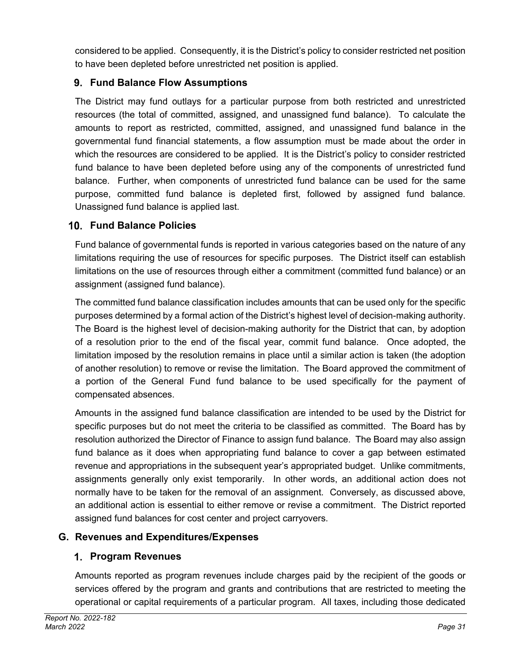considered to be applied. Consequently, it is the District's policy to consider restricted net position to have been depleted before unrestricted net position is applied.

# **Fund Balance Flow Assumptions**

The District may fund outlays for a particular purpose from both restricted and unrestricted resources (the total of committed, assigned, and unassigned fund balance). To calculate the amounts to report as restricted, committed, assigned, and unassigned fund balance in the governmental fund financial statements, a flow assumption must be made about the order in which the resources are considered to be applied. It is the District's policy to consider restricted fund balance to have been depleted before using any of the components of unrestricted fund balance. Further, when components of unrestricted fund balance can be used for the same purpose, committed fund balance is depleted first, followed by assigned fund balance. Unassigned fund balance is applied last.

# **Fund Balance Policies**

Fund balance of governmental funds is reported in various categories based on the nature of any limitations requiring the use of resources for specific purposes. The District itself can establish limitations on the use of resources through either a commitment (committed fund balance) or an assignment (assigned fund balance).

The committed fund balance classification includes amounts that can be used only for the specific purposes determined by a formal action of the District's highest level of decision-making authority. The Board is the highest level of decision-making authority for the District that can, by adoption of a resolution prior to the end of the fiscal year, commit fund balance. Once adopted, the limitation imposed by the resolution remains in place until a similar action is taken (the adoption of another resolution) to remove or revise the limitation. The Board approved the commitment of a portion of the General Fund fund balance to be used specifically for the payment of compensated absences.

Amounts in the assigned fund balance classification are intended to be used by the District for specific purposes but do not meet the criteria to be classified as committed. The Board has by resolution authorized the Director of Finance to assign fund balance. The Board may also assign fund balance as it does when appropriating fund balance to cover a gap between estimated revenue and appropriations in the subsequent year's appropriated budget. Unlike commitments, assignments generally only exist temporarily. In other words, an additional action does not normally have to be taken for the removal of an assignment. Conversely, as discussed above, an additional action is essential to either remove or revise a commitment. The District reported assigned fund balances for cost center and project carryovers.

# **G. Revenues and Expenditures/Expenses**

# **Program Revenues**

Amounts reported as program revenues include charges paid by the recipient of the goods or services offered by the program and grants and contributions that are restricted to meeting the operational or capital requirements of a particular program. All taxes, including those dedicated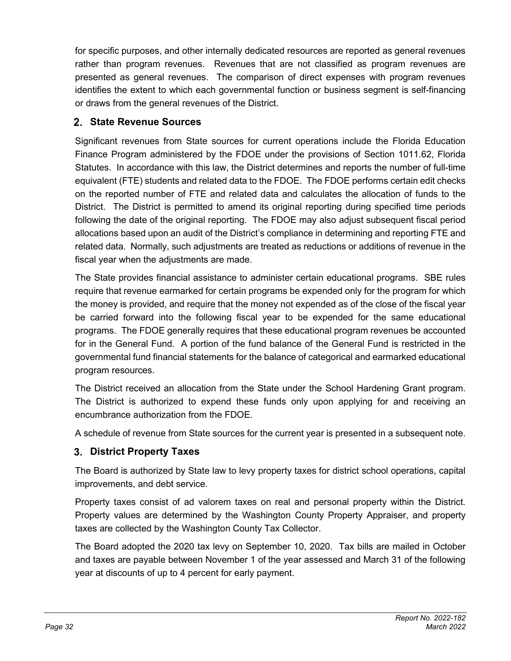for specific purposes, and other internally dedicated resources are reported as general revenues rather than program revenues. Revenues that are not classified as program revenues are presented as general revenues. The comparison of direct expenses with program revenues identifies the extent to which each governmental function or business segment is self-financing or draws from the general revenues of the District.

# **State Revenue Sources**

Significant revenues from State sources for current operations include the Florida Education Finance Program administered by the FDOE under the provisions of Section 1011.62, Florida Statutes. In accordance with this law, the District determines and reports the number of full-time equivalent (FTE) students and related data to the FDOE. The FDOE performs certain edit checks on the reported number of FTE and related data and calculates the allocation of funds to the District. The District is permitted to amend its original reporting during specified time periods following the date of the original reporting. The FDOE may also adjust subsequent fiscal period allocations based upon an audit of the District's compliance in determining and reporting FTE and related data. Normally, such adjustments are treated as reductions or additions of revenue in the fiscal year when the adjustments are made.

The State provides financial assistance to administer certain educational programs. SBE rules require that revenue earmarked for certain programs be expended only for the program for which the money is provided, and require that the money not expended as of the close of the fiscal year be carried forward into the following fiscal year to be expended for the same educational programs. The FDOE generally requires that these educational program revenues be accounted for in the General Fund. A portion of the fund balance of the General Fund is restricted in the governmental fund financial statements for the balance of categorical and earmarked educational program resources.

The District received an allocation from the State under the School Hardening Grant program. The District is authorized to expend these funds only upon applying for and receiving an encumbrance authorization from the FDOE.

A schedule of revenue from State sources for the current year is presented in a subsequent note.

# **District Property Taxes**

The Board is authorized by State law to levy property taxes for district school operations, capital improvements, and debt service.

Property taxes consist of ad valorem taxes on real and personal property within the District. Property values are determined by the Washington County Property Appraiser, and property taxes are collected by the Washington County Tax Collector.

The Board adopted the 2020 tax levy on September 10, 2020. Tax bills are mailed in October and taxes are payable between November 1 of the year assessed and March 31 of the following year at discounts of up to 4 percent for early payment.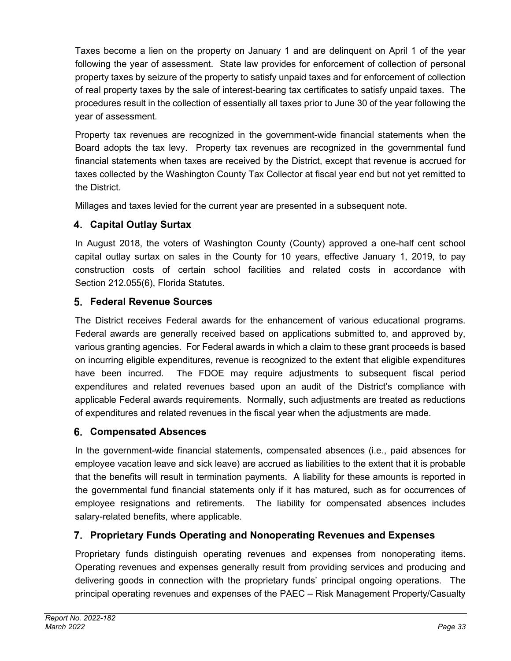Taxes become a lien on the property on January 1 and are delinquent on April 1 of the year following the year of assessment. State law provides for enforcement of collection of personal property taxes by seizure of the property to satisfy unpaid taxes and for enforcement of collection of real property taxes by the sale of interest-bearing tax certificates to satisfy unpaid taxes. The procedures result in the collection of essentially all taxes prior to June 30 of the year following the year of assessment.

Property tax revenues are recognized in the government-wide financial statements when the Board adopts the tax levy. Property tax revenues are recognized in the governmental fund financial statements when taxes are received by the District, except that revenue is accrued for taxes collected by the Washington County Tax Collector at fiscal year end but not yet remitted to the District.

Millages and taxes levied for the current year are presented in a subsequent note.

# **Capital Outlay Surtax**

In August 2018, the voters of Washington County (County) approved a one-half cent school capital outlay surtax on sales in the County for 10 years, effective January 1, 2019, to pay construction costs of certain school facilities and related costs in accordance with Section 212.055(6), Florida Statutes.

# **Federal Revenue Sources**

The District receives Federal awards for the enhancement of various educational programs. Federal awards are generally received based on applications submitted to, and approved by, various granting agencies. For Federal awards in which a claim to these grant proceeds is based on incurring eligible expenditures, revenue is recognized to the extent that eligible expenditures have been incurred. The FDOE may require adjustments to subsequent fiscal period expenditures and related revenues based upon an audit of the District's compliance with applicable Federal awards requirements. Normally, such adjustments are treated as reductions of expenditures and related revenues in the fiscal year when the adjustments are made.

# **Compensated Absences**

In the government-wide financial statements, compensated absences (i.e., paid absences for employee vacation leave and sick leave) are accrued as liabilities to the extent that it is probable that the benefits will result in termination payments. A liability for these amounts is reported in the governmental fund financial statements only if it has matured, such as for occurrences of employee resignations and retirements. The liability for compensated absences includes salary-related benefits, where applicable.

# **Proprietary Funds Operating and Nonoperating Revenues and Expenses**

Proprietary funds distinguish operating revenues and expenses from nonoperating items. Operating revenues and expenses generally result from providing services and producing and delivering goods in connection with the proprietary funds' principal ongoing operations. The principal operating revenues and expenses of the PAEC – Risk Management Property/Casualty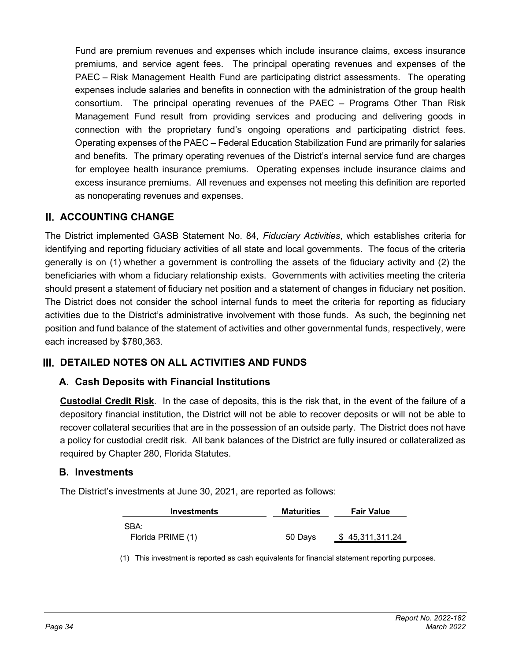Fund are premium revenues and expenses which include insurance claims, excess insurance premiums, and service agent fees. The principal operating revenues and expenses of the PAEC – Risk Management Health Fund are participating district assessments. The operating expenses include salaries and benefits in connection with the administration of the group health consortium. The principal operating revenues of the PAEC – Programs Other Than Risk Management Fund result from providing services and producing and delivering goods in connection with the proprietary fund's ongoing operations and participating district fees. Operating expenses of the PAEC – Federal Education Stabilization Fund are primarily for salaries and benefits. The primary operating revenues of the District's internal service fund are charges for employee health insurance premiums. Operating expenses include insurance claims and excess insurance premiums. All revenues and expenses not meeting this definition are reported as nonoperating revenues and expenses.

# **ACCOUNTING CHANGE**

The District implemented GASB Statement No. 84, *Fiduciary Activities*, which establishes criteria for identifying and reporting fiduciary activities of all state and local governments. The focus of the criteria generally is on (1) whether a government is controlling the assets of the fiduciary activity and (2) the beneficiaries with whom a fiduciary relationship exists. Governments with activities meeting the criteria should present a statement of fiduciary net position and a statement of changes in fiduciary net position. The District does not consider the school internal funds to meet the criteria for reporting as fiduciary activities due to the District's administrative involvement with those funds. As such, the beginning net position and fund balance of the statement of activities and other governmental funds, respectively, were each increased by \$780,363.

# **III. DETAILED NOTES ON ALL ACTIVITIES AND FUNDS**

#### **A. Cash Deposits with Financial Institutions**

**Custodial Credit Risk**. In the case of deposits, this is the risk that, in the event of the failure of a depository financial institution, the District will not be able to recover deposits or will not be able to recover collateral securities that are in the possession of an outside party. The District does not have a policy for custodial credit risk. All bank balances of the District are fully insured or collateralized as required by Chapter 280, Florida Statutes.

#### **B. Investments**

The District's investments at June 30, 2021, are reported as follows:

| Investments       | Maturities | <b>Fair Value</b> |
|-------------------|------------|-------------------|
| SBA:              |            |                   |
| Florida PRIME (1) | 50 Days    | \$45,311,311.24   |

(1) This investment is reported as cash equivalents for financial statement reporting purposes.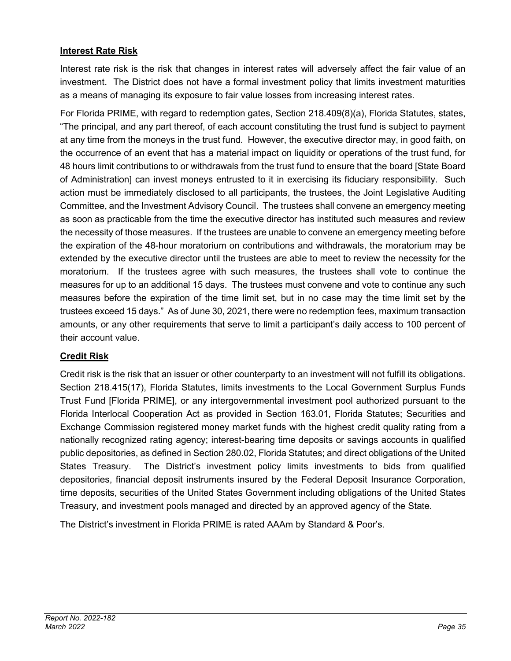# **Interest Rate Risk**

Interest rate risk is the risk that changes in interest rates will adversely affect the fair value of an investment. The District does not have a formal investment policy that limits investment maturities as a means of managing its exposure to fair value losses from increasing interest rates.

For Florida PRIME, with regard to redemption gates, Section 218.409(8)(a), Florida Statutes, states, "The principal, and any part thereof, of each account constituting the trust fund is subject to payment at any time from the moneys in the trust fund. However, the executive director may, in good faith, on the occurrence of an event that has a material impact on liquidity or operations of the trust fund, for 48 hours limit contributions to or withdrawals from the trust fund to ensure that the board [State Board of Administration] can invest moneys entrusted to it in exercising its fiduciary responsibility. Such action must be immediately disclosed to all participants, the trustees, the Joint Legislative Auditing Committee, and the Investment Advisory Council. The trustees shall convene an emergency meeting as soon as practicable from the time the executive director has instituted such measures and review the necessity of those measures. If the trustees are unable to convene an emergency meeting before the expiration of the 48-hour moratorium on contributions and withdrawals, the moratorium may be extended by the executive director until the trustees are able to meet to review the necessity for the moratorium. If the trustees agree with such measures, the trustees shall vote to continue the measures for up to an additional 15 days. The trustees must convene and vote to continue any such measures before the expiration of the time limit set, but in no case may the time limit set by the trustees exceed 15 days." As of June 30, 2021, there were no redemption fees, maximum transaction amounts, or any other requirements that serve to limit a participant's daily access to 100 percent of their account value.

# **Credit Risk**

Credit risk is the risk that an issuer or other counterparty to an investment will not fulfill its obligations. Section 218.415(17), Florida Statutes, limits investments to the Local Government Surplus Funds Trust Fund [Florida PRIME], or any intergovernmental investment pool authorized pursuant to the Florida Interlocal Cooperation Act as provided in Section 163.01, Florida Statutes; Securities and Exchange Commission registered money market funds with the highest credit quality rating from a nationally recognized rating agency; interest-bearing time deposits or savings accounts in qualified public depositories, as defined in Section 280.02, Florida Statutes; and direct obligations of the United States Treasury. The District's investment policy limits investments to bids from qualified depositories, financial deposit instruments insured by the Federal Deposit Insurance Corporation, time deposits, securities of the United States Government including obligations of the United States Treasury, and investment pools managed and directed by an approved agency of the State.

The District's investment in Florida PRIME is rated AAAm by Standard & Poor's.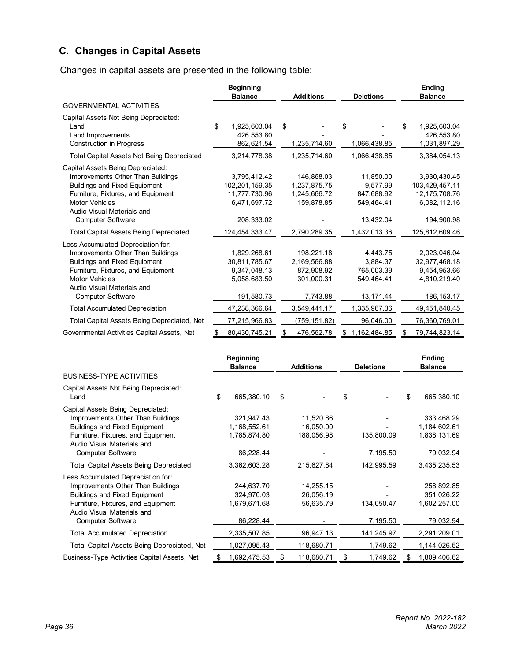# **C. Changes in Capital Assets**

Changes in capital assets are presented in the following table:

|                                                                                                                                                                                                                                          | <b>Beginning</b><br><b>Balance</b>                                            |    | <b>Additions</b>                                                   | <b>Deletions</b>                                               |    | <b>Ending</b><br><b>Balance</b>                                               |
|------------------------------------------------------------------------------------------------------------------------------------------------------------------------------------------------------------------------------------------|-------------------------------------------------------------------------------|----|--------------------------------------------------------------------|----------------------------------------------------------------|----|-------------------------------------------------------------------------------|
| <b>GOVERNMENTAL ACTIVITIES</b>                                                                                                                                                                                                           |                                                                               |    |                                                                    |                                                                |    |                                                                               |
| Capital Assets Not Being Depreciated:<br>Land<br>Land Improvements<br><b>Construction in Progress</b>                                                                                                                                    | \$<br>1,925,603.04<br>426,553.80<br>862,621.54                                | \$ | 1,235,714.60                                                       | \$<br>1,066,438.85                                             | \$ | 1,925,603.04<br>426,553.80<br>1,031,897.29                                    |
| <b>Total Capital Assets Not Being Depreciated</b>                                                                                                                                                                                        | 3,214,778.38                                                                  |    | 1,235,714.60                                                       | 1,066,438.85                                                   |    | 3,384,054.13                                                                  |
| Capital Assets Being Depreciated:<br>Improvements Other Than Buildings<br><b>Buildings and Fixed Equipment</b><br>Furniture, Fixtures, and Equipment<br><b>Motor Vehicles</b><br>Audio Visual Materials and<br><b>Computer Software</b>  | 3,795,412.42<br>102,201,159.35<br>11,777,730.96<br>6,471,697.72<br>208,333.02 |    | 146,868.03<br>1,237,875.75<br>1,245,666.72<br>159,878.85           | 11,850.00<br>9.577.99<br>847,688.92<br>549,464.41<br>13,432.04 |    | 3.930,430.45<br>103,429,457.11<br>12,175,708.76<br>6.082,112.16<br>194,900.98 |
| <b>Total Capital Assets Being Depreciated</b>                                                                                                                                                                                            | 124,454,333.47                                                                |    | 2,790,289.35                                                       | 1,432,013.36                                                   |    | 125,812,609.46                                                                |
| Less Accumulated Depreciation for:<br>Improvements Other Than Buildings<br><b>Buildings and Fixed Equipment</b><br>Furniture, Fixtures, and Equipment<br><b>Motor Vehicles</b><br>Audio Visual Materials and<br><b>Computer Software</b> | 1,829,268.61<br>30.811.785.67<br>9,347,048.13<br>5,058,683.50<br>191,580.73   |    | 198,221.18<br>2,169,566.88<br>872.908.92<br>301,000.31<br>7,743.88 | 4,443.75<br>3.884.37<br>765,003.39<br>549,464.41<br>13,171.44  |    | 2,023,046.04<br>32,977,468.18<br>9,454,953.66<br>4,810,219.40<br>186, 153. 17 |
| <b>Total Accumulated Depreciation</b>                                                                                                                                                                                                    | 47,238,366.64                                                                 |    | 3,549,441.17                                                       | 1,335,967.36                                                   |    | 49,451,840.45                                                                 |
| Total Capital Assets Being Depreciated, Net                                                                                                                                                                                              | 77,215,966.83                                                                 |    | (759, 151.82)                                                      | 96,046.00                                                      |    | 76,360,769.01                                                                 |
| Governmental Activities Capital Assets, Net                                                                                                                                                                                              | \$<br>80,430,745.21                                                           | S  | 476,562.78                                                         | \$1,162,484.85                                                 | S  | 79,744,823.14                                                                 |

|                                                                                                                                                                                                                 | <b>Beginning</b><br><b>Balance</b>                      | <b>Additions</b>                     | <b>Deletions</b>       | Ending<br><b>Balance</b>                                |
|-----------------------------------------------------------------------------------------------------------------------------------------------------------------------------------------------------------------|---------------------------------------------------------|--------------------------------------|------------------------|---------------------------------------------------------|
| <b>BUSINESS-TYPE ACTIVITIES</b>                                                                                                                                                                                 |                                                         |                                      |                        |                                                         |
| Capital Assets Not Being Depreciated:<br>Land                                                                                                                                                                   | 665,380.10<br>-\$                                       | -\$                                  | S                      | 665,380.10<br>\$                                        |
| Capital Assets Being Depreciated:<br>Improvements Other Than Buildings<br><b>Buildings and Fixed Equipment</b><br>Furniture, Fixtures, and Equipment<br>Audio Visual Materials and<br><b>Computer Software</b>  | 321,947.43<br>1,168,552.61<br>1,785,874.80<br>86,228.44 | 11,520.86<br>16,050.00<br>188,056.98 | 135,800.09<br>7,195.50 | 333,468.29<br>1,184,602.61<br>1,838,131.69<br>79,032.94 |
| <b>Total Capital Assets Being Depreciated</b>                                                                                                                                                                   | 3,362,603.28                                            | 215,627.84                           | 142,995.59             | 3,435,235.53                                            |
| Less Accumulated Depreciation for:<br>Improvements Other Than Buildings<br><b>Buildings and Fixed Equipment</b><br>Furniture, Fixtures, and Equipment<br>Audio Visual Materials and<br><b>Computer Software</b> | 244,637.70<br>324,970.03<br>1,679,671.68<br>86,228.44   | 14,255.15<br>26,056.19<br>56,635.79  | 134,050.47<br>7,195.50 | 258,892.85<br>351,026.22<br>1,602,257.00<br>79,032.94   |
| <b>Total Accumulated Depreciation</b>                                                                                                                                                                           | 2,335,507.85                                            | 96,947.13                            | 141,245.97             | 2,291,209.01                                            |
| Total Capital Assets Being Depreciated, Net                                                                                                                                                                     | 1,027,095.43                                            | 118,680.71                           | 1,749.62               | 1,144,026.52                                            |
| Business-Type Activities Capital Assets, Net                                                                                                                                                                    | 1,692,475.53<br>S.                                      | 118,680.71<br>S                      | 1,749.62<br>\$         | 1,809,406.62<br>S                                       |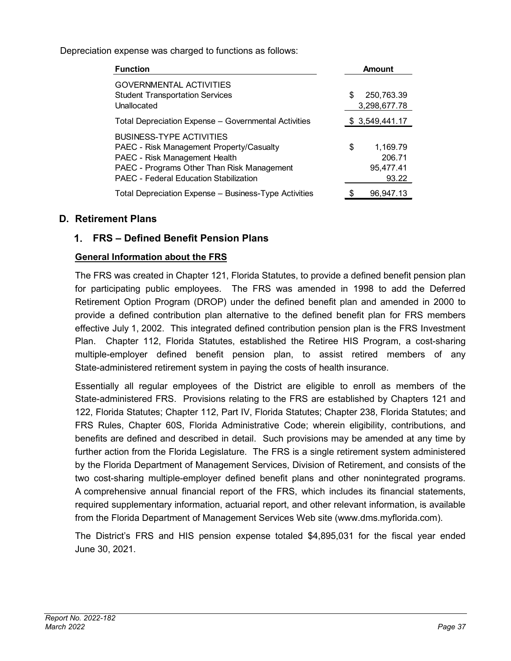Depreciation expense was charged to functions as follows:

| <b>Function</b>                                                                                                                                                                                             | <b>Amount</b>                                  |
|-------------------------------------------------------------------------------------------------------------------------------------------------------------------------------------------------------------|------------------------------------------------|
| <b>GOVERNMENTAL ACTIVITIES</b><br><b>Student Transportation Services</b><br>Unallocated                                                                                                                     | \$<br>250,763.39<br>3,298,677.78               |
| Total Depreciation Expense - Governmental Activities                                                                                                                                                        | \$3,549,441.17                                 |
| <b>BUSINESS-TYPE ACTIVITIES</b><br>PAEC - Risk Management Property/Casualty<br>PAEC - Risk Management Health<br>PAEC - Programs Other Than Risk Management<br><b>PAEC - Federal Education Stabilization</b> | \$<br>1,169.79<br>206.71<br>95,477.41<br>93.22 |
| Total Depreciation Expense - Business-Type Activities                                                                                                                                                       | \$<br>96.947.13                                |

### **D. Retirement Plans**

# **FRS – Defined Benefit Pension Plans**

#### **General Information about the FRS**

The FRS was created in Chapter 121, Florida Statutes, to provide a defined benefit pension plan for participating public employees. The FRS was amended in 1998 to add the Deferred Retirement Option Program (DROP) under the defined benefit plan and amended in 2000 to provide a defined contribution plan alternative to the defined benefit plan for FRS members effective July 1, 2002. This integrated defined contribution pension plan is the FRS Investment Plan. Chapter 112, Florida Statutes, established the Retiree HIS Program, a cost-sharing multiple-employer defined benefit pension plan, to assist retired members of any State-administered retirement system in paying the costs of health insurance.

Essentially all regular employees of the District are eligible to enroll as members of the State-administered FRS. Provisions relating to the FRS are established by Chapters 121 and 122, Florida Statutes; Chapter 112, Part IV, Florida Statutes; Chapter 238, Florida Statutes; and FRS Rules, Chapter 60S, Florida Administrative Code; wherein eligibility, contributions, and benefits are defined and described in detail. Such provisions may be amended at any time by further action from the Florida Legislature. The FRS is a single retirement system administered by the Florida Department of Management Services, Division of Retirement, and consists of the two cost-sharing multiple-employer defined benefit plans and other nonintegrated programs. A comprehensive annual financial report of the FRS, which includes its financial statements, required supplementary information, actuarial report, and other relevant information, is available from the Florida Department of Management Services Web site (www.dms.myflorida.com).

The District's FRS and HIS pension expense totaled \$4,895,031 for the fiscal year ended June 30, 2021.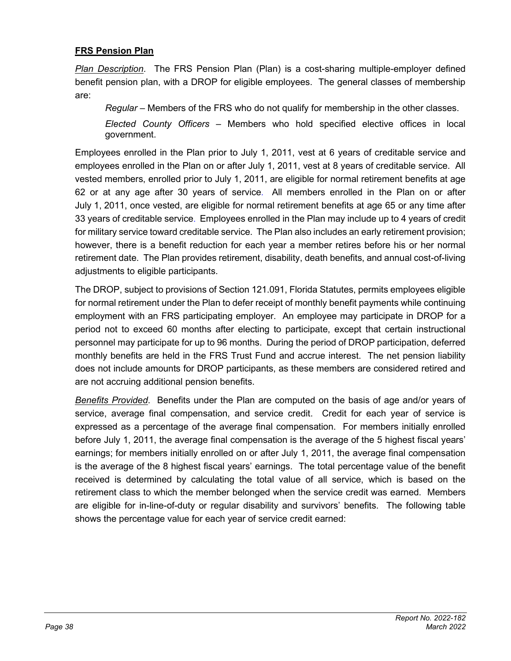### **FRS Pension Plan**

*Plan Description*. The FRS Pension Plan (Plan) is a cost-sharing multiple-employer defined benefit pension plan, with a DROP for eligible employees. The general classes of membership are:

*Regular* – Members of the FRS who do not qualify for membership in the other classes. *Elected County Officers* – Members who hold specified elective offices in local government.

Employees enrolled in the Plan prior to July 1, 2011, vest at 6 years of creditable service and employees enrolled in the Plan on or after July 1, 2011, vest at 8 years of creditable service. All vested members, enrolled prior to July 1, 2011, are eligible for normal retirement benefits at age 62 or at any age after 30 years of service. All members enrolled in the Plan on or after July 1, 2011, once vested, are eligible for normal retirement benefits at age 65 or any time after 33 years of creditable service. Employees enrolled in the Plan may include up to 4 years of credit for military service toward creditable service. The Plan also includes an early retirement provision; however, there is a benefit reduction for each year a member retires before his or her normal retirement date. The Plan provides retirement, disability, death benefits, and annual cost-of-living adjustments to eligible participants.

The DROP, subject to provisions of Section 121.091, Florida Statutes, permits employees eligible for normal retirement under the Plan to defer receipt of monthly benefit payments while continuing employment with an FRS participating employer. An employee may participate in DROP for a period not to exceed 60 months after electing to participate, except that certain instructional personnel may participate for up to 96 months. During the period of DROP participation, deferred monthly benefits are held in the FRS Trust Fund and accrue interest. The net pension liability does not include amounts for DROP participants, as these members are considered retired and are not accruing additional pension benefits.

*Benefits Provided*. Benefits under the Plan are computed on the basis of age and/or years of service, average final compensation, and service credit. Credit for each year of service is expressed as a percentage of the average final compensation. For members initially enrolled before July 1, 2011, the average final compensation is the average of the 5 highest fiscal years' earnings; for members initially enrolled on or after July 1, 2011, the average final compensation is the average of the 8 highest fiscal years' earnings. The total percentage value of the benefit received is determined by calculating the total value of all service, which is based on the retirement class to which the member belonged when the service credit was earned. Members are eligible for in-line-of-duty or regular disability and survivors' benefits. The following table shows the percentage value for each year of service credit earned: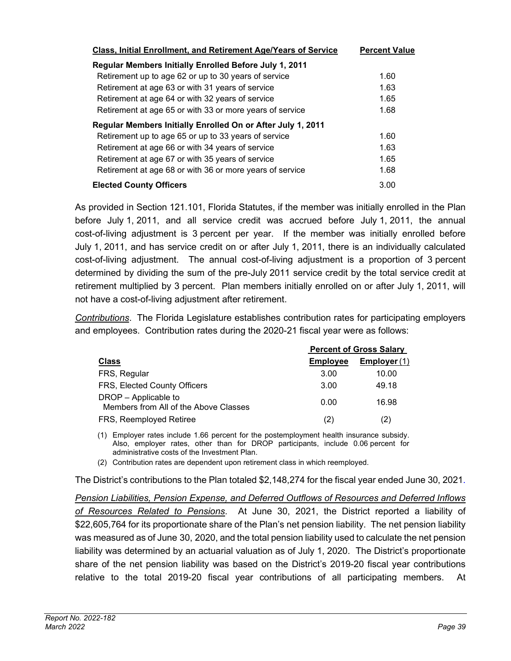| Class, Initial Enrollment, and Retirement Age/Years of Service | <b>Percent Value</b> |
|----------------------------------------------------------------|----------------------|
| <b>Regular Members Initially Enrolled Before July 1, 2011</b>  |                      |
| Retirement up to age 62 or up to 30 years of service           | 1.60                 |
| Retirement at age 63 or with 31 years of service               | 1.63                 |
| Retirement at age 64 or with 32 years of service               | 1.65                 |
| Retirement at age 65 or with 33 or more years of service       | 1.68                 |
| Regular Members Initially Enrolled On or After July 1, 2011    |                      |
| Retirement up to age 65 or up to 33 years of service           | 1.60                 |
| Retirement at age 66 or with 34 years of service               | 1.63                 |
| Retirement at age 67 or with 35 years of service               | 1.65                 |
| Retirement at age 68 or with 36 or more years of service       | 1.68                 |
| <b>Elected County Officers</b>                                 | 3.00                 |

As provided in Section 121.101, Florida Statutes, if the member was initially enrolled in the Plan before July 1, 2011, and all service credit was accrued before July 1, 2011, the annual cost-of-living adjustment is 3 percent per year. If the member was initially enrolled before July 1, 2011, and has service credit on or after July 1, 2011, there is an individually calculated cost-of-living adjustment. The annual cost-of-living adjustment is a proportion of 3 percent determined by dividing the sum of the pre-July 2011 service credit by the total service credit at retirement multiplied by 3 percent. Plan members initially enrolled on or after July 1, 2011, will not have a cost-of-living adjustment after retirement.

*Contributions*. The Florida Legislature establishes contribution rates for participating employers and employees. Contribution rates during the 2020-21 fiscal year were as follows:

|                                                               | <b>Percent of Gross Salary</b> |             |  |  |
|---------------------------------------------------------------|--------------------------------|-------------|--|--|
| <b>Class</b>                                                  | <b>Employee</b>                | Emplover(1) |  |  |
| FRS, Regular                                                  | 3.00                           | 10.00       |  |  |
| FRS, Elected County Officers                                  | 3.00                           | 49.18       |  |  |
| DROP - Applicable to<br>Members from All of the Above Classes | 0.00                           | 16.98       |  |  |
| FRS, Reemployed Retiree                                       | (2)                            | (2)         |  |  |

(1) Employer rates include 1.66 percent for the postemployment health insurance subsidy. Also, employer rates, other than for DROP participants, include 0.06 percent for administrative costs of the Investment Plan.

(2) Contribution rates are dependent upon retirement class in which reemployed.

The District's contributions to the Plan totaled \$2,148,274 for the fiscal year ended June 30, 2021.

*Pension Liabilities, Pension Expense, and Deferred Outflows of Resources and Deferred Inflows of Resources Related to Pensions*. At June 30, 2021, the District reported a liability of \$22,605,764 for its proportionate share of the Plan's net pension liability. The net pension liability was measured as of June 30, 2020, and the total pension liability used to calculate the net pension liability was determined by an actuarial valuation as of July 1, 2020. The District's proportionate share of the net pension liability was based on the District's 2019-20 fiscal year contributions relative to the total 2019-20 fiscal year contributions of all participating members. At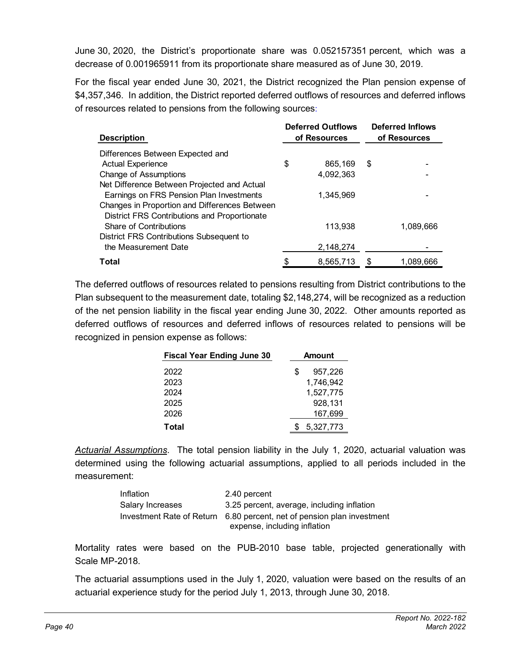June 30, 2020, the District's proportionate share was 0.052157351 percent, which was a decrease of 0.001965911 from its proportionate share measured as of June 30, 2019.

For the fiscal year ended June 30, 2021, the District recognized the Plan pension expense of \$4,357,346. In addition, the District reported deferred outflows of resources and deferred inflows of resources related to pensions from the following sources:

| <b>Description</b>                            | <b>Deferred Outflows</b><br>of Resources |           | <b>Deferred Inflows</b><br>of Resources |           |
|-----------------------------------------------|------------------------------------------|-----------|-----------------------------------------|-----------|
| Differences Between Expected and              |                                          |           |                                         |           |
| <b>Actual Experience</b>                      | \$                                       | 865,169   | \$                                      |           |
| <b>Change of Assumptions</b>                  |                                          | 4,092,363 |                                         |           |
| Net Difference Between Projected and Actual   |                                          |           |                                         |           |
| Earnings on FRS Pension Plan Investments      |                                          | 1.345.969 |                                         |           |
| Changes in Proportion and Differences Between |                                          |           |                                         |           |
| District FRS Contributions and Proportionate  |                                          |           |                                         |           |
| <b>Share of Contributions</b>                 |                                          | 113,938   |                                         | 1,089,666 |
| District FRS Contributions Subsequent to      |                                          |           |                                         |           |
| the Measurement Date                          |                                          | 2,148,274 |                                         |           |
| Total                                         |                                          | 8,565,713 |                                         | 1,089,666 |

The deferred outflows of resources related to pensions resulting from District contributions to the Plan subsequent to the measurement date, totaling \$2,148,274, will be recognized as a reduction of the net pension liability in the fiscal year ending June 30, 2022. Other amounts reported as deferred outflows of resources and deferred inflows of resources related to pensions will be recognized in pension expense as follows:

| <b>Fiscal Year Ending June 30</b> |   | Amount    |  |  |
|-----------------------------------|---|-----------|--|--|
| 2022                              | S | 957,226   |  |  |
| 2023                              |   | 1,746,942 |  |  |
| 2024                              |   | 1,527,775 |  |  |
| 2025                              |   | 928,131   |  |  |
| 2026                              |   | 167,699   |  |  |
| Total                             |   | 5,327,773 |  |  |

*Actuarial Assumptions*. The total pension liability in the July 1, 2020, actuarial valuation was determined using the following actuarial assumptions, applied to all periods included in the measurement:

| Inflation        | 2.40 percent                                                           |
|------------------|------------------------------------------------------------------------|
| Salary Increases | 3.25 percent, average, including inflation                             |
|                  | Investment Rate of Return 6.80 percent, net of pension plan investment |
|                  | expense, including inflation                                           |

Mortality rates were based on the PUB-2010 base table, projected generationally with Scale MP-2018.

The actuarial assumptions used in the July 1, 2020, valuation were based on the results of an actuarial experience study for the period July 1, 2013, through June 30, 2018.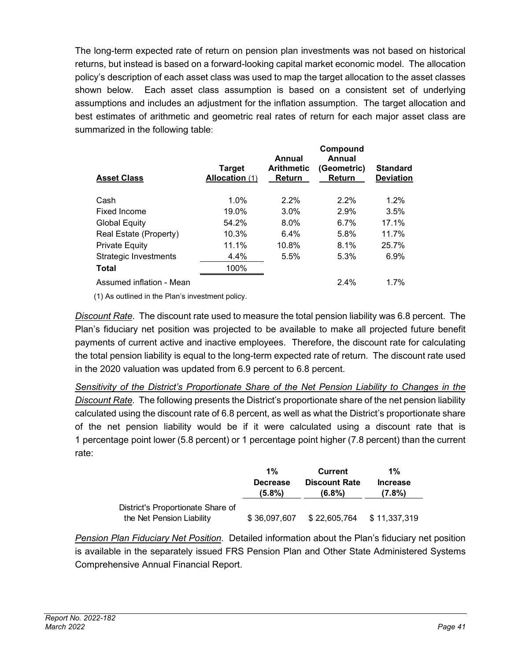The long-term expected rate of return on pension plan investments was not based on historical returns, but instead is based on a forward-looking capital market economic model. The allocation policy's description of each asset class was used to map the target allocation to the asset classes shown below. Each asset class assumption is based on a consistent set of underlying assumptions and includes an adjustment for the inflation assumption. The target allocation and best estimates of arithmetic and geometric real rates of return for each major asset class are summarized in the following table:

| $2.2\%$ | 1.2%  |
|---------|-------|
| 2.9%    | 3.5%  |
| 6.7%    | 17.1% |
| 5.8%    | 11.7% |
| 8.1%    | 25.7% |
| 5.3%    | 6.9%  |
|         |       |
| 2.4%    | 1.7%  |
|         |       |

(1) As outlined in the Plan's investment policy.

*Discount Rate*. The discount rate used to measure the total pension liability was 6.8 percent. The Plan's fiduciary net position was projected to be available to make all projected future benefit payments of current active and inactive employees. Therefore, the discount rate for calculating the total pension liability is equal to the long-term expected rate of return. The discount rate used in the 2020 valuation was updated from 6.9 percent to 6.8 percent.

*Sensitivity of the District's Proportionate Share of the Net Pension Liability to Changes in the Discount Rate*. The following presents the District's proportionate share of the net pension liability calculated using the discount rate of 6.8 percent, as well as what the District's proportionate share of the net pension liability would be if it were calculated using a discount rate that is 1 percentage point lower (5.8 percent) or 1 percentage point higher (7.8 percent) than the current rate:

|                                   | 1%                           | <b>Current</b>                    | 1%                           |
|-----------------------------------|------------------------------|-----------------------------------|------------------------------|
|                                   | <b>Decrease</b><br>$(5.8\%)$ | <b>Discount Rate</b><br>$(6.8\%)$ | <b>Increase</b><br>$(7.8\%)$ |
| District's Proportionate Share of |                              |                                   |                              |
| the Net Pension Liability         | \$36,097,607                 | \$22,605,764                      | \$11,337,319                 |

*Pension Plan Fiduciary Net Position*. Detailed information about the Plan's fiduciary net position is available in the separately issued FRS Pension Plan and Other State Administered Systems Comprehensive Annual Financial Report.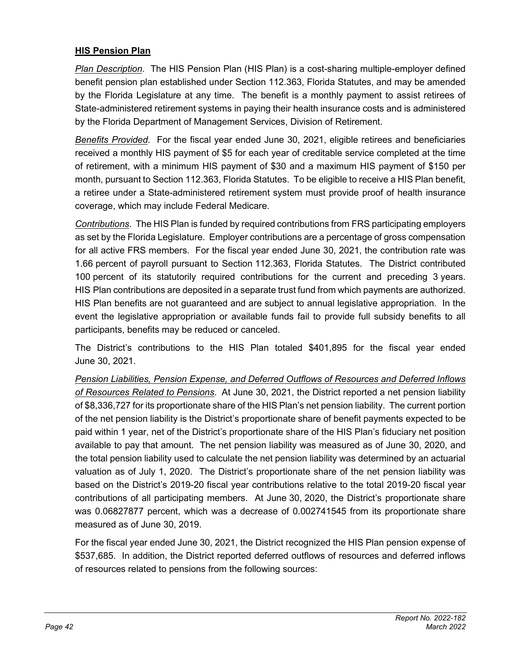# **HIS Pension Plan**

*Plan Description*. The HIS Pension Plan (HIS Plan) is a cost-sharing multiple-employer defined benefit pension plan established under Section 112.363, Florida Statutes, and may be amended by the Florida Legislature at any time. The benefit is a monthly payment to assist retirees of State-administered retirement systems in paying their health insurance costs and is administered by the Florida Department of Management Services, Division of Retirement.

*Benefits Provided*. For the fiscal year ended June 30, 2021, eligible retirees and beneficiaries received a monthly HIS payment of \$5 for each year of creditable service completed at the time of retirement, with a minimum HIS payment of \$30 and a maximum HIS payment of \$150 per month, pursuant to Section 112.363, Florida Statutes. To be eligible to receive a HIS Plan benefit, a retiree under a State-administered retirement system must provide proof of health insurance coverage, which may include Federal Medicare.

*Contributions*. The HIS Plan is funded by required contributions from FRS participating employers as set by the Florida Legislature. Employer contributions are a percentage of gross compensation for all active FRS members. For the fiscal year ended June 30, 2021, the contribution rate was 1.66 percent of payroll pursuant to Section 112.363, Florida Statutes. The District contributed 100 percent of its statutorily required contributions for the current and preceding 3 years. HIS Plan contributions are deposited in a separate trust fund from which payments are authorized. HIS Plan benefits are not guaranteed and are subject to annual legislative appropriation. In the event the legislative appropriation or available funds fail to provide full subsidy benefits to all participants, benefits may be reduced or canceled.

The District's contributions to the HIS Plan totaled \$401,895 for the fiscal year ended June 30, 2021.

*Pension Liabilities, Pension Expense, and Deferred Outflows of Resources and Deferred Inflows of Resources Related to Pensions*. At June 30, 2021, the District reported a net pension liability of \$8,336,727 for its proportionate share of the HIS Plan's net pension liability. The current portion of the net pension liability is the District's proportionate share of benefit payments expected to be paid within 1 year, net of the District's proportionate share of the HIS Plan's fiduciary net position available to pay that amount. The net pension liability was measured as of June 30, 2020, and the total pension liability used to calculate the net pension liability was determined by an actuarial valuation as of July 1, 2020. The District's proportionate share of the net pension liability was based on the District's 2019-20 fiscal year contributions relative to the total 2019-20 fiscal year contributions of all participating members. At June 30, 2020, the District's proportionate share was 0.06827877 percent, which was a decrease of 0.002741545 from its proportionate share measured as of June 30, 2019.

For the fiscal year ended June 30, 2021, the District recognized the HIS Plan pension expense of \$537,685. In addition, the District reported deferred outflows of resources and deferred inflows of resources related to pensions from the following sources: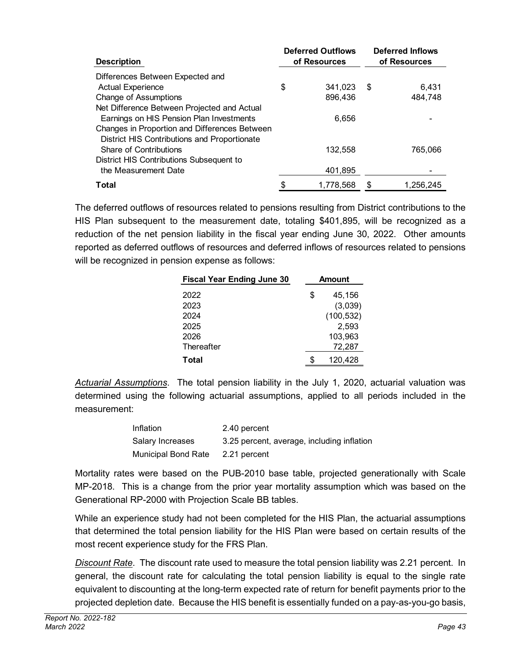| <b>Description</b>                                                                                                        |    | <b>Deferred Outflows</b><br>of Resources | <b>Deferred Inflows</b><br>of Resources |           |  |
|---------------------------------------------------------------------------------------------------------------------------|----|------------------------------------------|-----------------------------------------|-----------|--|
| Differences Between Expected and<br><b>Actual Experience</b>                                                              | \$ | 341,023                                  | \$                                      | 6.431     |  |
| <b>Change of Assumptions</b><br>Net Difference Between Projected and Actual                                               |    | 896,436                                  |                                         | 484,748   |  |
| Earnings on HIS Pension Plan Investments<br>Changes in Proportion and Differences Between                                 |    | 6,656                                    |                                         |           |  |
| District HIS Contributions and Proportionate<br><b>Share of Contributions</b><br>District HIS Contributions Subsequent to |    | 132,558                                  |                                         | 765,066   |  |
| the Measurement Date                                                                                                      |    | 401,895                                  |                                         |           |  |
| Total                                                                                                                     | \$ | 1,778,568                                | S                                       | 1,256,245 |  |

The deferred outflows of resources related to pensions resulting from District contributions to the HIS Plan subsequent to the measurement date, totaling \$401,895, will be recognized as a reduction of the net pension liability in the fiscal year ending June 30, 2022. Other amounts reported as deferred outflows of resources and deferred inflows of resources related to pensions will be recognized in pension expense as follows:

| <b>Fiscal Year Ending June 30</b> | Amount |            |  |  |
|-----------------------------------|--------|------------|--|--|
| 2022                              | \$     | 45,156     |  |  |
| 2023                              |        | (3,039)    |  |  |
| 2024                              |        | (100, 532) |  |  |
| 2025                              |        | 2,593      |  |  |
| 2026                              |        | 103,963    |  |  |
| Thereafter                        |        | 72,287     |  |  |
| Total                             |        | 120,428    |  |  |

*Actuarial Assumptions*. The total pension liability in the July 1, 2020, actuarial valuation was determined using the following actuarial assumptions, applied to all periods included in the measurement:

| Inflation           | 2.40 percent                               |
|---------------------|--------------------------------------------|
| Salary Increases    | 3.25 percent, average, including inflation |
| Municipal Bond Rate | 2.21 percent                               |

Mortality rates were based on the PUB-2010 base table, projected generationally with Scale MP-2018. This is a change from the prior year mortality assumption which was based on the Generational RP-2000 with Projection Scale BB tables.

While an experience study had not been completed for the HIS Plan, the actuarial assumptions that determined the total pension liability for the HIS Plan were based on certain results of the most recent experience study for the FRS Plan.

*Discount Rate*. The discount rate used to measure the total pension liability was 2.21 percent. In general, the discount rate for calculating the total pension liability is equal to the single rate equivalent to discounting at the long-term expected rate of return for benefit payments prior to the projected depletion date. Because the HIS benefit is essentially funded on a pay-as-you-go basis,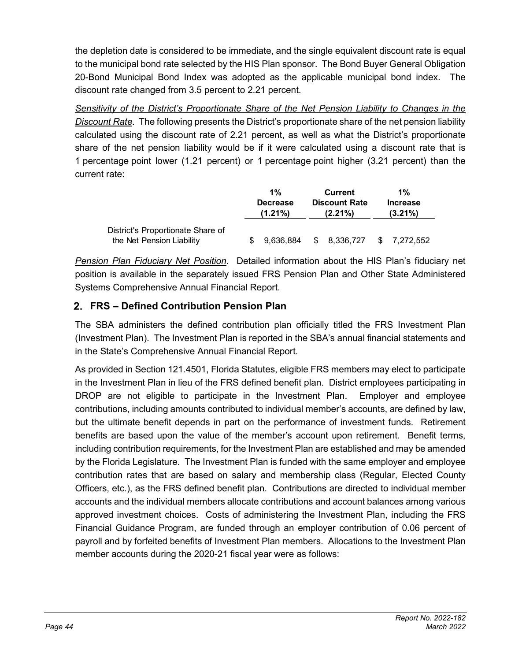the depletion date is considered to be immediate, and the single equivalent discount rate is equal to the municipal bond rate selected by the HIS Plan sponsor. The Bond Buyer General Obligation 20-Bond Municipal Bond Index was adopted as the applicable municipal bond index. The discount rate changed from 3.5 percent to 2.21 percent.

*Sensitivity of the District's Proportionate Share of the Net Pension Liability to Changes in the Discount Rate*. The following presents the District's proportionate share of the net pension liability calculated using the discount rate of 2.21 percent, as well as what the District's proportionate share of the net pension liability would be if it were calculated using a discount rate that is 1 percentage point lower (1.21 percent) or 1 percentage point higher (3.21 percent) than the current rate:

|                                                                | 1%                            |    | <b>Current</b>                     |    | $1\%$                         |
|----------------------------------------------------------------|-------------------------------|----|------------------------------------|----|-------------------------------|
|                                                                | <b>Decrease</b><br>$(1.21\%)$ |    | <b>Discount Rate</b><br>$(2.21\%)$ |    | <b>Increase</b><br>$(3.21\%)$ |
| District's Proportionate Share of<br>the Net Pension Liability | 9,636,884                     | S. | 8,336,727                          | -S | 7,272,552                     |

*Pension Plan Fiduciary Net Position*. Detailed information about the HIS Plan's fiduciary net position is available in the separately issued FRS Pension Plan and Other State Administered Systems Comprehensive Annual Financial Report.

# **FRS – Defined Contribution Pension Plan**

The SBA administers the defined contribution plan officially titled the FRS Investment Plan (Investment Plan). The Investment Plan is reported in the SBA's annual financial statements and in the State's Comprehensive Annual Financial Report.

As provided in Section 121.4501, Florida Statutes, eligible FRS members may elect to participate in the Investment Plan in lieu of the FRS defined benefit plan. District employees participating in DROP are not eligible to participate in the Investment Plan. Employer and employee contributions, including amounts contributed to individual member's accounts, are defined by law, but the ultimate benefit depends in part on the performance of investment funds. Retirement benefits are based upon the value of the member's account upon retirement. Benefit terms, including contribution requirements, for the Investment Plan are established and may be amended by the Florida Legislature. The Investment Plan is funded with the same employer and employee contribution rates that are based on salary and membership class (Regular, Elected County Officers, etc.), as the FRS defined benefit plan. Contributions are directed to individual member accounts and the individual members allocate contributions and account balances among various approved investment choices. Costs of administering the Investment Plan, including the FRS Financial Guidance Program, are funded through an employer contribution of 0.06 percent of payroll and by forfeited benefits of Investment Plan members. Allocations to the Investment Plan member accounts during the 2020-21 fiscal year were as follows: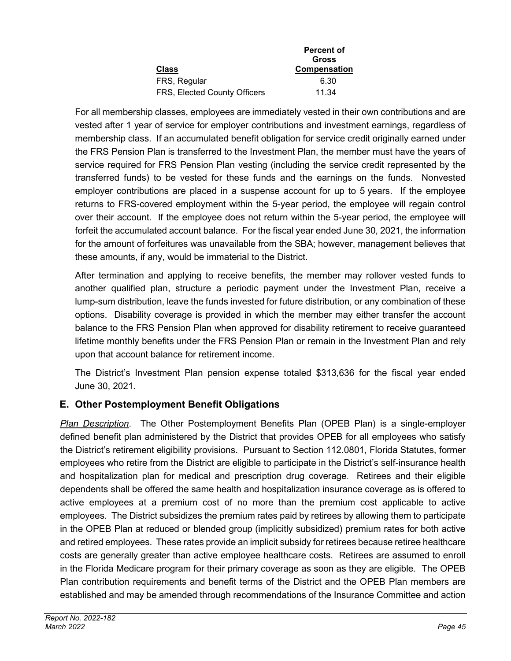|                                     | <b>Percent of</b> |  |
|-------------------------------------|-------------------|--|
|                                     | <b>Gross</b>      |  |
| <b>Class</b>                        | Compensation      |  |
| FRS, Regular                        | 6.30              |  |
| <b>FRS, Elected County Officers</b> | 11.34             |  |

For all membership classes, employees are immediately vested in their own contributions and are vested after 1 year of service for employer contributions and investment earnings, regardless of membership class. If an accumulated benefit obligation for service credit originally earned under the FRS Pension Plan is transferred to the Investment Plan, the member must have the years of service required for FRS Pension Plan vesting (including the service credit represented by the transferred funds) to be vested for these funds and the earnings on the funds. Nonvested employer contributions are placed in a suspense account for up to 5 years. If the employee returns to FRS-covered employment within the 5-year period, the employee will regain control over their account. If the employee does not return within the 5-year period, the employee will forfeit the accumulated account balance. For the fiscal year ended June 30, 2021, the information for the amount of forfeitures was unavailable from the SBA; however, management believes that these amounts, if any, would be immaterial to the District.

After termination and applying to receive benefits, the member may rollover vested funds to another qualified plan, structure a periodic payment under the Investment Plan, receive a lump-sum distribution, leave the funds invested for future distribution, or any combination of these options. Disability coverage is provided in which the member may either transfer the account balance to the FRS Pension Plan when approved for disability retirement to receive guaranteed lifetime monthly benefits under the FRS Pension Plan or remain in the Investment Plan and rely upon that account balance for retirement income.

The District's Investment Plan pension expense totaled \$313,636 for the fiscal year ended June 30, 2021.

# **E. Other Postemployment Benefit Obligations**

*Plan Description*. The Other Postemployment Benefits Plan (OPEB Plan) is a single-employer defined benefit plan administered by the District that provides OPEB for all employees who satisfy the District's retirement eligibility provisions. Pursuant to Section 112.0801, Florida Statutes, former employees who retire from the District are eligible to participate in the District's self-insurance health and hospitalization plan for medical and prescription drug coverage. Retirees and their eligible dependents shall be offered the same health and hospitalization insurance coverage as is offered to active employees at a premium cost of no more than the premium cost applicable to active employees. The District subsidizes the premium rates paid by retirees by allowing them to participate in the OPEB Plan at reduced or blended group (implicitly subsidized) premium rates for both active and retired employees. These rates provide an implicit subsidy for retirees because retiree healthcare costs are generally greater than active employee healthcare costs. Retirees are assumed to enroll in the Florida Medicare program for their primary coverage as soon as they are eligible. The OPEB Plan contribution requirements and benefit terms of the District and the OPEB Plan members are established and may be amended through recommendations of the Insurance Committee and action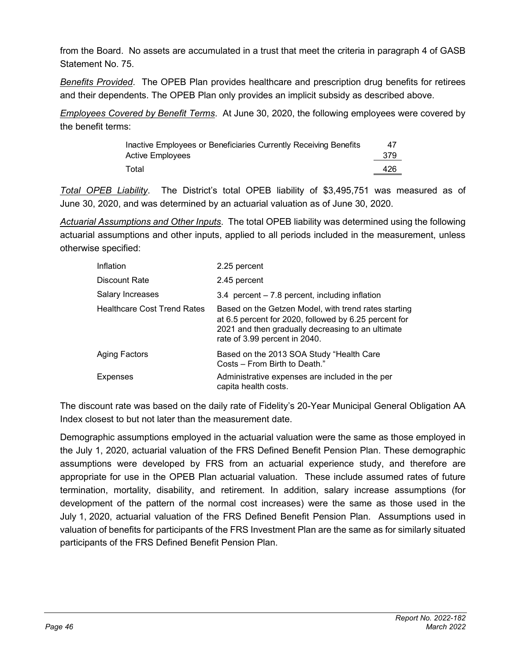from the Board. No assets are accumulated in a trust that meet the criteria in paragraph 4 of GASB Statement No. 75.

*Benefits Provided*.The OPEB Plan provides healthcare and prescription drug benefits for retirees and their dependents. The OPEB Plan only provides an implicit subsidy as described above.

*Employees Covered by Benefit Terms*. At June 30, 2020, the following employees were covered by the benefit terms:

| Inactive Employees or Beneficiaries Currently Receiving Benefits | 47  |
|------------------------------------------------------------------|-----|
| <b>Active Employees</b>                                          | 379 |
| Total                                                            | 426 |

*Total OPEB Liability*. The District's total OPEB liability of \$3,495,751 was measured as of June 30, 2020, and was determined by an actuarial valuation as of June 30, 2020.

*Actuarial Assumptions and Other Inputs*. The total OPEB liability was determined using the following actuarial assumptions and other inputs, applied to all periods included in the measurement, unless otherwise specified:

| Inflation                          | 2.25 percent                                                                                                                                                                                        |
|------------------------------------|-----------------------------------------------------------------------------------------------------------------------------------------------------------------------------------------------------|
| Discount Rate                      | 2.45 percent                                                                                                                                                                                        |
| Salary Increases                   | 3.4 percent $-7.8$ percent, including inflation                                                                                                                                                     |
| <b>Healthcare Cost Trend Rates</b> | Based on the Getzen Model, with trend rates starting<br>at 6.5 percent for 2020, followed by 6.25 percent for<br>2021 and then gradually decreasing to an ultimate<br>rate of 3.99 percent in 2040. |
| Aging Factors                      | Based on the 2013 SOA Study "Health Care<br>Costs - From Birth to Death."                                                                                                                           |
| Expenses                           | Administrative expenses are included in the per<br>capita health costs.                                                                                                                             |

The discount rate was based on the daily rate of Fidelity's 20-Year Municipal General Obligation AA Index closest to but not later than the measurement date.

Demographic assumptions employed in the actuarial valuation were the same as those employed in the July 1, 2020, actuarial valuation of the FRS Defined Benefit Pension Plan. These demographic assumptions were developed by FRS from an actuarial experience study, and therefore are appropriate for use in the OPEB Plan actuarial valuation. These include assumed rates of future termination, mortality, disability, and retirement. In addition, salary increase assumptions (for development of the pattern of the normal cost increases) were the same as those used in the July 1, 2020, actuarial valuation of the FRS Defined Benefit Pension Plan. Assumptions used in valuation of benefits for participants of the FRS Investment Plan are the same as for similarly situated participants of the FRS Defined Benefit Pension Plan.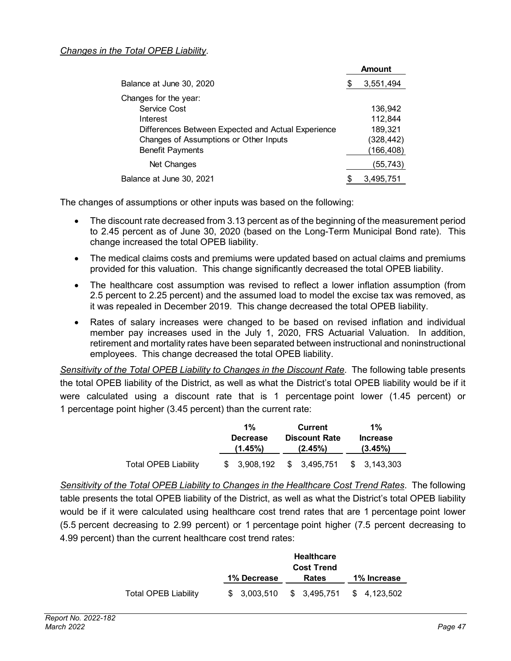#### *Changes in the Total OPEB Liability*.

|                                                    |   | <b>Amount</b> |
|----------------------------------------------------|---|---------------|
| Balance at June 30, 2020                           | S | 3,551,494     |
| Changes for the year:                              |   |               |
| Service Cost                                       |   | 136,942       |
| Interest                                           |   | 112,844       |
| Differences Between Expected and Actual Experience |   | 189,321       |
| Changes of Assumptions or Other Inputs             |   | (328, 442)    |
| <b>Benefit Payments</b>                            |   | (166,408)     |
| Net Changes                                        |   | (55,743)      |
| Balance at June 30, 2021                           |   | 3,495,751     |

The changes of assumptions or other inputs was based on the following:

- The discount rate decreased from 3.13 percent as of the beginning of the measurement period to 2.45 percent as of June 30, 2020 (based on the Long-Term Municipal Bond rate). This change increased the total OPEB liability.
- The medical claims costs and premiums were updated based on actual claims and premiums provided for this valuation. This change significantly decreased the total OPEB liability.
- The healthcare cost assumption was revised to reflect a lower inflation assumption (from 2.5 percent to 2.25 percent) and the assumed load to model the excise tax was removed, as it was repealed in December 2019. This change decreased the total OPEB liability.
- Rates of salary increases were changed to be based on revised inflation and individual member pay increases used in the July 1, 2020, FRS Actuarial Valuation. In addition, retirement and mortality rates have been separated between instructional and noninstructional employees. This change decreased the total OPEB liability.

*Sensitivity of the Total OPEB Liability to Changes in the Discount Rate*. The following table presents the total OPEB liability of the District, as well as what the District's total OPEB liability would be if it were calculated using a discount rate that is 1 percentage point lower (1.45 percent) or 1 percentage point higher (3.45 percent) than the current rate:

|                             | 1%<br><b>Decrease</b> | $1\%$<br><b>Current</b><br><b>Discount Rate</b><br><b>Increase</b> |              |
|-----------------------------|-----------------------|--------------------------------------------------------------------|--------------|
|                             | $(1.45\%)$            | (2.45%)                                                            | $(3.45\%)$   |
| <b>Total OPEB Liability</b> | \$ 3,908,192          | \$ 3,495,751                                                       | \$ 3,143,303 |

*Sensitivity of the Total OPEB Liability to Changes in the Healthcare Cost Trend Rates*. The following table presents the total OPEB liability of the District, as well as what the District's total OPEB liability would be if it were calculated using healthcare cost trend rates that are 1 percentage point lower (5.5 percent decreasing to 2.99 percent) or 1 percentage point higher (7.5 percent decreasing to 4.99 percent) than the current healthcare cost trend rates:

|                      | 1% Decrease<br>Rates |                           | 1% Increase |
|----------------------|----------------------|---------------------------|-------------|
| Total OPEB Liability | \$ 3,003,510         | \$ 3.495.751 \$ 4.123.502 |             |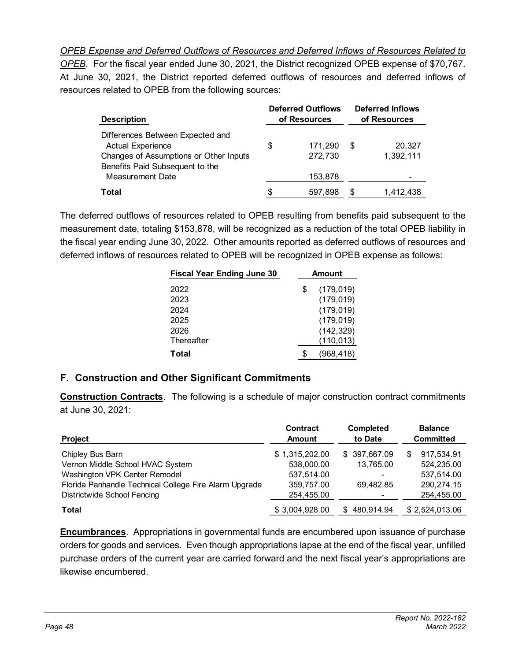#### *OPEB Expense and Deferred Outflows of Resources and Deferred Inflows of Resources Related to*

*OPEB*. For the fiscal year ended June 30, 2021, the District recognized OPEB expense of \$70,767. At June 30, 2021, the District reported deferred outflows of resources and deferred inflows of resources related to OPEB from the following sources:

| <b>Description</b>                                                        | <b>Deferred Outflows</b><br>of Resources |         | <b>Deferred Inflows</b><br>of Resources |           |
|---------------------------------------------------------------------------|------------------------------------------|---------|-----------------------------------------|-----------|
| Differences Between Expected and<br><b>Actual Experience</b>              | \$                                       | 171,290 | \$                                      | 20,327    |
| Changes of Assumptions or Other Inputs<br>Benefits Paid Subsequent to the |                                          | 272,730 |                                         | 1,392,111 |
| <b>Measurement Date</b>                                                   |                                          | 153,878 |                                         |           |
| Total                                                                     | S                                        | 597,898 | \$.                                     | 1,412,438 |

The deferred outflows of resources related to OPEB resulting from benefits paid subsequent to the measurement date, totaling \$153,878, will be recognized as a reduction of the total OPEB liability in the fiscal year ending June 30, 2022. Other amounts reported as deferred outflows of resources and deferred inflows of resources related to OPEB will be recognized in OPEB expense as follows:

| <b>Fiscal Year Ending June 30</b> | <b>Amount</b> |            |
|-----------------------------------|---------------|------------|
| 2022                              | S             | (179, 019) |
| 2023                              |               | (179, 019) |
| 2024                              |               | (179, 019) |
| 2025                              |               | (179, 019) |
| 2026                              |               | (142, 329) |
| Thereafter                        |               | (110, 013) |
| Total                             |               | (968, 418) |
|                                   |               |            |

#### **F. Construction and Other Significant Commitments**

**Construction Contracts**. The following is a schedule of major construction contract commitments at June 30, 2021:

| <b>Project</b>                                         | <b>Contract</b><br><b>Amount</b> | <b>Completed</b><br>to Date | <b>Balance</b><br><b>Committed</b> |
|--------------------------------------------------------|----------------------------------|-----------------------------|------------------------------------|
| Chipley Bus Barn                                       | \$1,315,202.00                   | \$ 397,667.09               | 917,534.91<br>\$                   |
| Vernon Middle School HVAC System                       | 538,000.00                       | 13,765.00                   | 524,235.00                         |
| Washington VPK Center Remodel                          | 537,514.00                       | -                           | 537,514.00                         |
| Florida Panhandle Technical College Fire Alarm Upgrade | 359,757.00                       | 69.482.85                   | 290,274.15                         |
| Districtwide School Fencing                            | 254,455.00                       |                             | 254,455.00                         |
| Total                                                  | \$3,004,928.00                   | \$480,914.94                | \$2,524,013.06                     |

**Encumbrances**. Appropriations in governmental funds are encumbered upon issuance of purchase orders for goods and services. Even though appropriations lapse at the end of the fiscal year, unfilled purchase orders of the current year are carried forward and the next fiscal year's appropriations are likewise encumbered.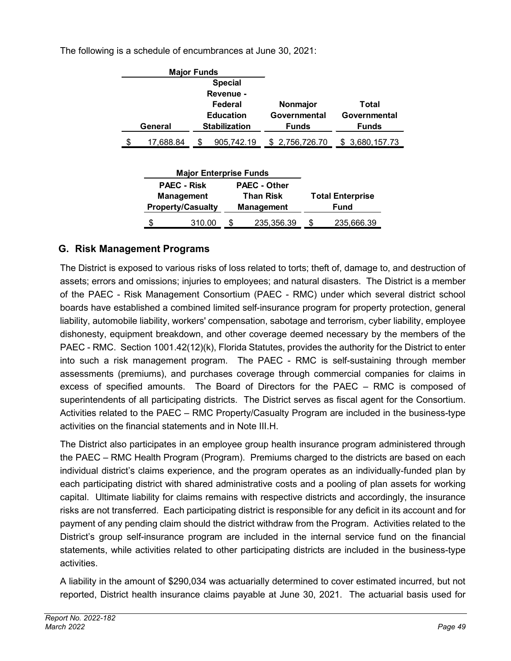The following is a schedule of encumbrances at June 30, 2021:

| <b>Major Funds</b> |  |                      |                |                |
|--------------------|--|----------------------|----------------|----------------|
|                    |  | <b>Special</b>       |                |                |
|                    |  | Revenue -            |                |                |
|                    |  | Federal              | Nonmajor       | Total          |
| <b>Education</b>   |  |                      | Governmental   | Governmental   |
| General            |  | <b>Stabilization</b> | <b>Funds</b>   | <b>Funds</b>   |
| \$<br>17,688.84    |  | 905,742.19           | \$2,756,726.70 | \$3,680,157.73 |

| <b>Major Enterprise Funds</b> |     |                   |                         |            |  |  |
|-------------------------------|-----|-------------------|-------------------------|------------|--|--|
| <b>PAEC - Risk</b>            |     |                   |                         |            |  |  |
| <b>Management</b>             |     | <b>Than Risk</b>  | <b>Total Enterprise</b> |            |  |  |
| <b>Property/Casualty</b>      |     | <b>Management</b> |                         | Fund       |  |  |
| 310.00                        | \$. | 235,356.39        | S                       | 235,666.39 |  |  |
|                               |     |                   |                         |            |  |  |

# **G. Risk Management Programs**

The District is exposed to various risks of loss related to torts; theft of, damage to, and destruction of assets; errors and omissions; injuries to employees; and natural disasters. The District is a member of the PAEC - Risk Management Consortium (PAEC - RMC) under which several district school boards have established a combined limited self-insurance program for property protection, general liability, automobile liability, workers' compensation, sabotage and terrorism, cyber liability, employee dishonesty, equipment breakdown, and other coverage deemed necessary by the members of the PAEC - RMC. Section 1001.42(12)(k), Florida Statutes, provides the authority for the District to enter into such a risk management program. The PAEC - RMC is self-sustaining through member assessments (premiums), and purchases coverage through commercial companies for claims in excess of specified amounts. The Board of Directors for the PAEC – RMC is composed of superintendents of all participating districts. The District serves as fiscal agent for the Consortium. Activities related to the PAEC – RMC Property/Casualty Program are included in the business-type activities on the financial statements and in Note III.H.

The District also participates in an employee group health insurance program administered through the PAEC – RMC Health Program (Program). Premiums charged to the districts are based on each individual district's claims experience, and the program operates as an individually-funded plan by each participating district with shared administrative costs and a pooling of plan assets for working capital. Ultimate liability for claims remains with respective districts and accordingly, the insurance risks are not transferred. Each participating district is responsible for any deficit in its account and for payment of any pending claim should the district withdraw from the Program. Activities related to the District's group self-insurance program are included in the internal service fund on the financial statements, while activities related to other participating districts are included in the business-type activities.

A liability in the amount of \$290,034 was actuarially determined to cover estimated incurred, but not reported, District health insurance claims payable at June 30, 2021. The actuarial basis used for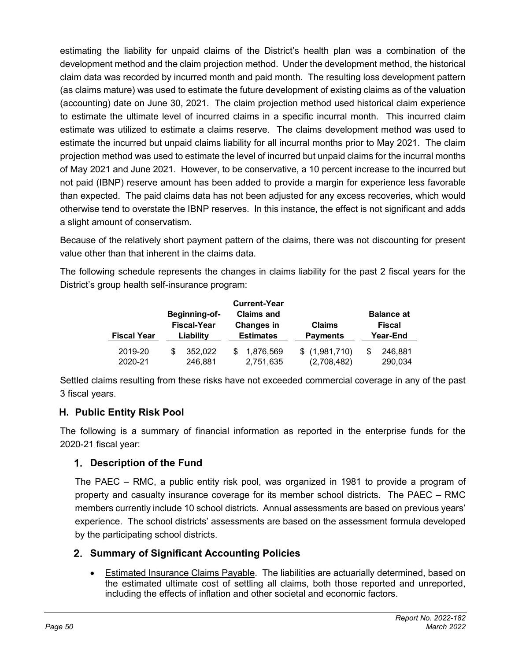estimating the liability for unpaid claims of the District's health plan was a combination of the development method and the claim projection method. Under the development method, the historical claim data was recorded by incurred month and paid month. The resulting loss development pattern (as claims mature) was used to estimate the future development of existing claims as of the valuation (accounting) date on June 30, 2021. The claim projection method used historical claim experience to estimate the ultimate level of incurred claims in a specific incurral month. This incurred claim estimate was utilized to estimate a claims reserve. The claims development method was used to estimate the incurred but unpaid claims liability for all incurral months prior to May 2021. The claim projection method was used to estimate the level of incurred but unpaid claims for the incurral months of May 2021 and June 2021. However, to be conservative, a 10 percent increase to the incurred but not paid (IBNP) reserve amount has been added to provide a margin for experience less favorable than expected. The paid claims data has not been adjusted for any excess recoveries, which would otherwise tend to overstate the IBNP reserves. In this instance, the effect is not significant and adds a slight amount of conservatism.

Because of the relatively short payment pattern of the claims, there was not discounting for present value other than that inherent in the claims data.

The following schedule represents the changes in claims liability for the past 2 fiscal years for the District's group health self-insurance program:

| <b>Fiscal Year</b> |   | Beginning-of-<br>Fiscal-Year<br>Liability | <b>Current-Year</b><br><b>Claims and</b><br><b>Changes in</b><br><b>Estimates</b> |                        | <b>Claims</b><br><b>Payments</b> | <b>Balance at</b><br><b>Fiscal</b><br>Year-End |                    |  |
|--------------------|---|-------------------------------------------|-----------------------------------------------------------------------------------|------------------------|----------------------------------|------------------------------------------------|--------------------|--|
| 2019-20<br>2020-21 | S | 352.022<br>246,881                        |                                                                                   | 1,876,569<br>2,751,635 | \$(1,981,710)<br>(2,708,482)     |                                                | 246,881<br>290,034 |  |

Settled claims resulting from these risks have not exceeded commercial coverage in any of the past 3 fiscal years.

# **H. Public Entity Risk Pool**

The following is a summary of financial information as reported in the enterprise funds for the 2020-21 fiscal year:

# **Description of the Fund**

The PAEC – RMC, a public entity risk pool, was organized in 1981 to provide a program of property and casualty insurance coverage for its member school districts. The PAEC – RMC members currently include 10 school districts. Annual assessments are based on previous years' experience. The school districts' assessments are based on the assessment formula developed by the participating school districts.

# **Summary of Significant Accounting Policies**

• Estimated Insurance Claims Payable. The liabilities are actuarially determined, based on the estimated ultimate cost of settling all claims, both those reported and unreported, including the effects of inflation and other societal and economic factors.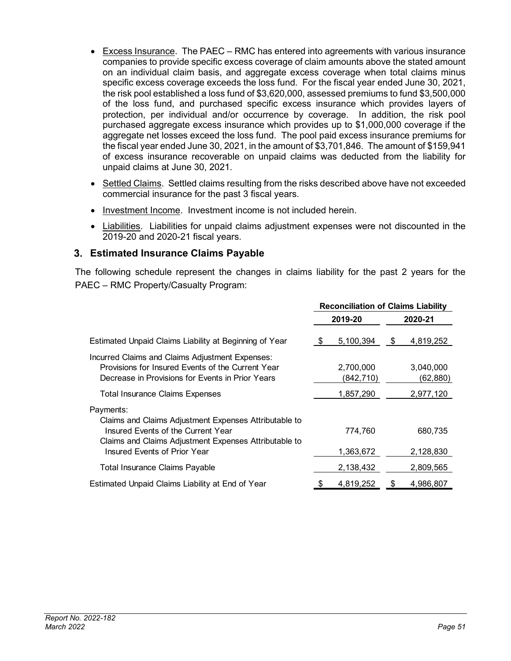- Excess Insurance. The PAEC RMC has entered into agreements with various insurance companies to provide specific excess coverage of claim amounts above the stated amount on an individual claim basis, and aggregate excess coverage when total claims minus specific excess coverage exceeds the loss fund. For the fiscal year ended June 30, 2021, the risk pool established a loss fund of \$3,620,000, assessed premiums to fund \$3,500,000 of the loss fund, and purchased specific excess insurance which provides layers of protection, per individual and/or occurrence by coverage. In addition, the risk pool purchased aggregate excess insurance which provides up to \$1,000,000 coverage if the aggregate net losses exceed the loss fund. The pool paid excess insurance premiums for the fiscal year ended June 30, 2021, in the amount of \$3,701,846. The amount of \$159,941 of excess insurance recoverable on unpaid claims was deducted from the liability for unpaid claims at June 30, 2021.
- Settled Claims. Settled claims resulting from the risks described above have not exceeded commercial insurance for the past 3 fiscal years.
- Investment Income. Investment income is not included herein.
- Liabilities. Liabilities for unpaid claims adjustment expenses were not discounted in the 2019-20 and 2020-21 fiscal years.

### **Estimated Insurance Claims Payable**

The following schedule represent the changes in claims liability for the past 2 years for the PAEC – RMC Property/Casualty Program:

|                                                                                                                                                          | <b>Reconciliation of Claims Liability</b> |                         |    |                       |  |
|----------------------------------------------------------------------------------------------------------------------------------------------------------|-------------------------------------------|-------------------------|----|-----------------------|--|
|                                                                                                                                                          |                                           | 2019-20                 |    | 2020-21               |  |
| Estimated Unpaid Claims Liability at Beginning of Year                                                                                                   |                                           | 5,100,394               | \$ | 4,819,252             |  |
| Incurred Claims and Claims Adjustment Expenses:<br>Provisions for Insured Events of the Current Year<br>Decrease in Provisions for Events in Prior Years |                                           | 2,700,000<br>(842, 710) |    | 3,040,000<br>(62,880) |  |
| <b>Total Insurance Claims Expenses</b>                                                                                                                   |                                           | 1,857,290               |    | 2,977,120             |  |
| Payments:<br>Claims and Claims Adjustment Expenses Attributable to<br>Insured Events of the Current Year                                                 |                                           | 774,760                 |    | 680,735               |  |
| Claims and Claims Adjustment Expenses Attributable to<br>Insured Events of Prior Year                                                                    |                                           | 1,363,672               |    | 2,128,830             |  |
| <b>Total Insurance Claims Payable</b>                                                                                                                    |                                           | 2,138,432               |    | 2,809,565             |  |
| Estimated Unpaid Claims Liability at End of Year                                                                                                         |                                           | 4,819,252               | S  | 4,986,807             |  |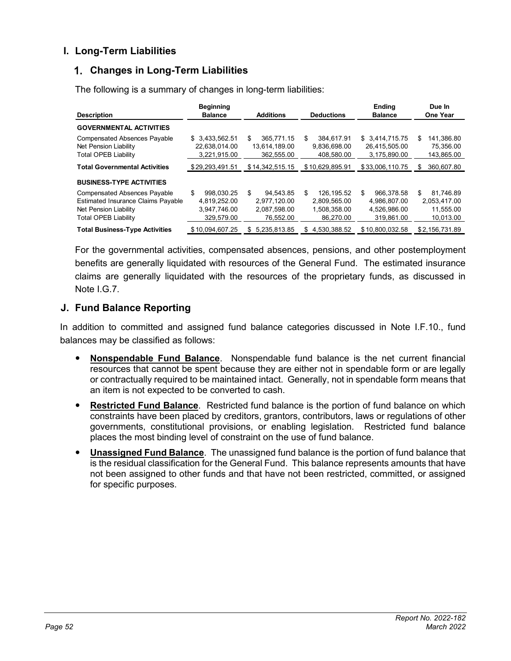### **I. Long-Term Liabilities**

# **Changes in Long-Term Liabilities**

The following is a summary of changes in long-term liabilities:

| <b>Description</b>                                                                                                                       | <b>Beginning</b><br><b>Balance</b>                             | <b>Additions</b>                                             | <b>Deductions</b>                                             | <b>Ending</b><br><b>Balance</b>                                | Due In<br>One Year                                        |
|------------------------------------------------------------------------------------------------------------------------------------------|----------------------------------------------------------------|--------------------------------------------------------------|---------------------------------------------------------------|----------------------------------------------------------------|-----------------------------------------------------------|
| <b>GOVERNMENTAL ACTIVITIES</b>                                                                                                           |                                                                |                                                              |                                                               |                                                                |                                                           |
| <b>Compensated Absences Payable</b><br>Net Pension Liability<br><b>Total OPEB Liability</b>                                              | \$ 3,433,562.51<br>22,638,014.00<br>3,221,915.00               | 365.771.15<br>\$<br>13,614,189.00<br>362,555.00              | 384.617.91<br>\$<br>9.836.698.00<br>408,580.00                | \$3.414.715.75<br>26,415,505.00<br>3,175,890.00                | 141,386.80<br>\$<br>75,356.00<br>143,865.00               |
| <b>Total Governmental Activities</b>                                                                                                     | \$29,293,491.51                                                | \$14,342,515.15                                              | \$10.629.895.91                                               | \$33,006,110.75                                                | 360,607.80<br>S                                           |
| <b>BUSINESS-TYPE ACTIVITIES</b>                                                                                                          |                                                                |                                                              |                                                               |                                                                |                                                           |
| <b>Compensated Absences Payable</b><br><b>Estimated Insurance Claims Payable</b><br>Net Pension Liability<br><b>Total OPEB Liability</b> | \$<br>998.030.25<br>4,819,252.00<br>3,947,746.00<br>329,579.00 | 94.543.85<br>\$<br>2.977.120.00<br>2,087,598.00<br>76.552.00 | \$<br>126.195.52<br>2.809.565.00<br>1,508,358.00<br>86.270.00 | 966.378.58<br>\$<br>4.986.807.00<br>4,526,986.00<br>319.861.00 | \$<br>81.746.89<br>2,053,417.00<br>11,555.00<br>10,013.00 |
| <b>Total Business-Type Activities</b>                                                                                                    | \$10.094.607.25                                                | 5.235.813.85<br>S                                            | 4.530.388.52<br>\$.                                           | \$10.800.032.58                                                | \$2.156.731.89                                            |

For the governmental activities, compensated absences, pensions, and other postemployment benefits are generally liquidated with resources of the General Fund. The estimated insurance claims are generally liquidated with the resources of the proprietary funds, as discussed in Note I.G.7.

#### **J. Fund Balance Reporting**

In addition to committed and assigned fund balance categories discussed in Note I.F.10., fund balances may be classified as follows:

- **Nonspendable Fund Balance**. Nonspendable fund balance is the net current financial resources that cannot be spent because they are either not in spendable form or are legally or contractually required to be maintained intact. Generally, not in spendable form means that an item is not expected to be converted to cash.
- **Restricted Fund Balance**. Restricted fund balance is the portion of fund balance on which constraints have been placed by creditors, grantors, contributors, laws or regulations of other governments, constitutional provisions, or enabling legislation. Restricted fund balance places the most binding level of constraint on the use of fund balance.
- **Unassigned Fund Balance**. The unassigned fund balance is the portion of fund balance that is the residual classification for the General Fund. This balance represents amounts that have not been assigned to other funds and that have not been restricted, committed, or assigned for specific purposes.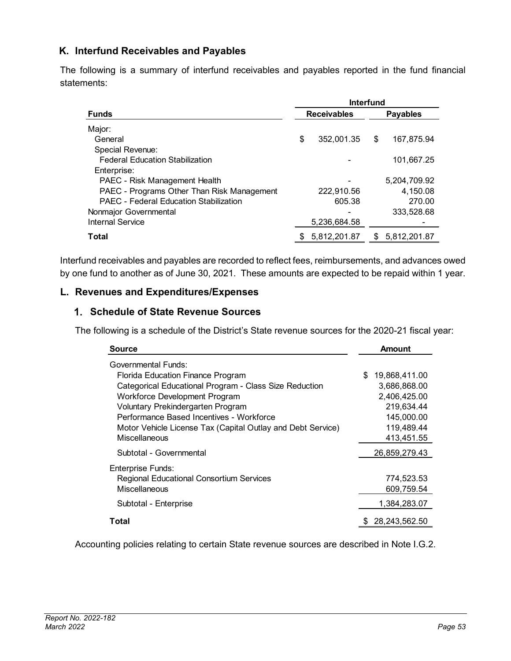# **K. Interfund Receivables and Payables**

The following is a summary of interfund receivables and payables reported in the fund financial statements:

|                                            | <b>Interfund</b> |                    |                 |              |  |  |  |  |  |
|--------------------------------------------|------------------|--------------------|-----------------|--------------|--|--|--|--|--|
| <b>Funds</b>                               |                  | <b>Receivables</b> | <b>Payables</b> |              |  |  |  |  |  |
| Major:                                     |                  |                    |                 |              |  |  |  |  |  |
| General                                    | \$               | 352,001.35         | S               | 167,875.94   |  |  |  |  |  |
| Special Revenue:                           |                  |                    |                 |              |  |  |  |  |  |
| <b>Federal Education Stabilization</b>     |                  |                    |                 | 101,667.25   |  |  |  |  |  |
| Enterprise:                                |                  |                    |                 |              |  |  |  |  |  |
| PAEC - Risk Management Health              |                  |                    |                 | 5,204,709.92 |  |  |  |  |  |
| PAEC - Programs Other Than Risk Management |                  | 222,910.56         |                 | 4,150.08     |  |  |  |  |  |
| PAEC - Federal Education Stabilization     |                  | 605.38             |                 | 270.00       |  |  |  |  |  |
| Nonmajor Governmental                      |                  |                    |                 | 333,528.68   |  |  |  |  |  |
| <b>Internal Service</b>                    |                  | 5,236,684.58       |                 |              |  |  |  |  |  |
| Total                                      |                  | 5,812,201.87       | S               | 5,812,201.87 |  |  |  |  |  |

Interfund receivables and payables are recorded to reflect fees, reimbursements, and advances owed by one fund to another as of June 30, 2021. These amounts are expected to be repaid within 1 year.

#### **L. Revenues and Expenditures/Expenses**

### **Schedule of State Revenue Sources**

The following is a schedule of the District's State revenue sources for the 2020-21 fiscal year:

| <b>Source</b>                                               | <b>Amount</b>       |
|-------------------------------------------------------------|---------------------|
| Governmental Funds:                                         |                     |
| Florida Education Finance Program                           | \$<br>19,868,411.00 |
| Categorical Educational Program - Class Size Reduction      | 3,686,868.00        |
| Workforce Development Program                               | 2,406,425.00        |
| Voluntary Prekindergarten Program                           | 219,634.44          |
| Performance Based Incentives - Workforce                    | 145,000.00          |
| Motor Vehicle License Tax (Capital Outlay and Debt Service) | 119,489.44          |
| Miscellaneous                                               | 413,451.55          |
| Subtotal - Governmental                                     | 26,859,279.43       |
| <b>Enterprise Funds:</b>                                    |                     |
| Regional Educational Consortium Services                    | 774,523.53          |
| Miscellaneous                                               | 609,759.54          |
| Subtotal - Enterprise                                       | 1,384,283.07        |
| Total                                                       | 28,243,562.50       |

Accounting policies relating to certain State revenue sources are described in Note I.G.2.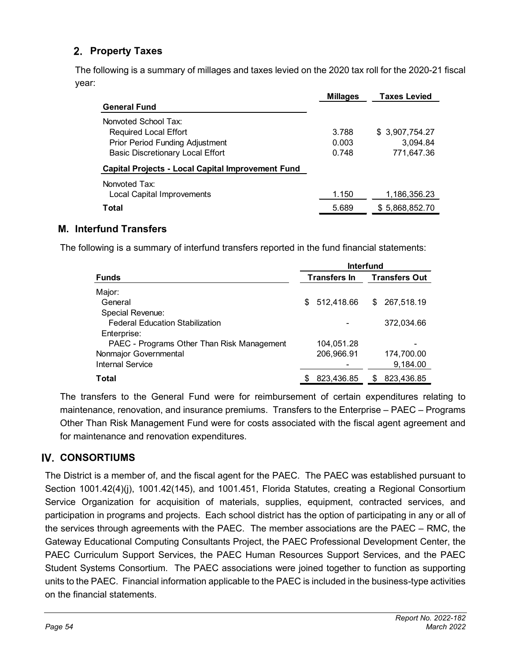# **Property Taxes**

The following is a summary of millages and taxes levied on the 2020 tax roll for the 2020-21 fiscal year:

| <b>Millages</b> | <b>Taxes Levied</b> |
|-----------------|---------------------|
|                 |                     |
|                 |                     |
| 3.788           | \$ 3,907,754.27     |
| 0.003           | 3,094.84            |
| 0.748           | 771,647.36          |
|                 |                     |
|                 |                     |
| 1.150           | 1,186,356.23        |
| 5.689           | \$5,868,852.70      |
|                 |                     |

# **M. Interfund Transfers**

The following is a summary of interfund transfers reported in the fund financial statements:

|                                            | Interfund |                     |                      |            |  |  |  |  |  |
|--------------------------------------------|-----------|---------------------|----------------------|------------|--|--|--|--|--|
| <b>Funds</b>                               |           | <b>Transfers In</b> | <b>Transfers Out</b> |            |  |  |  |  |  |
| Major:                                     |           |                     |                      |            |  |  |  |  |  |
| General                                    | S.        | 512,418.66          | \$                   | 267,518.19 |  |  |  |  |  |
| Special Revenue:                           |           |                     |                      |            |  |  |  |  |  |
| <b>Federal Education Stabilization</b>     |           |                     |                      | 372,034.66 |  |  |  |  |  |
| Enterprise:                                |           |                     |                      |            |  |  |  |  |  |
| PAEC - Programs Other Than Risk Management |           | 104,051.28          |                      |            |  |  |  |  |  |
| Nonmajor Governmental                      |           | 206,966.91          |                      | 174,700.00 |  |  |  |  |  |
| <b>Internal Service</b>                    |           |                     |                      | 9,184.00   |  |  |  |  |  |
| <b>Total</b>                               |           | 823,436.85          | S                    | 823,436.85 |  |  |  |  |  |

**Interfund**

The transfers to the General Fund were for reimbursement of certain expenditures relating to maintenance, renovation, and insurance premiums. Transfers to the Enterprise – PAEC – Programs Other Than Risk Management Fund were for costs associated with the fiscal agent agreement and for maintenance and renovation expenditures.

# **IV. CONSORTIUMS**

The District is a member of, and the fiscal agent for the PAEC. The PAEC was established pursuant to Section 1001.42(4)(j), 1001.42(145), and 1001.451, Florida Statutes, creating a Regional Consortium Service Organization for acquisition of materials, supplies, equipment, contracted services, and participation in programs and projects. Each school district has the option of participating in any or all of the services through agreements with the PAEC. The member associations are the PAEC – RMC, the Gateway Educational Computing Consultants Project, the PAEC Professional Development Center, the PAEC Curriculum Support Services, the PAEC Human Resources Support Services, and the PAEC Student Systems Consortium. The PAEC associations were joined together to function as supporting units to the PAEC. Financial information applicable to the PAEC is included in the business-type activities on the financial statements.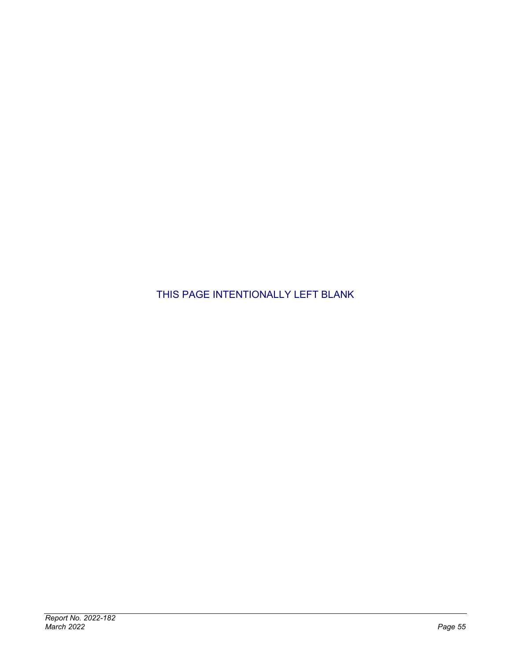THIS PAGE INTENTIONALLY LEFT BLANK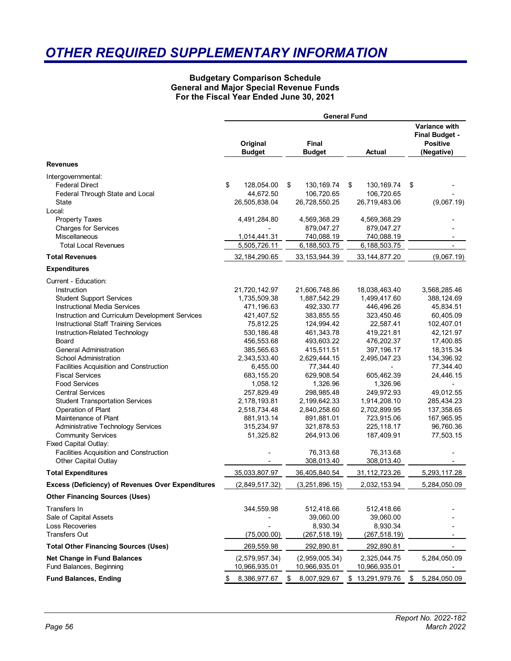# *OTHER REQUIRED SUPPLEMENTARY INFORMATION*

#### **Budgetary Comparison Schedule General and Major Special Revenue Funds For the Fiscal Year Ended June 30, 2021**

|                                                          |                           | <b>General Fund</b>      |                          |                                                                         |
|----------------------------------------------------------|---------------------------|--------------------------|--------------------------|-------------------------------------------------------------------------|
|                                                          | Original<br><b>Budget</b> | Final<br><b>Budget</b>   | Actual                   | Variance with<br><b>Final Budget -</b><br><b>Positive</b><br>(Negative) |
| <b>Revenues</b>                                          |                           |                          |                          |                                                                         |
| Intergovernmental:                                       |                           |                          |                          |                                                                         |
| <b>Federal Direct</b>                                    | \$<br>128,054.00          | \$<br>130, 169.74        | \$<br>130, 169. 74       | \$                                                                      |
| Federal Through State and Local                          | 44,672.50                 | 106,720.65               | 106,720.65               |                                                                         |
| <b>State</b>                                             | 26,505,838.04             | 26,728,550.25            | 26,719,483.06            | (9,067.19)                                                              |
| Local:                                                   |                           |                          |                          |                                                                         |
| <b>Property Taxes</b>                                    | 4,491,284.80              | 4,569,368.29             | 4,569,368.29             |                                                                         |
| <b>Charges for Services</b><br>Miscellaneous             | 1,014,441.31              | 879,047.27<br>740,088.19 | 879,047.27<br>740,088.19 |                                                                         |
| <b>Total Local Revenues</b>                              | 5,505,726.11              | 6,188,503.75             | 6,188,503.75             |                                                                         |
| <b>Total Revenues</b>                                    | 32, 184, 290.65           | 33, 153, 944. 39         | 33, 144, 877. 20         | (9,067.19)                                                              |
| <b>Expenditures</b>                                      |                           |                          |                          |                                                                         |
|                                                          |                           |                          |                          |                                                                         |
| Current - Education:<br>Instruction                      | 21,720,142.97             | 21,606,748.86            | 18,038,463.40            | 3,568,285.46                                                            |
| <b>Student Support Services</b>                          | 1,735,509.38              | 1,887,542.29             | 1,499,417.60             | 388,124.69                                                              |
| <b>Instructional Media Services</b>                      | 471,196.63                | 492,330.77               | 446,496.26               | 45,834.51                                                               |
| Instruction and Curriculum Development Services          | 421,407.52                | 383,855.55               | 323,450.46               | 60,405.09                                                               |
| Instructional Staff Training Services                    | 75,812.25                 | 124,994.42               | 22,587.41                | 102,407.01                                                              |
| Instruction-Related Technology                           | 530,186.48                | 461,343.78               | 419,221.81               | 42,121.97                                                               |
| Board                                                    | 456,553.68                | 493,603.22               | 476,202.37               | 17,400.85                                                               |
| <b>General Administration</b>                            | 385,565.63                | 415,511.51               | 397, 196. 17             | 18,315.34                                                               |
| School Administration                                    | 2,343,533.40              | 2,629,444.15             | 2,495,047.23             | 134,396.92                                                              |
| <b>Facilities Acquisition and Construction</b>           | 6,455.00                  | 77,344.40                |                          | 77,344.40                                                               |
| <b>Fiscal Services</b>                                   | 683,155.20                | 629,908.54               | 605,462.39               | 24,446.15                                                               |
| <b>Food Services</b><br><b>Central Services</b>          | 1,058.12<br>257,829.49    | 1,326.96<br>298,985.48   | 1,326.96<br>249,972.93   | 49,012.55                                                               |
| <b>Student Transportation Services</b>                   | 2,178,193.81              | 2, 199, 642. 33          | 1,914,208.10             | 285,434.23                                                              |
| Operation of Plant                                       | 2,518,734.48              | 2,840,258.60             | 2,702,899.95             | 137,358.65                                                              |
| Maintenance of Plant                                     | 881,913.14                | 891,881.01               | 723,915.06               | 167,965.95                                                              |
| <b>Administrative Technology Services</b>                | 315,234.97                | 321,878.53               | 225,118.17               | 96,760.36                                                               |
| <b>Community Services</b>                                | 51,325.82                 | 264,913.06               | 187,409.91               | 77,503.15                                                               |
| Fixed Capital Outlay:                                    |                           |                          |                          |                                                                         |
| Facilities Acquisition and Construction                  |                           | 76,313.68                | 76,313.68                |                                                                         |
| Other Capital Outlay                                     |                           | 308,013.40               | 308,013.40               |                                                                         |
| <b>Total Expenditures</b>                                | 35,033,807.97             | 36,405,840.54            | 31, 112, 723. 26         | 5,293,117.28                                                            |
| <b>Excess (Deficiency) of Revenues Over Expenditures</b> | (2,849,517.32)            | (3, 251, 896.15)         | 2,032,153.94             | 5,284,050.09                                                            |
| <b>Other Financing Sources (Uses)</b>                    |                           |                          |                          |                                                                         |
| Transfers In                                             | 344,559.98                | 512,418.66               | 512,418.66               |                                                                         |
| Sale of Capital Assets                                   |                           | 39,060.00                | 39,060.00                |                                                                         |
| Loss Recoveries                                          |                           | 8,930.34                 | 8,930.34                 |                                                                         |
| <b>Transfers Out</b>                                     | (75,000.00)               | <u>(267,518.19)</u>      | (267,518.19)             |                                                                         |
| <b>Total Other Financing Sources (Uses)</b>              | 269,559.98                | 292,890.81               | 292,890.81               |                                                                         |
| <b>Net Change in Fund Balances</b>                       | (2,579,957.34)            | (2,959,005.34)           | 2,325,044.75             | 5,284,050.09                                                            |
| Fund Balances, Beginning                                 | 10,966,935.01             | 10,966,935.01            | 10,966,935.01            |                                                                         |
| <b>Fund Balances, Ending</b>                             | \$<br>8,386,977.67        | \$<br>8,007,929.67       | \$13,291,979.76          | \$<br>5,284,050.09                                                      |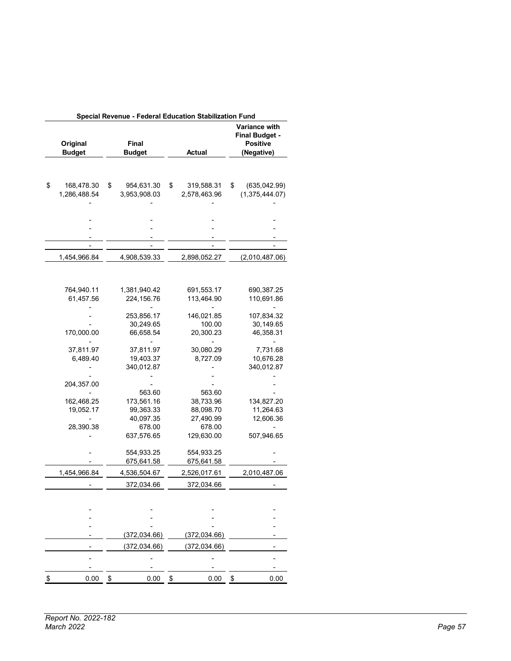|                  |    | Special Revenue - Federal Education Stabilization Fund |               |                      |                                                                                |                         |  |  |  |
|------------------|----|--------------------------------------------------------|---------------|----------------------|--------------------------------------------------------------------------------|-------------------------|--|--|--|
| Original         |    | <b>Final</b><br><b>Budget</b><br><b>Budget</b>         |               |                      | <b>Variance with</b><br><b>Final Budget -</b><br><b>Positive</b><br>(Negative) |                         |  |  |  |
|                  |    |                                                        |               |                      |                                                                                |                         |  |  |  |
|                  |    |                                                        |               |                      |                                                                                |                         |  |  |  |
| \$<br>168,478.30 | \$ | 954,631.30                                             | \$            | 319,588.31           | \$                                                                             | (635, 042.99)           |  |  |  |
| 1,286,488.54     |    | 3,953,908.03                                           |               | 2,578,463.96         |                                                                                | (1,375,444.07)          |  |  |  |
|                  |    |                                                        |               |                      |                                                                                |                         |  |  |  |
|                  |    |                                                        |               |                      |                                                                                |                         |  |  |  |
|                  |    |                                                        |               |                      |                                                                                |                         |  |  |  |
|                  |    |                                                        |               |                      |                                                                                |                         |  |  |  |
|                  |    |                                                        |               |                      |                                                                                |                         |  |  |  |
| 1,454,966.84     |    | 4,908,539.33                                           |               | 2,898,052.27         |                                                                                | (2,010,487.06)          |  |  |  |
|                  |    |                                                        |               |                      |                                                                                |                         |  |  |  |
|                  |    |                                                        |               |                      |                                                                                |                         |  |  |  |
| 764,940.11       |    | 1,381,940.42                                           |               | 691,553.17           |                                                                                | 690,387.25              |  |  |  |
| 61,457.56        |    | 224, 156.76                                            |               | 113,464.90           |                                                                                | 110,691.86              |  |  |  |
|                  |    | 253,856.17                                             |               | 146,021.85           |                                                                                | 107,834.32              |  |  |  |
|                  |    | 30,249.65                                              |               | 100.00               |                                                                                | 30,149.65               |  |  |  |
| 170,000.00       |    | 66,658.54                                              |               | 20,300.23            |                                                                                | 46,358.31               |  |  |  |
|                  |    |                                                        |               |                      |                                                                                |                         |  |  |  |
| 37,811.97        |    | 37,811.97                                              |               | 30,080.29            |                                                                                | 7,731.68                |  |  |  |
| 6,489.40         |    | 19,403.37<br>340,012.87                                |               | 8,727.09             |                                                                                | 10,676.28<br>340,012.87 |  |  |  |
|                  |    |                                                        |               |                      |                                                                                |                         |  |  |  |
| 204,357.00       |    |                                                        |               |                      |                                                                                |                         |  |  |  |
|                  |    | 563.60                                                 |               | 563.60               |                                                                                |                         |  |  |  |
| 162,468.25       |    | 173,561.16                                             |               | 38,733.96            |                                                                                | 134,827.20              |  |  |  |
| 19,052.17        |    | 99,363.33                                              |               | 88,098.70            |                                                                                | 11,264.63               |  |  |  |
|                  |    | 40,097.35                                              |               | 27,490.99            |                                                                                | 12,606.36               |  |  |  |
| 28,390.38        |    | 678.00<br>637,576.65                                   |               | 678.00<br>129,630.00 |                                                                                | 507,946.65              |  |  |  |
|                  |    |                                                        |               |                      |                                                                                |                         |  |  |  |
|                  |    | 554,933.25                                             |               | 554,933.25           |                                                                                |                         |  |  |  |
|                  |    | 675,641.58                                             |               | 675,641.58           |                                                                                |                         |  |  |  |
| 1,454,966.84     |    | 4,536,504.67                                           |               | 2,526,017.61         |                                                                                | 2,010,487.06            |  |  |  |
|                  |    | 372,034.66                                             |               | 372,034.66           |                                                                                |                         |  |  |  |
|                  |    |                                                        |               |                      |                                                                                |                         |  |  |  |
|                  |    |                                                        |               |                      |                                                                                |                         |  |  |  |
|                  |    |                                                        |               |                      |                                                                                |                         |  |  |  |
|                  |    |                                                        |               |                      |                                                                                |                         |  |  |  |
|                  |    | (372, 034.66)                                          |               | (372,034.66)         |                                                                                |                         |  |  |  |
|                  |    | (372, 034.66)                                          |               | (372,034.66)         |                                                                                |                         |  |  |  |
|                  |    |                                                        |               |                      |                                                                                |                         |  |  |  |
|                  |    |                                                        |               |                      |                                                                                |                         |  |  |  |
| \$<br>0.00       | \$ | 0.00                                                   | $\frac{3}{2}$ | 0.00                 | $\boldsymbol{\theta}$                                                          | 0.00                    |  |  |  |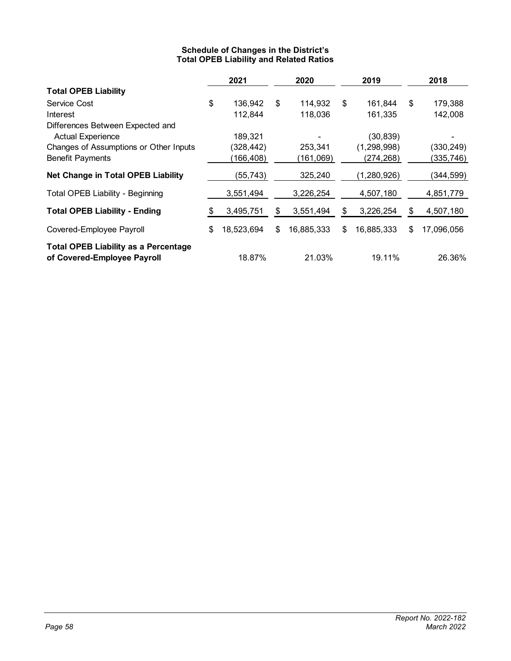#### **Schedule of Changes in the District's Total OPEB Liability and Related Ratios**

|                                                                            | 2021 |            | 2020 |            |    | 2019          | 2018 |            |
|----------------------------------------------------------------------------|------|------------|------|------------|----|---------------|------|------------|
| <b>Total OPEB Liability</b>                                                |      |            |      |            |    |               |      |            |
| Service Cost                                                               | \$   | 136,942    | \$   | 114,932    | \$ | 161,844       | \$   | 179,388    |
| Interest                                                                   |      | 112,844    |      | 118,036    |    | 161,335       |      | 142,008    |
| Differences Between Expected and                                           |      |            |      |            |    |               |      |            |
| <b>Actual Experience</b>                                                   |      | 189,321    |      |            |    | (30, 839)     |      |            |
| Changes of Assumptions or Other Inputs                                     |      | (328,442)  |      | 253,341    |    | (1, 298, 998) |      | (330, 249) |
| <b>Benefit Payments</b>                                                    |      | (166, 408) |      | (161,069)  |    | (274,268)     |      | (335, 746) |
| <b>Net Change in Total OPEB Liability</b>                                  |      | (55,743)   |      | 325,240    |    | (1, 280, 926) |      | (344,599)  |
| <b>Total OPEB Liability - Beginning</b>                                    |      | 3,551,494  |      | 3,226,254  |    | 4,507,180     |      | 4,851,779  |
| <b>Total OPEB Liability - Ending</b>                                       |      | 3,495,751  | \$   | 3,551,494  |    | 3,226,254     | \$   | 4,507,180  |
| Covered-Employee Payroll                                                   | \$   | 18,523,694 | \$   | 16,885,333 | \$ | 16,885,333    | \$   | 17,096,056 |
| <b>Total OPEB Liability as a Percentage</b><br>of Covered-Employee Payroll |      | 18.87%     |      | 21.03%     |    | 19.11%        |      | 26.36%     |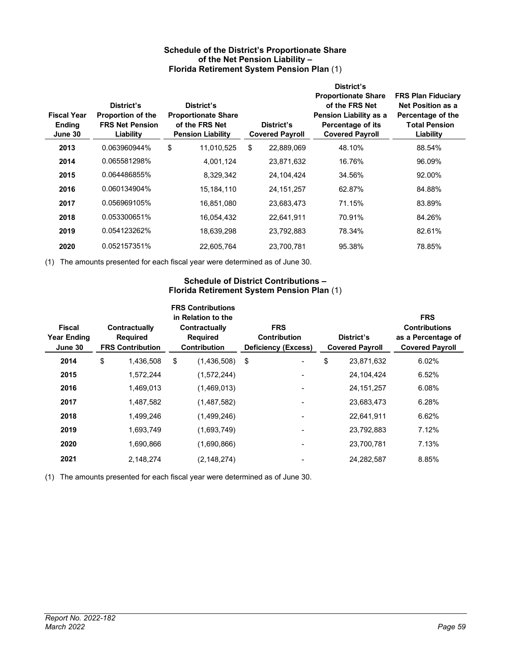#### **Schedule of the District's Proportionate Share of the Net Pension Liability – Florida Retirement System Pension Plan** (1)

| <b>Fiscal Year</b><br><b>Ending</b> | District's<br><b>Proportion of the</b><br><b>FRS Net Pension</b> | District's<br><b>Proportionate Share</b><br>of the FRS Net | District's             | District's<br><b>Proportionate Share</b><br>of the FRS Net<br>Pension Liability as a<br>Percentage of its | <b>FRS Plan Fiduciary</b><br>Net Position as a<br>Percentage of the<br><b>Total Pension</b> |
|-------------------------------------|------------------------------------------------------------------|------------------------------------------------------------|------------------------|-----------------------------------------------------------------------------------------------------------|---------------------------------------------------------------------------------------------|
| June 30                             | Liability                                                        | <b>Pension Liability</b>                                   | <b>Covered Payroll</b> | <b>Covered Payroll</b>                                                                                    | Liability                                                                                   |
| 2013                                | 0.063960944%                                                     | \$<br>11,010,525                                           | \$<br>22,889,069       | 48.10%                                                                                                    | 88.54%                                                                                      |
| 2014                                | 0.065581298%                                                     | 4,001,124                                                  | 23,871,632             | 16.76%                                                                                                    | 96.09%                                                                                      |
| 2015                                | 0.064486855%                                                     | 8,329,342                                                  | 24, 104, 424           | 34.56%                                                                                                    | 92.00%                                                                                      |
| 2016                                | 0.060134904%                                                     | 15, 184, 110                                               | 24, 151, 257           | 62.87%                                                                                                    | 84.88%                                                                                      |
| 2017                                | 0.056969105%                                                     | 16,851,080                                                 | 23,683,473             | 71.15%                                                                                                    | 83.89%                                                                                      |
| 2018                                | 0.053300651%                                                     | 16,054,432                                                 | 22,641,911             | 70.91%                                                                                                    | 84.26%                                                                                      |
| 2019                                | 0.054123262%                                                     | 18,639,298                                                 | 23,792,883             | 78.34%                                                                                                    | 82.61%                                                                                      |
| 2020                                | 0.052157351%                                                     | 22,605,764                                                 | 23,700,781             | 95.38%                                                                                                    | 78.85%                                                                                      |

(1) The amounts presented for each fiscal year were determined as of June 30.

#### **Schedule of District Contributions – Florida Retirement System Pension Plan** (1)

| <b>Fiscal</b><br><b>Year Ending</b><br>June 30 | Contractually<br><b>Required</b><br><b>FRS Contribution</b> | <b>FRS Contributions</b><br>in Relation to the<br><b>Contractually</b><br><b>Required</b><br><b>Contribution</b> | <b>FRS</b><br><b>Contribution</b><br>District's<br><b>Deficiency (Excess)</b><br><b>Covered Payroll</b> |  |    |              | <b>FRS</b><br><b>Contributions</b><br>as a Percentage of<br><b>Covered Payroll</b> |  |
|------------------------------------------------|-------------------------------------------------------------|------------------------------------------------------------------------------------------------------------------|---------------------------------------------------------------------------------------------------------|--|----|--------------|------------------------------------------------------------------------------------|--|
| 2014                                           | \$<br>1,436,508                                             | \$<br>(1,436,508)                                                                                                | \$                                                                                                      |  | \$ | 23,871,632   | 6.02%                                                                              |  |
| 2015                                           | 1,572,244                                                   | (1,572,244)                                                                                                      |                                                                                                         |  |    | 24,104,424   | 6.52%                                                                              |  |
| 2016                                           | 1,469,013                                                   | (1,469,013)                                                                                                      |                                                                                                         |  |    | 24, 151, 257 | 6.08%                                                                              |  |
| 2017                                           | 1,487,582                                                   | (1,487,582)                                                                                                      |                                                                                                         |  |    | 23,683,473   | 6.28%                                                                              |  |
| 2018                                           | 1,499,246                                                   | (1,499,246)                                                                                                      |                                                                                                         |  |    | 22,641,911   | 6.62%                                                                              |  |
| 2019                                           | 1,693,749                                                   | (1,693,749)                                                                                                      |                                                                                                         |  |    | 23,792,883   | 7.12%                                                                              |  |
| 2020                                           | 1,690,866                                                   | (1,690,866)                                                                                                      |                                                                                                         |  |    | 23,700,781   | 7.13%                                                                              |  |
| 2021                                           | 2,148,274                                                   | (2, 148, 274)                                                                                                    |                                                                                                         |  |    | 24,282,587   | 8.85%                                                                              |  |
|                                                |                                                             |                                                                                                                  |                                                                                                         |  |    |              |                                                                                    |  |

(1) The amounts presented for each fiscal year were determined as of June 30.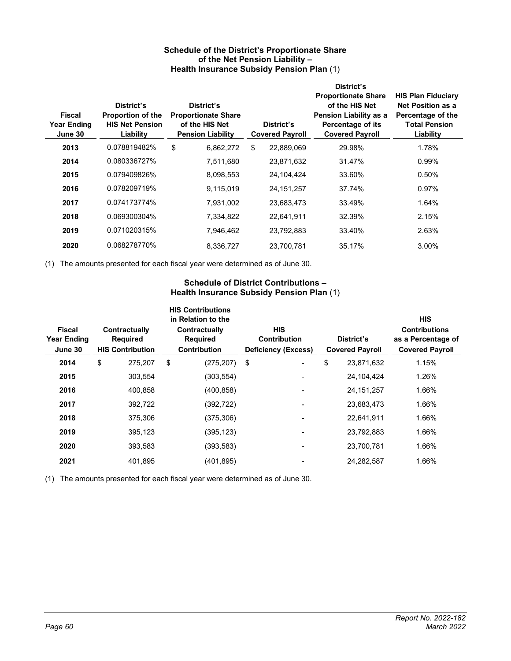#### **Schedule of the District's Proportionate Share of the Net Pension Liability – Health Insurance Subsidy Pension Plan** (1)

| <b>Fiscal</b><br><b>Year Ending</b><br>June 30 | District's<br><b>Proportion of the</b><br><b>HIS Net Pension</b><br>Liability | District's<br><b>Proportionate Share</b><br>of the HIS Net<br><b>Pension Liability</b> | District's<br><b>Covered Payroll</b> | District's<br><b>Proportionate Share</b><br>of the HIS Net<br>Pension Liability as a<br>Percentage of its<br><b>Covered Payroll</b> | <b>HIS Plan Fiduciary</b><br>Net Position as a<br>Percentage of the<br><b>Total Pension</b><br>Liability |
|------------------------------------------------|-------------------------------------------------------------------------------|----------------------------------------------------------------------------------------|--------------------------------------|-------------------------------------------------------------------------------------------------------------------------------------|----------------------------------------------------------------------------------------------------------|
| 2013                                           | 0.078819482%                                                                  | \$<br>6,862,272                                                                        | \$<br>22,889,069                     | 29.98%                                                                                                                              | 1.78%                                                                                                    |
| 2014                                           | 0.080336727%                                                                  | 7,511,680                                                                              | 23,871,632                           | 31.47%                                                                                                                              | $0.99\%$                                                                                                 |
| 2015                                           | 0.079409826%                                                                  | 8,098,553                                                                              | 24, 104, 424                         | 33.60%                                                                                                                              | 0.50%                                                                                                    |
| 2016                                           | 0.078209719%                                                                  | 9,115,019                                                                              | 24, 151, 257                         | 37.74%                                                                                                                              | 0.97%                                                                                                    |
| 2017                                           | 0.074173774%                                                                  | 7,931,002                                                                              | 23,683,473                           | 33.49%                                                                                                                              | 1.64%                                                                                                    |
| 2018                                           | 0.069300304%                                                                  | 7,334,822                                                                              | 22,641,911                           | 32.39%                                                                                                                              | 2.15%                                                                                                    |
| 2019                                           | 0.071020315%                                                                  | 7,946,462                                                                              | 23,792,883                           | 33.40%                                                                                                                              | 2.63%                                                                                                    |
| 2020                                           | 0.068278770%                                                                  | 8,336,727                                                                              | 23.700.781                           | 35.17%                                                                                                                              | 3.00%                                                                                                    |

(1) The amounts presented for each fiscal year were determined as of June 30.

#### **Schedule of District Contributions – Health Insurance Subsidy Pension Plan** (1)

| <b>Fiscal</b><br><b>Year Ending</b><br>June 30 | Contractually<br><b>Required</b><br><b>HIS Contribution</b> | <b>HIS Contributions</b><br>in Relation to the<br>Contractually<br><b>Required</b><br><b>Contribution</b> | <b>HIS</b><br><b>Contribution</b><br>Deficiency (Excess) | District's<br><b>Covered Payroll</b> | <b>HIS</b><br><b>Contributions</b><br>as a Percentage of<br><b>Covered Payroll</b> |  |
|------------------------------------------------|-------------------------------------------------------------|-----------------------------------------------------------------------------------------------------------|----------------------------------------------------------|--------------------------------------|------------------------------------------------------------------------------------|--|
| 2014                                           | \$<br>275,207                                               | \$<br>$(275, 207)$ \$                                                                                     |                                                          | \$<br>23,871,632                     | 1.15%                                                                              |  |
| 2015                                           | 303,554                                                     | (303, 554)                                                                                                |                                                          | 24,104,424                           | 1.26%                                                                              |  |
| 2016                                           | 400.858                                                     | (400, 858)                                                                                                |                                                          | 24, 151, 257                         | 1.66%                                                                              |  |
| 2017                                           | 392,722                                                     | (392, 722)                                                                                                |                                                          | 23,683,473                           | 1.66%                                                                              |  |
| 2018                                           | 375,306                                                     | (375, 306)                                                                                                | ۰                                                        | 22,641,911                           | 1.66%                                                                              |  |
| 2019                                           | 395,123                                                     | (395, 123)                                                                                                |                                                          | 23,792,883                           | 1.66%                                                                              |  |
| 2020                                           | 393,583                                                     | (393, 583)                                                                                                |                                                          | 23,700,781                           | 1.66%                                                                              |  |
| 2021                                           | 401.895                                                     | (401, 895)                                                                                                |                                                          | 24,282,587                           | 1.66%                                                                              |  |
|                                                |                                                             |                                                                                                           |                                                          |                                      |                                                                                    |  |

(1) The amounts presented for each fiscal year were determined as of June 30.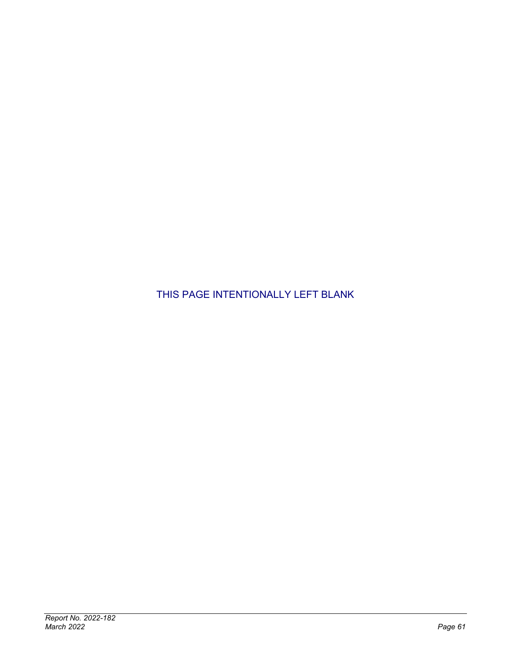THIS PAGE INTENTIONALLY LEFT BLANK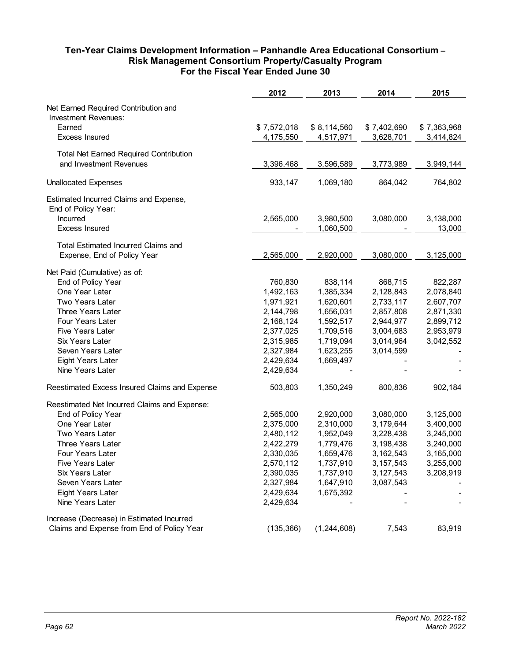#### **Ten-Year Claims Development Information – Panhandle Area Educational Consortium – Risk Management Consortium Property/Casualty Program For the Fiscal Year Ended June 30**

|                                               | 2012        | 2013        | 2014        | 2015        |
|-----------------------------------------------|-------------|-------------|-------------|-------------|
| Net Earned Required Contribution and          |             |             |             |             |
| <b>Investment Revenues:</b>                   |             |             |             |             |
| Earned                                        | \$7,572,018 | \$8,114,560 | \$7,402,690 | \$7,363,968 |
| <b>Excess Insured</b>                         | 4,175,550   | 4,517,971   | 3,628,701   | 3,414,824   |
| <b>Total Net Earned Required Contribution</b> |             |             |             |             |
| and Investment Revenues                       | 3,396,468   | 3,596,589   | 3,773,989   | 3,949,144   |
| <b>Unallocated Expenses</b>                   | 933,147     | 1,069,180   | 864,042     | 764,802     |
| Estimated Incurred Claims and Expense,        |             |             |             |             |
| End of Policy Year:                           |             |             |             |             |
| Incurred                                      | 2,565,000   | 3,980,500   | 3,080,000   | 3,138,000   |
| <b>Excess Insured</b>                         |             | 1,060,500   |             | 13,000      |
|                                               |             |             |             |             |
| <b>Total Estimated Incurred Claims and</b>    |             |             |             |             |
| Expense, End of Policy Year                   | 2,565,000   | 2,920,000   | 3,080,000   | 3,125,000   |
| Net Paid (Cumulative) as of:                  |             |             |             |             |
| End of Policy Year                            | 760,830     | 838,114     | 868,715     | 822,287     |
| One Year Later                                | 1,492,163   | 1,385,334   | 2,128,843   | 2,078,840   |
| Two Years Later                               | 1,971,921   | 1,620,601   | 2,733,117   | 2,607,707   |
| <b>Three Years Later</b>                      | 2,144,798   | 1,656,031   | 2,857,808   | 2,871,330   |
| Four Years Later                              | 2,168,124   | 1,592,517   | 2,944,977   | 2,899,712   |
| <b>Five Years Later</b>                       | 2,377,025   | 1,709,516   | 3,004,683   | 2,953,979   |
| <b>Six Years Later</b>                        | 2,315,985   | 1,719,094   | 3,014,964   | 3,042,552   |
| Seven Years Later                             | 2,327,984   | 1,623,255   | 3,014,599   |             |
| Eight Years Later                             | 2,429,634   | 1,669,497   |             |             |
| Nine Years Later                              | 2,429,634   |             |             |             |
| Reestimated Excess Insured Claims and Expense | 503,803     | 1,350,249   | 800,836     | 902,184     |
| Reestimated Net Incurred Claims and Expense:  |             |             |             |             |
| End of Policy Year                            | 2,565,000   | 2,920,000   | 3,080,000   | 3,125,000   |
| One Year Later                                | 2,375,000   | 2,310,000   | 3,179,644   | 3,400,000   |
| Two Years Later                               | 2,480,112   | 1,952,049   | 3,228,438   | 3,245,000   |
| <b>Three Years Later</b>                      | 2,422,279   | 1,779,476   | 3,198,438   | 3,240,000   |
| Four Years Later                              | 2,330,035   | 1,659,476   | 3,162,543   | 3,165,000   |
| Five Years Later                              | 2,570,112   | 1,737,910   | 3, 157, 543 | 3,255,000   |
| Six Years Later                               | 2,390,035   | 1,737,910   | 3,127,543   | 3,208,919   |
| Seven Years Later                             | 2,327,984   | 1,647,910   | 3,087,543   |             |
| Eight Years Later<br>Nine Years Later         | 2,429,634   | 1,675,392   |             |             |
|                                               | 2,429,634   |             |             |             |
| Increase (Decrease) in Estimated Incurred     |             |             |             |             |
| Claims and Expense from End of Policy Year    | (135, 366)  | (1,244,608) | 7,543       | 83,919      |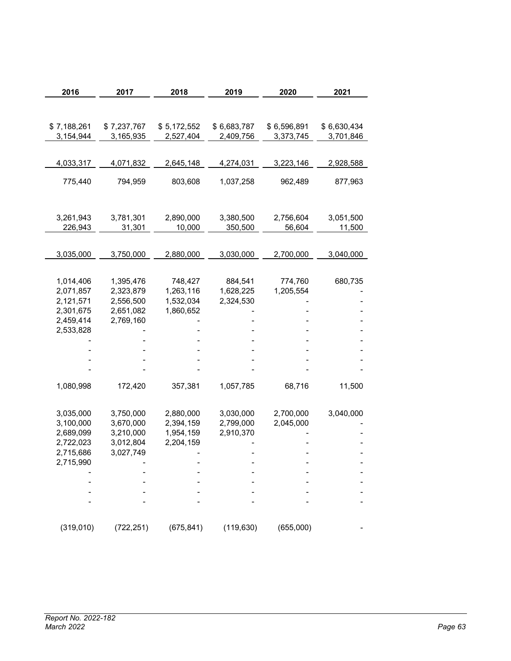| 2016                     | 2017                     | 2018                     | 2019                     | 2020                     | 2021                     |
|--------------------------|--------------------------|--------------------------|--------------------------|--------------------------|--------------------------|
|                          |                          |                          |                          |                          |                          |
|                          |                          |                          |                          |                          |                          |
| \$7,188,261<br>3,154,944 | \$7,237,767<br>3,165,935 | \$5,172,552<br>2,527,404 | \$6,683,787<br>2,409,756 | \$6,596,891<br>3,373,745 | \$6,630,434<br>3,701,846 |
|                          |                          |                          |                          |                          |                          |
|                          |                          |                          |                          |                          |                          |
| 4,033,317                | 4,071,832                | 2,645,148                | 4,274,031                | 3,223,146                | 2,928,588                |
| 775,440                  | 794,959                  | 803,608                  | 1,037,258                | 962,489                  | 877,963                  |
|                          |                          |                          |                          |                          |                          |
|                          |                          |                          |                          |                          |                          |
| 3,261,943                | 3,781,301                | 2,890,000                | 3,380,500                | 2,756,604                | 3,051,500                |
| 226,943                  | 31,301                   | 10,000                   | 350,500                  | 56,604                   | 11,500                   |
|                          |                          |                          |                          |                          |                          |
| 3,035,000                | 3,750,000                | 2,880,000                | 3,030,000                | 2,700,000                | 3,040,000                |
|                          |                          |                          |                          |                          |                          |
| 1,014,406                | 1,395,476                | 748,427                  | 884,541                  | 774,760                  | 680,735                  |
| 2,071,857                | 2,323,879                | 1,263,116                | 1,628,225                | 1,205,554                |                          |
| 2,121,571                | 2,556,500                | 1,532,034                | 2,324,530                |                          |                          |
| 2,301,675<br>2,459,414   | 2,651,082<br>2,769,160   | 1,860,652                |                          |                          |                          |
| 2,533,828                |                          |                          |                          |                          |                          |
|                          |                          |                          |                          |                          |                          |
|                          |                          |                          |                          |                          |                          |
|                          |                          |                          |                          |                          |                          |
|                          |                          |                          |                          |                          |                          |
| 1,080,998                | 172,420                  | 357,381                  | 1,057,785                | 68,716                   | 11,500                   |
|                          |                          |                          |                          |                          |                          |
| 3,035,000                | 3,750,000                | 2,880,000                | 3,030,000                | 2,700,000                | 3,040,000                |
| 3,100,000                | 3,670,000                | 2,394,159                | 2,799,000                | 2,045,000                |                          |
| 2,689,099                | 3,210,000                | 1,954,159                | 2,910,370                |                          |                          |
| 2,722,023                | 3,012,804                | 2,204,159                |                          |                          |                          |
| 2,715,686                | 3,027,749                |                          |                          |                          |                          |
| 2,715,990                |                          |                          |                          |                          |                          |
|                          |                          |                          |                          |                          |                          |
|                          |                          |                          |                          |                          |                          |
|                          |                          |                          |                          |                          |                          |
|                          |                          |                          |                          |                          |                          |
| (319, 010)               | (722, 251)               | (675, 841)               | (119, 630)               | (655,000)                |                          |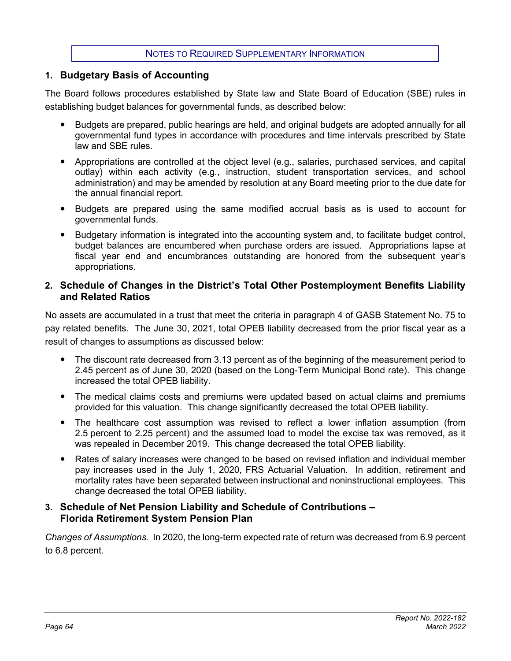#### NOTES TO REQUIRED SUPPLEMENTARY INFORMATION

#### **1. Budgetary Basis of Accounting**

The Board follows procedures established by State law and State Board of Education (SBE) rules in establishing budget balances for governmental funds, as described below:

- Budgets are prepared, public hearings are held, and original budgets are adopted annually for all governmental fund types in accordance with procedures and time intervals prescribed by State law and SBE rules.
- Appropriations are controlled at the object level (e.g., salaries, purchased services, and capital outlay) within each activity (e.g., instruction, student transportation services, and school administration) and may be amended by resolution at any Board meeting prior to the due date for the annual financial report.
- Budgets are prepared using the same modified accrual basis as is used to account for governmental funds.
- Budgetary information is integrated into the accounting system and, to facilitate budget control, budget balances are encumbered when purchase orders are issued. Appropriations lapse at fiscal year end and encumbrances outstanding are honored from the subsequent year's appropriations.

### **2. Schedule of Changes in the District's Total Other Postemployment Benefits Liability and Related Ratios**

No assets are accumulated in a trust that meet the criteria in paragraph 4 of GASB Statement No. 75 to pay related benefits. The June 30, 2021, total OPEB liability decreased from the prior fiscal year as a result of changes to assumptions as discussed below:

- The discount rate decreased from 3.13 percent as of the beginning of the measurement period to 2.45 percent as of June 30, 2020 (based on the Long-Term Municipal Bond rate). This change increased the total OPEB liability.
- The medical claims costs and premiums were updated based on actual claims and premiums provided for this valuation. This change significantly decreased the total OPEB liability.
- The healthcare cost assumption was revised to reflect a lower inflation assumption (from 2.5 percent to 2.25 percent) and the assumed load to model the excise tax was removed, as it was repealed in December 2019. This change decreased the total OPEB liability.
- Rates of salary increases were changed to be based on revised inflation and individual member pay increases used in the July 1, 2020, FRS Actuarial Valuation. In addition, retirement and mortality rates have been separated between instructional and noninstructional employees. This change decreased the total OPEB liability.

#### **3. Schedule of Net Pension Liability and Schedule of Contributions – Florida Retirement System Pension Plan**

*Changes of Assumptions.* In 2020, the long-term expected rate of return was decreased from 6.9 percent to 6.8 percent.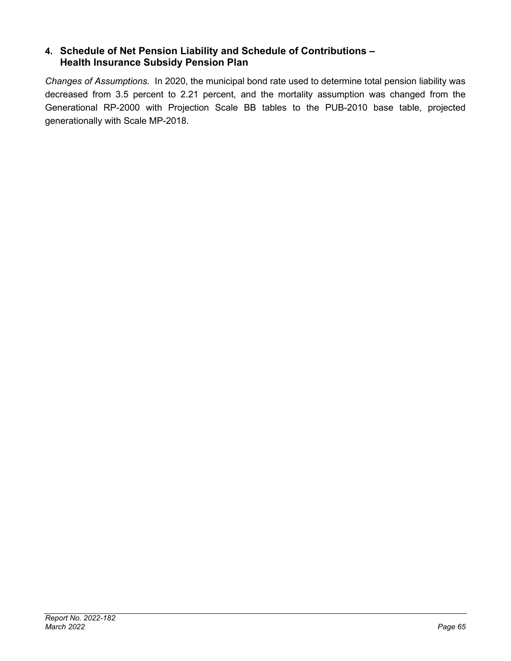### **4. Schedule of Net Pension Liability and Schedule of Contributions – Health Insurance Subsidy Pension Plan**

*Changes of Assumptions.* In 2020, the municipal bond rate used to determine total pension liability was decreased from 3.5 percent to 2.21 percent, and the mortality assumption was changed from the Generational RP-2000 with Projection Scale BB tables to the PUB-2010 base table, projected generationally with Scale MP-2018.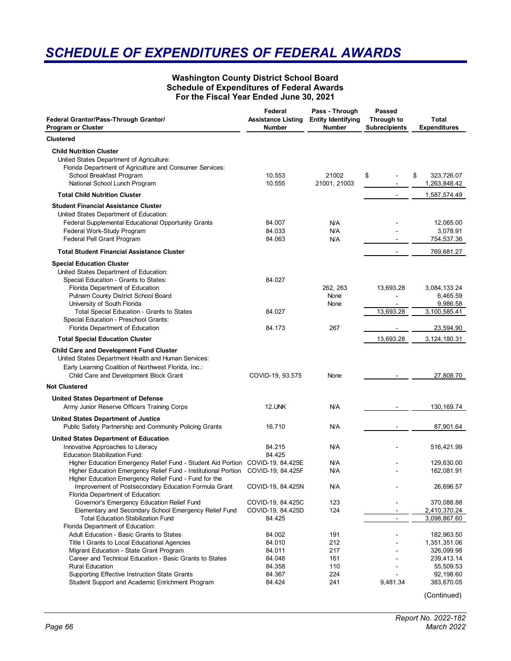# *SCHEDULE OF EXPENDITURES OF FEDERAL AWARDS*

#### **Washington County District School Board Schedule of Expenditures of Federal Awards For the Fiscal Year Ended June 30, 2021**

| Federal Grantor/Pass-Through Grantor/<br><b>Program or Cluster</b>                                                                                                                                                           | Federal<br><b>Assistance Listing</b><br><b>Number</b> | Pass - Through<br><b>Entity Identifying</b><br><b>Number</b> | Passed<br>Through to<br><b>Subrecipients</b> | <b>Total</b><br><b>Expenditures</b>                |
|------------------------------------------------------------------------------------------------------------------------------------------------------------------------------------------------------------------------------|-------------------------------------------------------|--------------------------------------------------------------|----------------------------------------------|----------------------------------------------------|
| <b>Clustered</b>                                                                                                                                                                                                             |                                                       |                                                              |                                              |                                                    |
| <b>Child Nutrition Cluster</b><br>United States Department of Agriculture:<br>Florida Department of Agriculture and Consumer Services:<br>School Breakfast Program<br>National School Lunch Program                          | 10.553<br>10.555                                      | 21002<br>21001, 21003                                        | \$                                           | \$<br>323,726.07<br>1,263,848.42                   |
| <b>Total Child Nutrition Cluster</b>                                                                                                                                                                                         |                                                       |                                                              | $\blacksquare$                               | 1,587,574.49                                       |
| <b>Student Financial Assistance Cluster</b><br>United States Department of Education:                                                                                                                                        |                                                       |                                                              |                                              |                                                    |
| <b>Federal Supplemental Educational Opportunity Grants</b><br>Federal Work-Study Program<br>Federal Pell Grant Program                                                                                                       | 84.007<br>84.033<br>84.063                            | <b>N/A</b><br><b>N/A</b><br><b>N/A</b>                       |                                              | 12,065.00<br>3,078.91<br>754,537.36                |
| <b>Total Student Financial Assistance Cluster</b>                                                                                                                                                                            |                                                       |                                                              |                                              | 769,681.27                                         |
| <b>Special Education Cluster</b><br>United States Department of Education:<br>Special Education - Grants to States:<br>Florida Department of Education<br>Putnam County District School Board<br>University of South Florida | 84.027                                                | 262, 263<br>None<br>None                                     | 13,693.28<br>$\blacksquare$                  | 3,084,133.24<br>6,465.59<br>9,986.58               |
| Total Special Education - Grants to States<br>Special Education - Preschool Grants:<br>Florida Department of Education                                                                                                       | 84.027<br>84.173                                      | 267                                                          | 13,693.28                                    | 3,100,585.41<br>23,594.90                          |
| <b>Total Special Education Cluster</b>                                                                                                                                                                                       |                                                       |                                                              | 13,693.28                                    | 3,124,180.31                                       |
| <b>Child Care and Development Fund Cluster</b><br>United States Department Health and Human Services:<br>Early Learning Coalition of Northwest Florida, Inc.:<br>Child Care and Development Block Grant                      | COVID-19, 93.575                                      | None                                                         |                                              | 27,808.70                                          |
| <b>Not Clustered</b>                                                                                                                                                                                                         |                                                       |                                                              |                                              |                                                    |
| <b>United States Department of Defense</b><br>Army Junior Reserve Officers Training Corps                                                                                                                                    | <b>12.UNK</b>                                         | N/A                                                          |                                              | 130,169.74                                         |
| <b>United States Department of Justice</b><br>Public Safety Partnership and Community Policing Grants                                                                                                                        | 16.710                                                | N/A                                                          | $\overline{a}$                               | 87,901.64                                          |
| <b>United States Department of Education</b><br>Innovative Approaches to Literacy<br><b>Education Stabilization Fund:</b>                                                                                                    | 84.215<br>84.425                                      | N/A                                                          |                                              | 516,421.99                                         |
| Higher Education Emergency Relief Fund - Student Aid Portion COVID-19, 84.425E<br>Higher Education Emergency Relief Fund - Institutional Portion<br>Higher Education Emergency Relief Fund - Fund for the                    | COVID-19, 84.425F                                     | <b>N/A</b><br><b>N/A</b>                                     |                                              | 129,630.00<br>162,081.91                           |
| Improvement of Postsecondary Education Formula Grant<br>Florida Department of Education:                                                                                                                                     | COVID-19, 84.425N                                     | ΝA                                                           |                                              | 26,696.57                                          |
| Governor's Emergency Education Relief Fund<br>Elementary and Secondary School Emergency Relief Fund<br><b>Total Education Stabilization Fund</b>                                                                             | COVID-19, 84.425C<br>COVID-19, 84.425D<br>84.425      | 123<br>124                                                   | $\blacksquare$                               | 370,088.88<br>2,410,370.24<br>3,098,867.60         |
| Florida Department of Education:<br>Adult Education - Basic Grants to States<br>Title I Grants to Local Educational Agencies                                                                                                 | 84.002<br>84.010                                      | 191<br>212                                                   |                                              | 182,963.50<br>1,351,351.06                         |
| Migrant Education - State Grant Program<br>Career and Technical Education - Basic Grants to States<br><b>Rural Education</b><br>Supporting Effective Instruction State Grants                                                | 84.011<br>84.048<br>84.358<br>84.367                  | 217<br>161<br>110<br>224                                     |                                              | 326,099.98<br>239,413.14<br>55,509.53<br>92,198.60 |
| Student Support and Academic Enrichment Program                                                                                                                                                                              | 84.424                                                | 241                                                          | 9,481.34                                     | 383,670.05<br>(Continued)                          |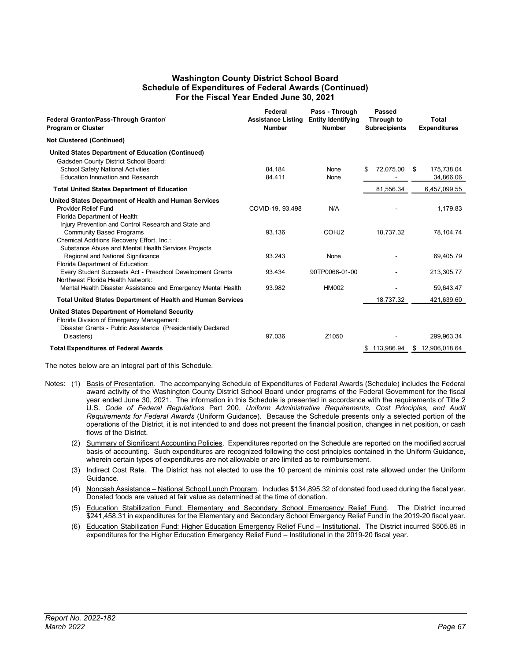#### **Washington County District School Board Schedule of Expenditures of Federal Awards (Continued) For the Fiscal Year Ended June 30, 2021**

| Federal Grantor/Pass-Through Grantor/<br><b>Program or Cluster</b>                                                                                                                 | Federal<br><b>Assistance Listing</b><br><b>Number</b> | Pass - Through<br><b>Entity Identifying</b><br><b>Number</b> | Passed<br>Through to<br><b>Subrecipients</b> | Total<br><b>Expenditures</b>  |
|------------------------------------------------------------------------------------------------------------------------------------------------------------------------------------|-------------------------------------------------------|--------------------------------------------------------------|----------------------------------------------|-------------------------------|
| <b>Not Clustered (Continued)</b>                                                                                                                                                   |                                                       |                                                              |                                              |                               |
| United States Department of Education (Continued)<br>Gadsden County District School Board:<br><b>School Safety National Activities</b><br><b>Education Innovation and Research</b> | 84.184<br>84.411                                      | None<br>None                                                 | 72,075.00<br>\$                              | 175,738.04<br>\$<br>34,866.06 |
| <b>Total United States Department of Education</b>                                                                                                                                 |                                                       |                                                              | 81,556.34                                    | 6,457,099.55                  |
| United States Department of Health and Human Services<br><b>Provider Relief Fund</b><br>Florida Department of Health:                                                              | COVID-19, 93.498                                      | N/A                                                          |                                              | 1,179.83                      |
| Injury Prevention and Control Research and State and<br><b>Community Based Programs</b><br>Chemical Additions Recovery Effort, Inc.:                                               | 93.136                                                | COHJ <sub>2</sub>                                            | 18.737.32                                    | 78,104.74                     |
| Substance Abuse and Mental Health Services Projects<br>Regional and National Significance<br>Florida Department of Education:                                                      | 93.243                                                | None                                                         |                                              | 69.405.79                     |
| Every Student Succeeds Act - Preschool Development Grants<br>Northwest Florida Health Network:                                                                                     | 93.434                                                | 90TP0068-01-00                                               |                                              | 213,305.77                    |
| Mental Health Disaster Assistance and Emergency Mental Health                                                                                                                      | 93.982                                                | <b>HM002</b>                                                 |                                              | 59,643.47                     |
| <b>Total United States Department of Health and Human Services</b>                                                                                                                 |                                                       |                                                              | 18,737.32                                    | 421,639.60                    |
| United States Department of Homeland Security<br>Florida Division of Emergency Management:<br>Disaster Grants - Public Assistance (Presidentially Declared<br>Disasters)           | 97.036                                                | Z1050                                                        |                                              | 299,963.34                    |
| <b>Total Expenditures of Federal Awards</b>                                                                                                                                        |                                                       |                                                              | 113,986.94<br>\$                             | \$12,906,018.64               |

The notes below are an integral part of this Schedule.

- Notes: (1) Basis of Presentation. The accompanying Schedule of Expenditures of Federal Awards (Schedule) includes the Federal award activity of the Washington County District School Board under programs of the Federal Government for the fiscal year ended June 30, 2021. The information in this Schedule is presented in accordance with the requirements of Title 2 U.S. *Code of Federal Regulations* Part 200, *Uniform Administrative Requirements, Cost Principles, and Audit Requirements for Federal Awards* (Uniform Guidance). Because the Schedule presents only a selected portion of the operations of the District, it is not intended to and does not present the financial position, changes in net position, or cash flows of the District.
	- (2) Summary of Significant Accounting Policies. Expenditures reported on the Schedule are reported on the modified accrual basis of accounting. Such expenditures are recognized following the cost principles contained in the Uniform Guidance, wherein certain types of expenditures are not allowable or are limited as to reimbursement.
	- (3) Indirect Cost Rate. The District has not elected to use the 10 percent de minimis cost rate allowed under the Uniform Guidance.
	- (4) Noncash Assistance National School Lunch Program. Includes \$134,895.32 of donated food used during the fiscal year. Donated foods are valued at fair value as determined at the time of donation.
	- (5) Education Stabilization Fund: Elementary and Secondary School Emergency Relief Fund. The District incurred \$241,458.31 in expenditures for the Elementary and Secondary School Emergency Relief Fund in the 2019-20 fiscal year.
	- (6) Education Stabilization Fund: Higher Education Emergency Relief Fund Institutional. The District incurred \$505.85 in expenditures for the Higher Education Emergency Relief Fund – Institutional in the 2019-20 fiscal year.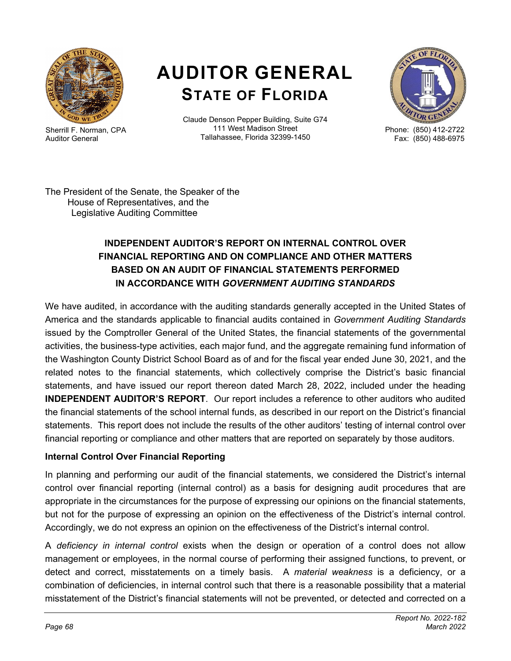

Sherrill F. Norman, CPA Auditor General

# **AUDITOR GENERAL STATE OF FLORIDA**

Claude Denson Pepper Building, Suite G74 111 West Madison Street Tallahassee, Florida 32399-1450



Phone: (850) 412-2722 Fax: (850) 488-6975

The President of the Senate, the Speaker of the House of Representatives, and the Legislative Auditing Committee

### **INDEPENDENT AUDITOR'S REPORT ON INTERNAL CONTROL OVER FINANCIAL REPORTING AND ON COMPLIANCE AND OTHER MATTERS BASED ON AN AUDIT OF FINANCIAL STATEMENTS PERFORMED IN ACCORDANCE WITH** *GOVERNMENT AUDITING STANDARDS*

We have audited, in accordance with the auditing standards generally accepted in the United States of America and the standards applicable to financial audits contained in *Government Auditing Standards* issued by the Comptroller General of the United States, the financial statements of the governmental activities, the business-type activities, each major fund, and the aggregate remaining fund information of the Washington County District School Board as of and for the fiscal year ended June 30, 2021, and the related notes to the financial statements, which collectively comprise the District's basic financial statements, and have issued our report thereon dated March 28, 2022, included under the heading **INDEPENDENT AUDITOR'S REPORT**. Our report includes a reference to other auditors who audited the financial statements of the school internal funds, as described in our report on the District's financial statements. This report does not include the results of the other auditors' testing of internal control over financial reporting or compliance and other matters that are reported on separately by those auditors.

#### **Internal Control Over Financial Reporting**

In planning and performing our audit of the financial statements, we considered the District's internal control over financial reporting (internal control) as a basis for designing audit procedures that are appropriate in the circumstances for the purpose of expressing our opinions on the financial statements, but not for the purpose of expressing an opinion on the effectiveness of the District's internal control. Accordingly, we do not express an opinion on the effectiveness of the District's internal control.

A *deficiency in internal control* exists when the design or operation of a control does not allow management or employees, in the normal course of performing their assigned functions, to prevent, or detect and correct, misstatements on a timely basis. A *material weakness* is a deficiency, or a combination of deficiencies, in internal control such that there is a reasonable possibility that a material misstatement of the District's financial statements will not be prevented, or detected and corrected on a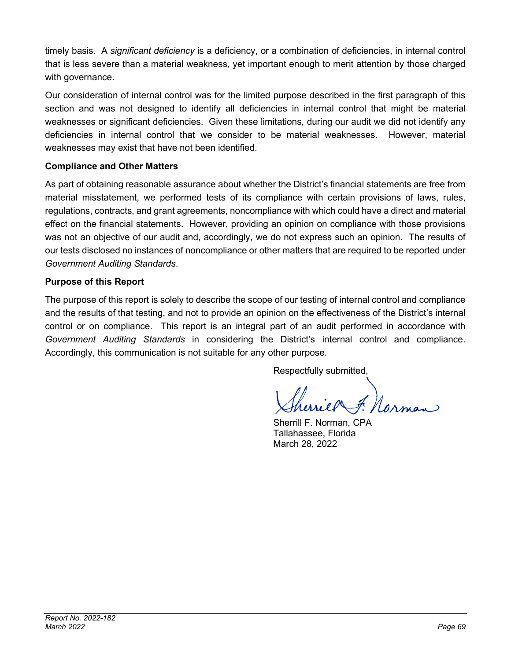timely basis. A *significant deficiency* is a deficiency, or a combination of deficiencies, in internal control that is less severe than a material weakness, yet important enough to merit attention by those charged with governance.

Our consideration of internal control was for the limited purpose described in the first paragraph of this section and was not designed to identify all deficiencies in internal control that might be material weaknesses or significant deficiencies. Given these limitations, during our audit we did not identify any deficiencies in internal control that we consider to be material weaknesses. However, material weaknesses may exist that have not been identified.

#### **Compliance and Other Matters**

As part of obtaining reasonable assurance about whether the District's financial statements are free from material misstatement, we performed tests of its compliance with certain provisions of laws, rules, regulations, contracts, and grant agreements, noncompliance with which could have a direct and material effect on the financial statements. However, providing an opinion on compliance with those provisions was not an objective of our audit and, accordingly, we do not express such an opinion. The results of our tests disclosed no instances of noncompliance or other matters that are required to be reported under *Government Auditing Standards*.

#### **Purpose of this Report**

The purpose of this report is solely to describe the scope of our testing of internal control and compliance and the results of that testing, and not to provide an opinion on the effectiveness of the District's internal control or on compliance. This report is an integral part of an audit performed in accordance with *Government Auditing Standards* in considering the District's internal control and compliance. Accordingly, this communication is not suitable for any other purpose.

Respectfully submitted,

Sherrill F. Norman, CPA Tallahassee, Florida March 28, 2022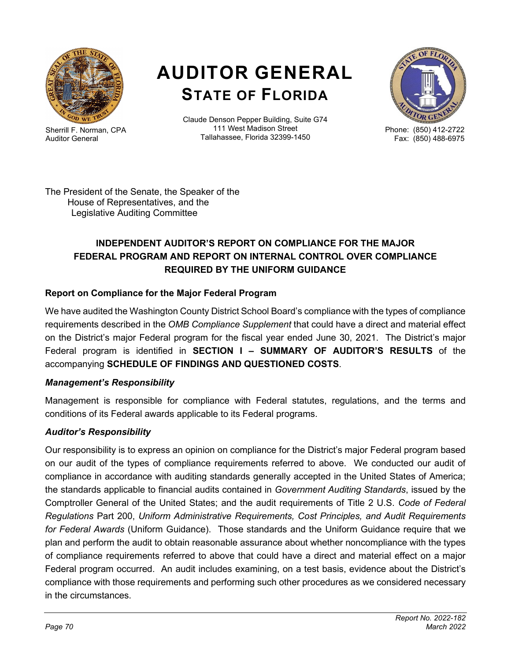

Sherrill F. Norman, CPA Auditor General

# **AUDITOR GENERAL STATE OF FLORIDA**

Claude Denson Pepper Building, Suite G74 111 West Madison Street Tallahassee, Florida 32399-1450



Phone: (850) 412-2722 Fax: (850) 488-6975

The President of the Senate, the Speaker of the House of Representatives, and the Legislative Auditing Committee

### **INDEPENDENT AUDITOR'S REPORT ON COMPLIANCE FOR THE MAJOR FEDERAL PROGRAM AND REPORT ON INTERNAL CONTROL OVER COMPLIANCE REQUIRED BY THE UNIFORM GUIDANCE**

#### **Report on Compliance for the Major Federal Program**

We have audited the Washington County District School Board's compliance with the types of compliance requirements described in the *OMB Compliance Supplement* that could have a direct and material effect on the District's major Federal program for the fiscal year ended June 30, 2021. The District's major Federal program is identified in **SECTION I – SUMMARY OF AUDITOR'S RESULTS** of the accompanying **SCHEDULE OF FINDINGS AND QUESTIONED COSTS**.

#### *Management's Responsibility*

Management is responsible for compliance with Federal statutes, regulations, and the terms and conditions of its Federal awards applicable to its Federal programs.

#### *Auditor's Responsibility*

Our responsibility is to express an opinion on compliance for the District's major Federal program based on our audit of the types of compliance requirements referred to above. We conducted our audit of compliance in accordance with auditing standards generally accepted in the United States of America; the standards applicable to financial audits contained in *Government Auditing Standards*, issued by the Comptroller General of the United States; and the audit requirements of Title 2 U.S. *Code of Federal Regulations* Part 200, *Uniform Administrative Requirements, Cost Principles, and Audit Requirements for Federal Awards* (Uniform Guidance). Those standards and the Uniform Guidance require that we plan and perform the audit to obtain reasonable assurance about whether noncompliance with the types of compliance requirements referred to above that could have a direct and material effect on a major Federal program occurred. An audit includes examining, on a test basis, evidence about the District's compliance with those requirements and performing such other procedures as we considered necessary in the circumstances.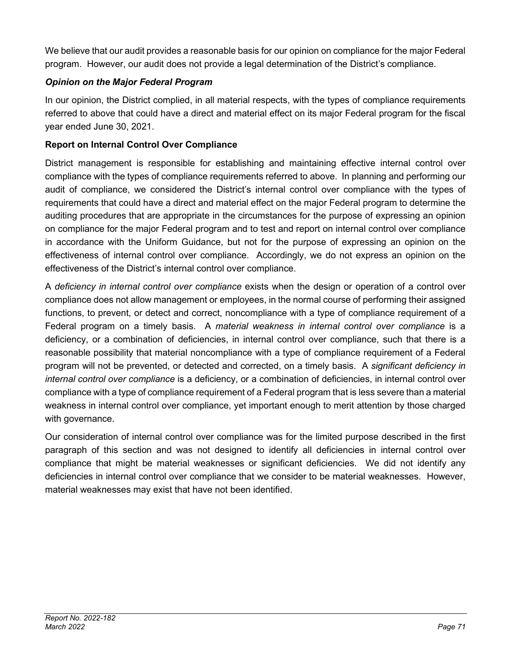We believe that our audit provides a reasonable basis for our opinion on compliance for the major Federal program. However, our audit does not provide a legal determination of the District's compliance.

#### *Opinion on the Major Federal Program*

In our opinion, the District complied, in all material respects, with the types of compliance requirements referred to above that could have a direct and material effect on its major Federal program for the fiscal year ended June 30, 2021.

#### **Report on Internal Control Over Compliance**

District management is responsible for establishing and maintaining effective internal control over compliance with the types of compliance requirements referred to above. In planning and performing our audit of compliance, we considered the District's internal control over compliance with the types of requirements that could have a direct and material effect on the major Federal program to determine the auditing procedures that are appropriate in the circumstances for the purpose of expressing an opinion on compliance for the major Federal program and to test and report on internal control over compliance in accordance with the Uniform Guidance, but not for the purpose of expressing an opinion on the effectiveness of internal control over compliance. Accordingly, we do not express an opinion on the effectiveness of the District's internal control over compliance.

A *deficiency in internal control over compliance* exists when the design or operation of a control over compliance does not allow management or employees, in the normal course of performing their assigned functions, to prevent, or detect and correct, noncompliance with a type of compliance requirement of a Federal program on a timely basis. A *material weakness in internal control over compliance* is a deficiency, or a combination of deficiencies, in internal control over compliance, such that there is a reasonable possibility that material noncompliance with a type of compliance requirement of a Federal program will not be prevented, or detected and corrected, on a timely basis. A *significant deficiency in internal control over compliance* is a deficiency, or a combination of deficiencies, in internal control over compliance with a type of compliance requirement of a Federal program that is less severe than a material weakness in internal control over compliance, yet important enough to merit attention by those charged with governance.

Our consideration of internal control over compliance was for the limited purpose described in the first paragraph of this section and was not designed to identify all deficiencies in internal control over compliance that might be material weaknesses or significant deficiencies. We did not identify any deficiencies in internal control over compliance that we consider to be material weaknesses. However, material weaknesses may exist that have not been identified.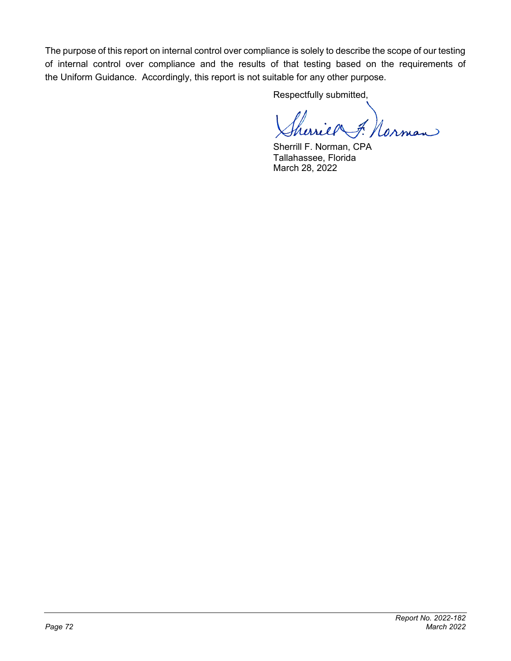The purpose of this report on internal control over compliance is solely to describe the scope of our testing of internal control over compliance and the results of that testing based on the requirements of the Uniform Guidance. Accordingly, this report is not suitable for any other purpose.

Respectfully submitted,

F. Norman

Sherrill F. Norman, CPA Tallahassee, Florida March 28, 2022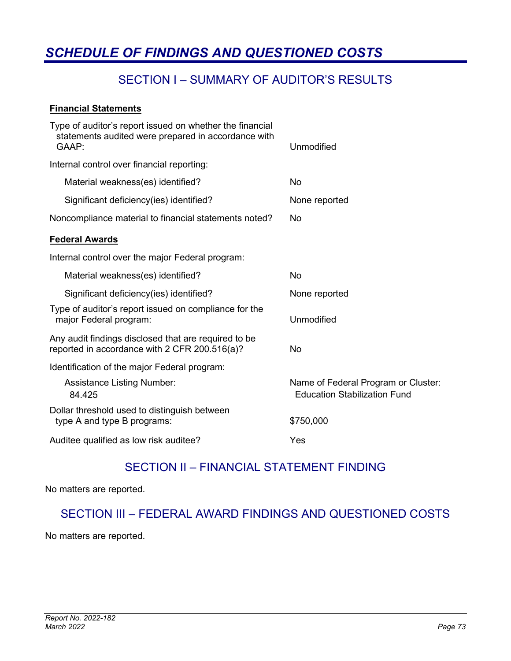# *SCHEDULE OF FINDINGS AND QUESTIONED COSTS*

## SECTION I – SUMMARY OF AUDITOR'S RESULTS

#### **Financial Statements**

| Type of auditor's report issued on whether the financial<br>statements audited were prepared in accordance with<br>GAAP: | Unmodified                                                                 |
|--------------------------------------------------------------------------------------------------------------------------|----------------------------------------------------------------------------|
| Internal control over financial reporting:                                                                               |                                                                            |
| Material weakness(es) identified?                                                                                        | No                                                                         |
| Significant deficiency(ies) identified?                                                                                  | None reported                                                              |
| Noncompliance material to financial statements noted?                                                                    | No                                                                         |
| <b>Federal Awards</b>                                                                                                    |                                                                            |
| Internal control over the major Federal program:                                                                         |                                                                            |
| Material weakness(es) identified?                                                                                        | <b>No</b>                                                                  |
| Significant deficiency(ies) identified?                                                                                  | None reported                                                              |
| Type of auditor's report issued on compliance for the<br>major Federal program:                                          | Unmodified                                                                 |
| Any audit findings disclosed that are required to be<br>reported in accordance with 2 CFR 200.516(a)?                    | No                                                                         |
| Identification of the major Federal program:                                                                             |                                                                            |
| <b>Assistance Listing Number:</b><br>84.425                                                                              | Name of Federal Program or Cluster:<br><b>Education Stabilization Fund</b> |
| Dollar threshold used to distinguish between<br>type A and type B programs:                                              | \$750,000                                                                  |
| Auditee qualified as low risk auditee?                                                                                   | Yes                                                                        |

## SECTION II – FINANCIAL STATEMENT FINDING

No matters are reported.

### SECTION III – FEDERAL AWARD FINDINGS AND QUESTIONED COSTS

No matters are reported.